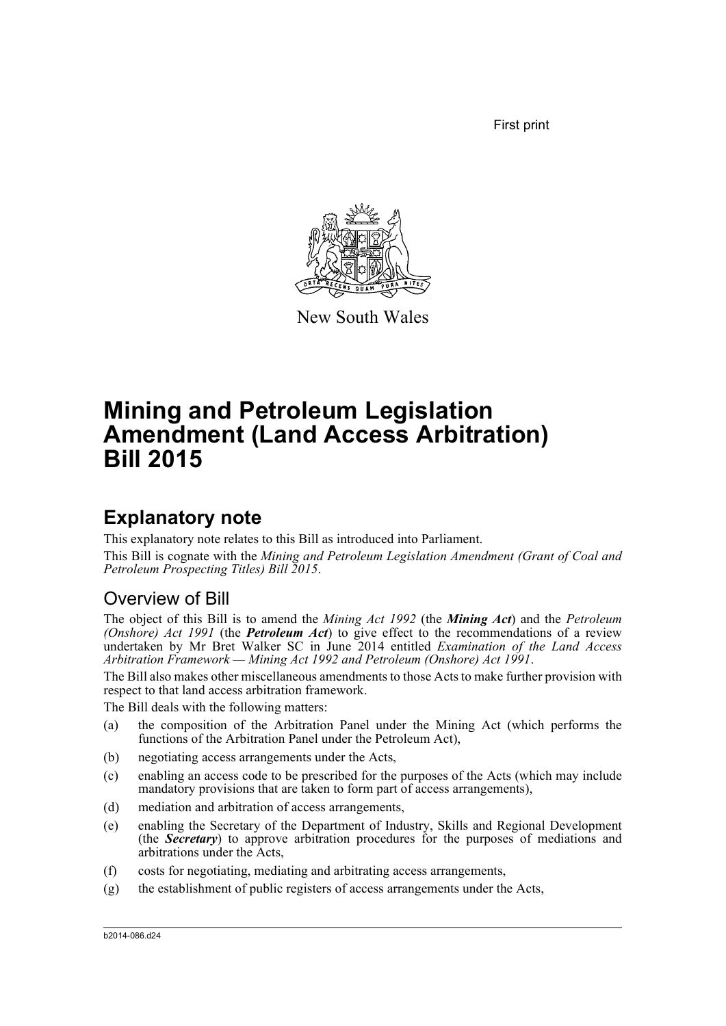First print



New South Wales

# **Mining and Petroleum Legislation Amendment (Land Access Arbitration) Bill 2015**

## **Explanatory note**

This explanatory note relates to this Bill as introduced into Parliament.

This Bill is cognate with the *Mining and Petroleum Legislation Amendment (Grant of Coal and Petroleum Prospecting Titles) Bill 2015*.

### Overview of Bill

The object of this Bill is to amend the *Mining Act 1992* (the *Mining Act*) and the *Petroleum (Onshore) Act 1991* (the *Petroleum Act*) to give effect to the recommendations of a review undertaken by Mr Bret Walker SC in June 2014 entitled *Examination of the Land Access Arbitration Framework — Mining Act 1992 and Petroleum (Onshore) Act 1991*.

The Bill also makes other miscellaneous amendments to those Acts to make further provision with respect to that land access arbitration framework.

The Bill deals with the following matters:

- (a) the composition of the Arbitration Panel under the Mining Act (which performs the functions of the Arbitration Panel under the Petroleum Act),
- (b) negotiating access arrangements under the Acts,
- (c) enabling an access code to be prescribed for the purposes of the Acts (which may include mandatory provisions that are taken to form part of access arrangements),
- (d) mediation and arbitration of access arrangements,
- (e) enabling the Secretary of the Department of Industry, Skills and Regional Development (the *Secretary*) to approve arbitration procedures for the purposes of mediations and arbitrations under the Acts,
- (f) costs for negotiating, mediating and arbitrating access arrangements,
- (g) the establishment of public registers of access arrangements under the Acts,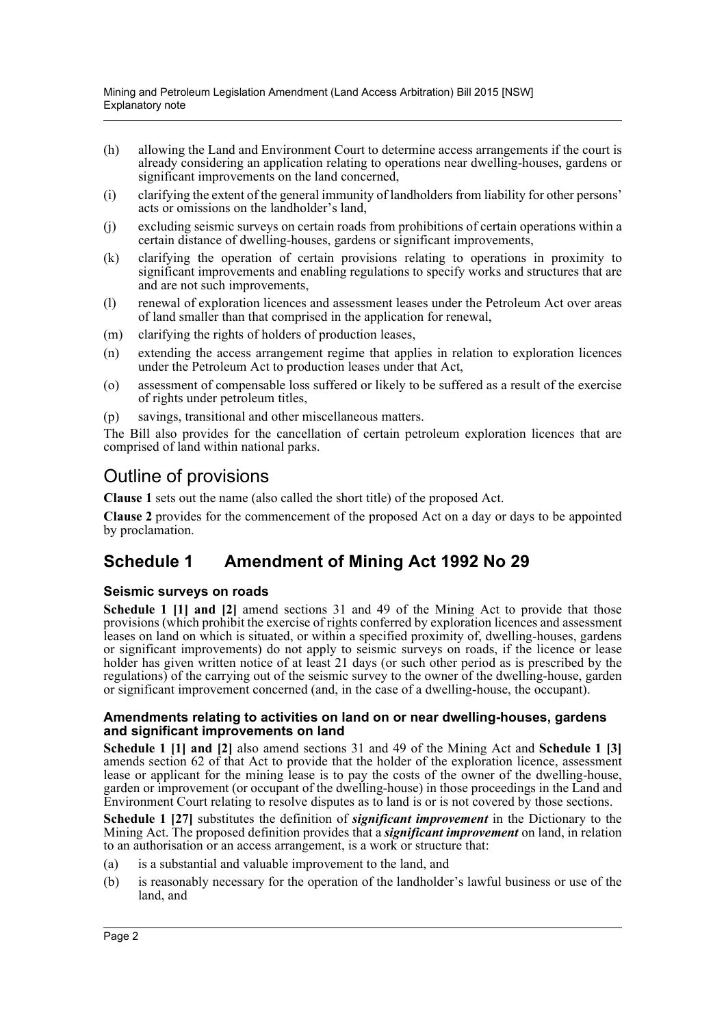Mining and Petroleum Legislation Amendment (Land Access Arbitration) Bill 2015 [NSW] Explanatory note

- (h) allowing the Land and Environment Court to determine access arrangements if the court is already considering an application relating to operations near dwelling-houses, gardens or significant improvements on the land concerned,
- (i) clarifying the extent of the general immunity of landholders from liability for other persons' acts or omissions on the landholder's land,
- (j) excluding seismic surveys on certain roads from prohibitions of certain operations within a certain distance of dwelling-houses, gardens or significant improvements,
- (k) clarifying the operation of certain provisions relating to operations in proximity to significant improvements and enabling regulations to specify works and structures that are and are not such improvements,
- (l) renewal of exploration licences and assessment leases under the Petroleum Act over areas of land smaller than that comprised in the application for renewal,
- (m) clarifying the rights of holders of production leases,
- (n) extending the access arrangement regime that applies in relation to exploration licences under the Petroleum Act to production leases under that Act,
- (o) assessment of compensable loss suffered or likely to be suffered as a result of the exercise of rights under petroleum titles,
- (p) savings, transitional and other miscellaneous matters.

The Bill also provides for the cancellation of certain petroleum exploration licences that are comprised of land within national parks.

### Outline of provisions

**Clause 1** sets out the name (also called the short title) of the proposed Act.

**Clause 2** provides for the commencement of the proposed Act on a day or days to be appointed by proclamation.

### **Schedule 1 Amendment of Mining Act 1992 No 29**

#### **Seismic surveys on roads**

**Schedule 1 [1] and [2]** amend sections 31 and 49 of the Mining Act to provide that those provisions (which prohibit the exercise of rights conferred by exploration licences and assessment leases on land on which is situated, or within a specified proximity of, dwelling-houses, gardens or significant improvements) do not apply to seismic surveys on roads, if the licence or lease holder has given written notice of at least 21 days (or such other period as is prescribed by the regulations) of the carrying out of the seismic survey to the owner of the dwelling-house, garden or significant improvement concerned (and, in the case of a dwelling-house, the occupant).

#### **Amendments relating to activities on land on or near dwelling-houses, gardens and significant improvements on land**

**Schedule 1 [1] and [2]** also amend sections 31 and 49 of the Mining Act and **Schedule 1 [3]** amends section 62 of that Act to provide that the holder of the exploration licence, assessment lease or applicant for the mining lease is to pay the costs of the owner of the dwelling-house, garden or improvement (or occupant of the dwelling-house) in those proceedings in the Land and Environment Court relating to resolve disputes as to land is or is not covered by those sections.

**Schedule 1 [27]** substitutes the definition of *significant improvement* in the Dictionary to the Mining Act. The proposed definition provides that a *significant improvement* on land, in relation to an authorisation or an access arrangement, is a work or structure that:

- (a) is a substantial and valuable improvement to the land, and
- (b) is reasonably necessary for the operation of the landholder's lawful business or use of the land, and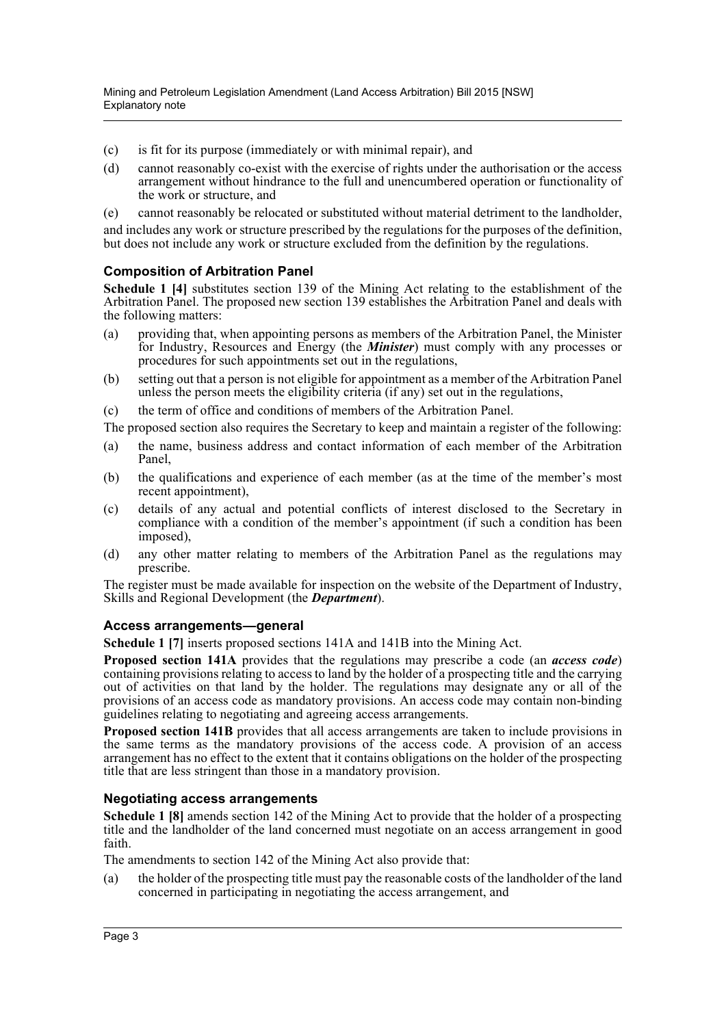- (c) is fit for its purpose (immediately or with minimal repair), and
- (d) cannot reasonably co-exist with the exercise of rights under the authorisation or the access arrangement without hindrance to the full and unencumbered operation or functionality of the work or structure, and
- (e) cannot reasonably be relocated or substituted without material detriment to the landholder,

and includes any work or structure prescribed by the regulations for the purposes of the definition, but does not include any work or structure excluded from the definition by the regulations.

#### **Composition of Arbitration Panel**

**Schedule 1 [4]** substitutes section 139 of the Mining Act relating to the establishment of the Arbitration Panel. The proposed new section 139 establishes the Arbitration Panel and deals with the following matters:

- (a) providing that, when appointing persons as members of the Arbitration Panel, the Minister for Industry, Resources and Energy (the *Minister*) must comply with any processes or procedures for such appointments set out in the regulations,
- (b) setting out that a person is not eligible for appointment as a member of the Arbitration Panel unless the person meets the eligibility criteria (if any) set out in the regulations,
- (c) the term of office and conditions of members of the Arbitration Panel.

The proposed section also requires the Secretary to keep and maintain a register of the following:

- (a) the name, business address and contact information of each member of the Arbitration Panel,
- (b) the qualifications and experience of each member (as at the time of the member's most recent appointment),
- (c) details of any actual and potential conflicts of interest disclosed to the Secretary in compliance with a condition of the member's appointment (if such a condition has been imposed),
- (d) any other matter relating to members of the Arbitration Panel as the regulations may prescribe.

The register must be made available for inspection on the website of the Department of Industry, Skills and Regional Development (the *Department*).

#### **Access arrangements—general**

**Schedule 1 [7]** inserts proposed sections 141A and 141B into the Mining Act.

**Proposed section 141A** provides that the regulations may prescribe a code (an *access code*) containing provisions relating to access to land by the holder of a prospecting title and the carrying out of activities on that land by the holder. The regulations may designate any or all of the provisions of an access code as mandatory provisions. An access code may contain non-binding guidelines relating to negotiating and agreeing access arrangements.

**Proposed section 141B** provides that all access arrangements are taken to include provisions in the same terms as the mandatory provisions of the access code. A provision of an access arrangement has no effect to the extent that it contains obligations on the holder of the prospecting title that are less stringent than those in a mandatory provision.

#### **Negotiating access arrangements**

**Schedule 1 [8]** amends section 142 of the Mining Act to provide that the holder of a prospecting title and the landholder of the land concerned must negotiate on an access arrangement in good faith.

The amendments to section 142 of the Mining Act also provide that:

(a) the holder of the prospecting title must pay the reasonable costs of the landholder of the land concerned in participating in negotiating the access arrangement, and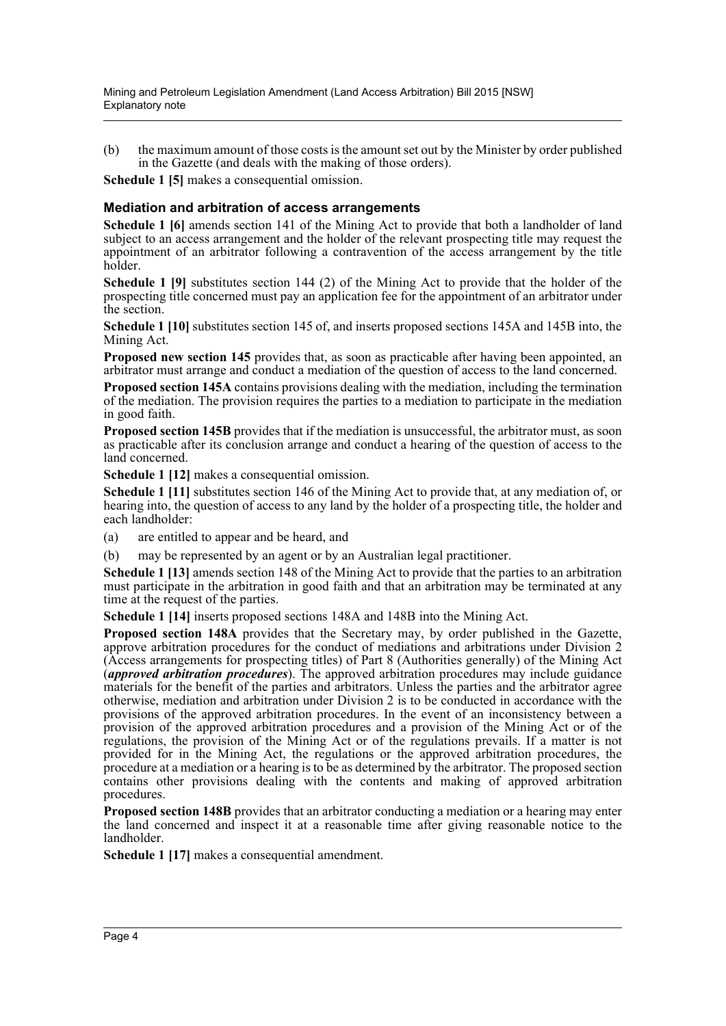(b) the maximum amount of those costs is the amount set out by the Minister by order published in the Gazette (and deals with the making of those orders).

**Schedule 1 [5]** makes a consequential omission.

#### **Mediation and arbitration of access arrangements**

**Schedule 1 [6]** amends section 141 of the Mining Act to provide that both a landholder of land subject to an access arrangement and the holder of the relevant prospecting title may request the appointment of an arbitrator following a contravention of the access arrangement by the title holder.

**Schedule 1 [9]** substitutes section 144 (2) of the Mining Act to provide that the holder of the prospecting title concerned must pay an application fee for the appointment of an arbitrator under the section.

**Schedule 1 [10]** substitutes section 145 of, and inserts proposed sections 145A and 145B into, the Mining Act.

**Proposed new section 145** provides that, as soon as practicable after having been appointed, an arbitrator must arrange and conduct a mediation of the question of access to the land concerned.

**Proposed section 145A** contains provisions dealing with the mediation, including the termination of the mediation. The provision requires the parties to a mediation to participate in the mediation in good faith.

**Proposed section 145B** provides that if the mediation is unsuccessful, the arbitrator must, as soon as practicable after its conclusion arrange and conduct a hearing of the question of access to the land concerned.

**Schedule 1 [12]** makes a consequential omission.

**Schedule 1 [11]** substitutes section 146 of the Mining Act to provide that, at any mediation of, or hearing into, the question of access to any land by the holder of a prospecting title, the holder and each landholder:

- (a) are entitled to appear and be heard, and
- (b) may be represented by an agent or by an Australian legal practitioner.

**Schedule 1 [13]** amends section 148 of the Mining Act to provide that the parties to an arbitration must participate in the arbitration in good faith and that an arbitration may be terminated at any time at the request of the parties.

**Schedule 1 [14]** inserts proposed sections 148A and 148B into the Mining Act.

**Proposed section 148A** provides that the Secretary may, by order published in the Gazette, approve arbitration procedures for the conduct of mediations and arbitrations under Division 2 (Access arrangements for prospecting titles) of Part 8 (Authorities generally) of the Mining Act (*approved arbitration procedures*). The approved arbitration procedures may include guidance materials for the benefit of the parties and arbitrators. Unless the parties and the arbitrator agree otherwise, mediation and arbitration under Division 2 is to be conducted in accordance with the provisions of the approved arbitration procedures. In the event of an inconsistency between a provision of the approved arbitration procedures and a provision of the Mining Act or of the regulations, the provision of the Mining Act or of the regulations prevails. If a matter is not provided for in the Mining Act, the regulations or the approved arbitration procedures, the procedure at a mediation or a hearing is to be as determined by the arbitrator. The proposed section contains other provisions dealing with the contents and making of approved arbitration procedures.

**Proposed section 148B** provides that an arbitrator conducting a mediation or a hearing may enter the land concerned and inspect it at a reasonable time after giving reasonable notice to the landholder.

**Schedule 1 [17]** makes a consequential amendment.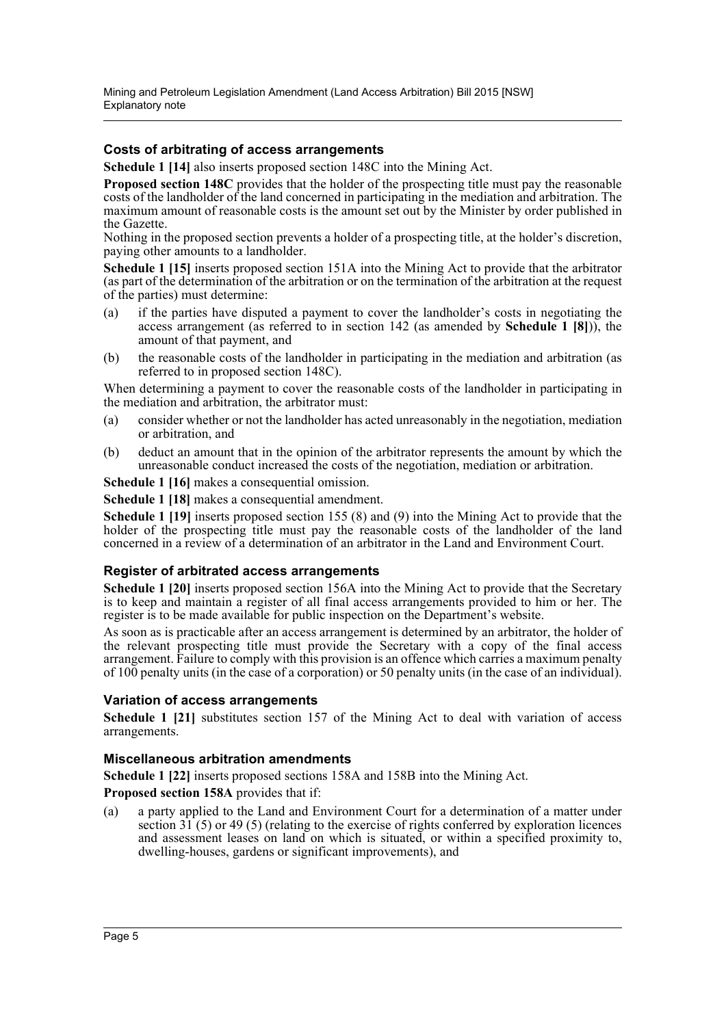#### **Costs of arbitrating of access arrangements**

**Schedule 1 [14]** also inserts proposed section 148C into the Mining Act.

**Proposed section 148C** provides that the holder of the prospecting title must pay the reasonable costs of the landholder of the land concerned in participating in the mediation and arbitration. The maximum amount of reasonable costs is the amount set out by the Minister by order published in the Gazette.

Nothing in the proposed section prevents a holder of a prospecting title, at the holder's discretion, paying other amounts to a landholder.

**Schedule 1 [15]** inserts proposed section 151A into the Mining Act to provide that the arbitrator (as part of the determination of the arbitration or on the termination of the arbitration at the request of the parties) must determine:

- (a) if the parties have disputed a payment to cover the landholder's costs in negotiating the access arrangement (as referred to in section 142 (as amended by **Schedule 1 [8]**)), the amount of that payment, and
- (b) the reasonable costs of the landholder in participating in the mediation and arbitration (as referred to in proposed section 148C).

When determining a payment to cover the reasonable costs of the landholder in participating in the mediation and arbitration, the arbitrator must:

- (a) consider whether or not the landholder has acted unreasonably in the negotiation, mediation or arbitration, and
- (b) deduct an amount that in the opinion of the arbitrator represents the amount by which the unreasonable conduct increased the costs of the negotiation, mediation or arbitration.

**Schedule 1 [16]** makes a consequential omission.

**Schedule 1 [18]** makes a consequential amendment.

**Schedule 1 [19]** inserts proposed section 155 (8) and (9) into the Mining Act to provide that the holder of the prospecting title must pay the reasonable costs of the landholder of the land concerned in a review of a determination of an arbitrator in the Land and Environment Court.

#### **Register of arbitrated access arrangements**

**Schedule 1 [20]** inserts proposed section 156A into the Mining Act to provide that the Secretary is to keep and maintain a register of all final access arrangements provided to him or her. The register is to be made available for public inspection on the Department's website.

As soon as is practicable after an access arrangement is determined by an arbitrator, the holder of the relevant prospecting title must provide the Secretary with a copy of the final access arrangement. Failure to comply with this provision is an offence which carries a maximum penalty of 100 penalty units (in the case of a corporation) or 50 penalty units (in the case of an individual).

#### **Variation of access arrangements**

**Schedule 1 [21]** substitutes section 157 of the Mining Act to deal with variation of access arrangements.

#### **Miscellaneous arbitration amendments**

**Schedule 1 [22]** inserts proposed sections 158A and 158B into the Mining Act.

**Proposed section 158A** provides that if:

(a) a party applied to the Land and Environment Court for a determination of a matter under section  $31(5)$  or 49 (5) (relating to the exercise of rights conferred by exploration licences and assessment leases on land on which is situated, or within a specified proximity to, dwelling-houses, gardens or significant improvements), and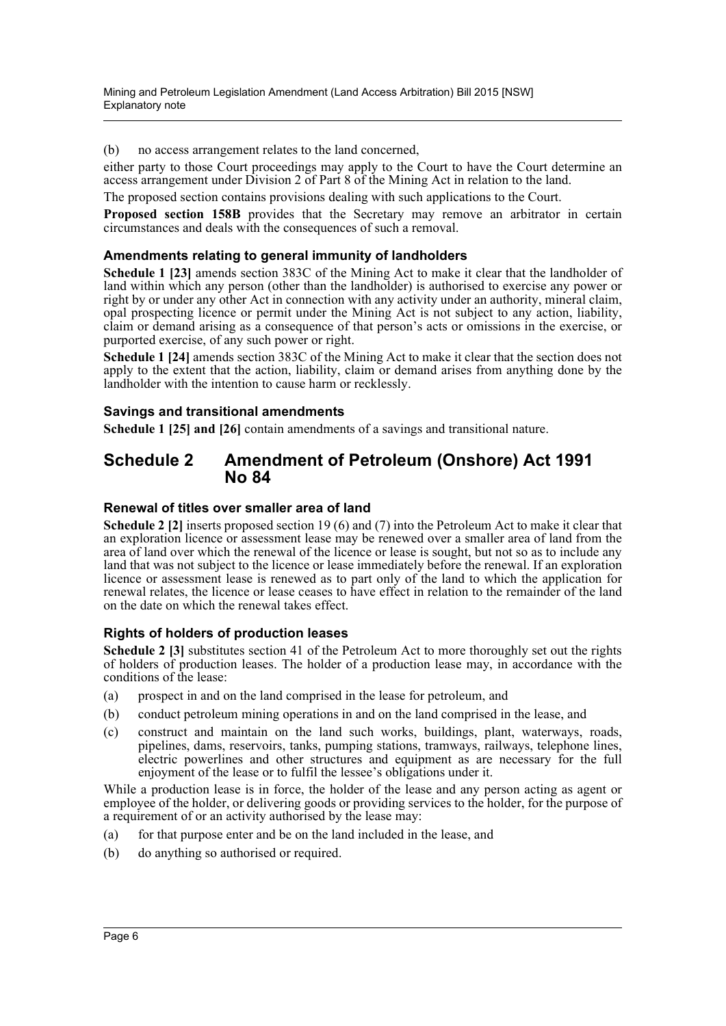(b) no access arrangement relates to the land concerned,

either party to those Court proceedings may apply to the Court to have the Court determine an access arrangement under Division 2 of Part 8 of the Mining Act in relation to the land.

The proposed section contains provisions dealing with such applications to the Court.

**Proposed section 158B** provides that the Secretary may remove an arbitrator in certain circumstances and deals with the consequences of such a removal.

#### **Amendments relating to general immunity of landholders**

**Schedule 1 [23]** amends section 383C of the Mining Act to make it clear that the landholder of land within which any person (other than the landholder) is authorised to exercise any power or right by or under any other Act in connection with any activity under an authority, mineral claim, opal prospecting licence or permit under the Mining Act is not subject to any action, liability, claim or demand arising as a consequence of that person's acts or omissions in the exercise, or purported exercise, of any such power or right.

**Schedule 1 [24]** amends section 383C of the Mining Act to make it clear that the section does not apply to the extent that the action, liability, claim or demand arises from anything done by the landholder with the intention to cause harm or recklessly.

#### **Savings and transitional amendments**

**Schedule 1 [25] and [26]** contain amendments of a savings and transitional nature.

### **Schedule 2 Amendment of Petroleum (Onshore) Act 1991 No 84**

#### **Renewal of titles over smaller area of land**

**Schedule 2 [2]** inserts proposed section 19 (6) and (7) into the Petroleum Act to make it clear that an exploration licence or assessment lease may be renewed over a smaller area of land from the area of land over which the renewal of the licence or lease is sought, but not so as to include any land that was not subject to the licence or lease immediately before the renewal. If an exploration licence or assessment lease is renewed as to part only of the land to which the application for renewal relates, the licence or lease ceases to have effect in relation to the remainder of the land on the date on which the renewal takes effect.

#### **Rights of holders of production leases**

**Schedule 2 [3]** substitutes section 41 of the Petroleum Act to more thoroughly set out the rights of holders of production leases. The holder of a production lease may, in accordance with the conditions of the lease:

- (a) prospect in and on the land comprised in the lease for petroleum, and
- (b) conduct petroleum mining operations in and on the land comprised in the lease, and
- (c) construct and maintain on the land such works, buildings, plant, waterways, roads, pipelines, dams, reservoirs, tanks, pumping stations, tramways, railways, telephone lines, electric powerlines and other structures and equipment as are necessary for the full enjoyment of the lease or to fulfil the lessee's obligations under it.

While a production lease is in force, the holder of the lease and any person acting as agent or employee of the holder, or delivering goods or providing services to the holder, for the purpose of a requirement of or an activity authorised by the lease may:

- (a) for that purpose enter and be on the land included in the lease, and
- (b) do anything so authorised or required.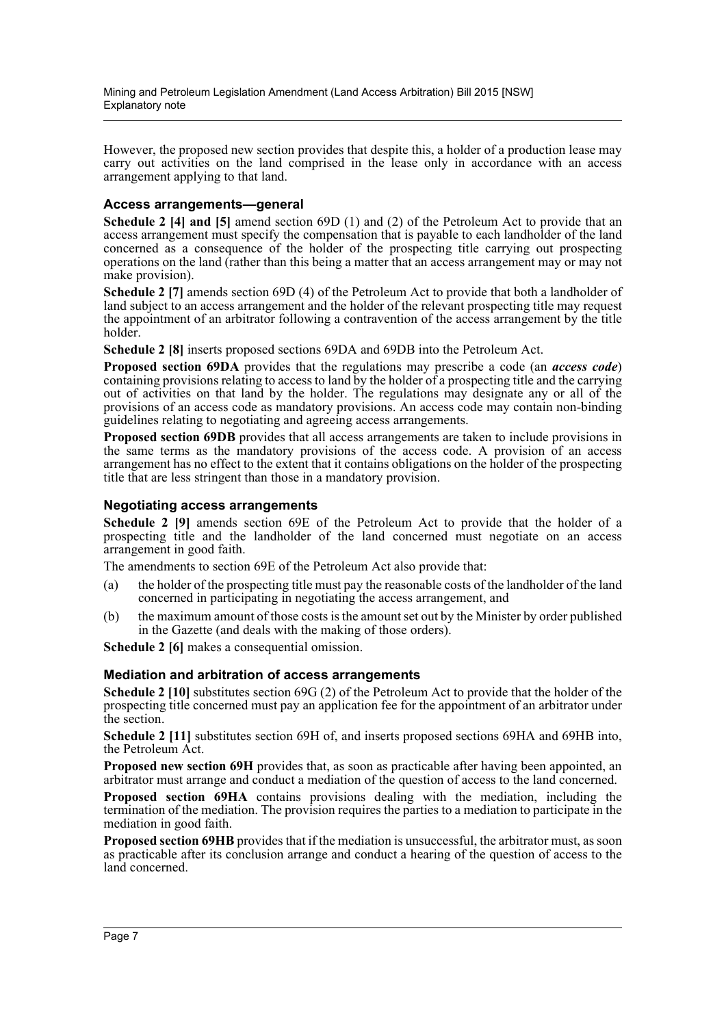However, the proposed new section provides that despite this, a holder of a production lease may carry out activities on the land comprised in the lease only in accordance with an access arrangement applying to that land.

#### **Access arrangements—general**

**Schedule 2 [4] and [5]** amend section 69D (1) and (2) of the Petroleum Act to provide that an access arrangement must specify the compensation that is payable to each landholder of the land concerned as a consequence of the holder of the prospecting title carrying out prospecting operations on the land (rather than this being a matter that an access arrangement may or may not make provision).

**Schedule 2 [7]** amends section 69D (4) of the Petroleum Act to provide that both a landholder of land subject to an access arrangement and the holder of the relevant prospecting title may request the appointment of an arbitrator following a contravention of the access arrangement by the title holder.

**Schedule 2 [8]** inserts proposed sections 69DA and 69DB into the Petroleum Act.

**Proposed section 69DA** provides that the regulations may prescribe a code (an *access code*) containing provisions relating to access to land by the holder of a prospecting title and the carrying out of activities on that land by the holder. The regulations may designate any or all of the provisions of an access code as mandatory provisions. An access code may contain non-binding guidelines relating to negotiating and agreeing access arrangements.

**Proposed section 69DB** provides that all access arrangements are taken to include provisions in the same terms as the mandatory provisions of the access code. A provision of an access arrangement has no effect to the extent that it contains obligations on the holder of the prospecting title that are less stringent than those in a mandatory provision.

#### **Negotiating access arrangements**

**Schedule 2 [9]** amends section 69E of the Petroleum Act to provide that the holder of a prospecting title and the landholder of the land concerned must negotiate on an access arrangement in good faith.

The amendments to section 69E of the Petroleum Act also provide that:

- (a) the holder of the prospecting title must pay the reasonable costs of the landholder of the land concerned in participating in negotiating the access arrangement, and
- (b) the maximum amount of those costs is the amount set out by the Minister by order published in the Gazette (and deals with the making of those orders).

**Schedule 2 [6]** makes a consequential omission.

#### **Mediation and arbitration of access arrangements**

**Schedule 2 [10]** substitutes section 69G (2) of the Petroleum Act to provide that the holder of the prospecting title concerned must pay an application fee for the appointment of an arbitrator under the section.

**Schedule 2 [11]** substitutes section 69H of, and inserts proposed sections 69HA and 69HB into, the Petroleum Act.

**Proposed new section 69H** provides that, as soon as practicable after having been appointed, an arbitrator must arrange and conduct a mediation of the question of access to the land concerned.

**Proposed section 69HA** contains provisions dealing with the mediation, including the termination of the mediation. The provision requires the parties to a mediation to participate in the mediation in good faith.

**Proposed section 69HB** provides that if the mediation is unsuccessful, the arbitrator must, as soon as practicable after its conclusion arrange and conduct a hearing of the question of access to the land concerned.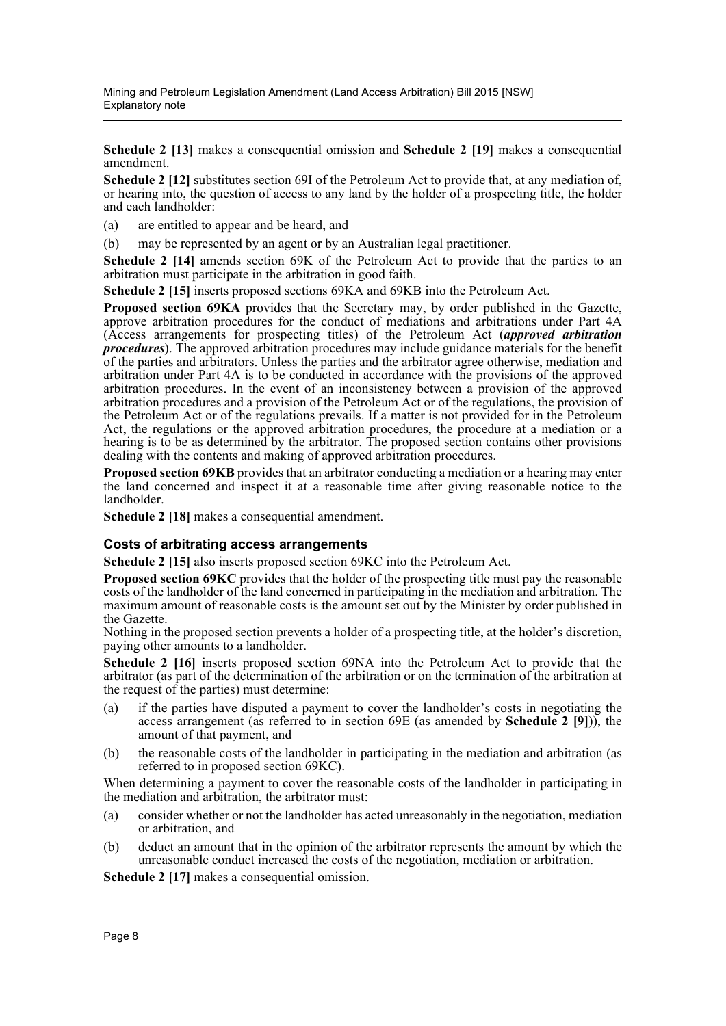**Schedule 2 [13]** makes a consequential omission and **Schedule 2 [19]** makes a consequential amendment.

**Schedule 2 [12]** substitutes section 69I of the Petroleum Act to provide that, at any mediation of, or hearing into, the question of access to any land by the holder of a prospecting title, the holder and each landholder:

(a) are entitled to appear and be heard, and

(b) may be represented by an agent or by an Australian legal practitioner.

**Schedule 2 [14]** amends section 69K of the Petroleum Act to provide that the parties to an arbitration must participate in the arbitration in good faith.

**Schedule 2 [15]** inserts proposed sections 69KA and 69KB into the Petroleum Act.

**Proposed section 69KA** provides that the Secretary may, by order published in the Gazette, approve arbitration procedures for the conduct of mediations and arbitrations under Part 4A (Access arrangements for prospecting titles) of the Petroleum Act (*approved arbitration procedures*). The approved arbitration procedures may include guidance materials for the benefit of the parties and arbitrators. Unless the parties and the arbitrator agree otherwise, mediation and arbitration under Part 4A is to be conducted in accordance with the provisions of the approved arbitration procedures. In the event of an inconsistency between a provision of the approved arbitration procedures and a provision of the Petroleum Act or of the regulations, the provision of the Petroleum Act or of the regulations prevails. If a matter is not provided for in the Petroleum Act, the regulations or the approved arbitration procedures, the procedure at a mediation or a hearing is to be as determined by the arbitrator. The proposed section contains other provisions dealing with the contents and making of approved arbitration procedures.

**Proposed section 69KB** provides that an arbitrator conducting a mediation or a hearing may enter the land concerned and inspect it at a reasonable time after giving reasonable notice to the landholder.

**Schedule 2 [18]** makes a consequential amendment.

#### **Costs of arbitrating access arrangements**

**Schedule 2 [15]** also inserts proposed section 69KC into the Petroleum Act.

**Proposed section 69KC** provides that the holder of the prospecting title must pay the reasonable costs of the landholder of the land concerned in participating in the mediation and arbitration. The maximum amount of reasonable costs is the amount set out by the Minister by order published in the Gazette.

Nothing in the proposed section prevents a holder of a prospecting title, at the holder's discretion, paying other amounts to a landholder.

**Schedule 2 [16]** inserts proposed section 69NA into the Petroleum Act to provide that the arbitrator (as part of the determination of the arbitration or on the termination of the arbitration at the request of the parties) must determine:

- (a) if the parties have disputed a payment to cover the landholder's costs in negotiating the access arrangement (as referred to in section 69E (as amended by **Schedule 2 [9]**)), the amount of that payment, and
- (b) the reasonable costs of the landholder in participating in the mediation and arbitration (as referred to in proposed section 69KC).

When determining a payment to cover the reasonable costs of the landholder in participating in the mediation and arbitration, the arbitrator must:

- (a) consider whether or not the landholder has acted unreasonably in the negotiation, mediation or arbitration, and
- (b) deduct an amount that in the opinion of the arbitrator represents the amount by which the unreasonable conduct increased the costs of the negotiation, mediation or arbitration.

**Schedule 2 [17]** makes a consequential omission.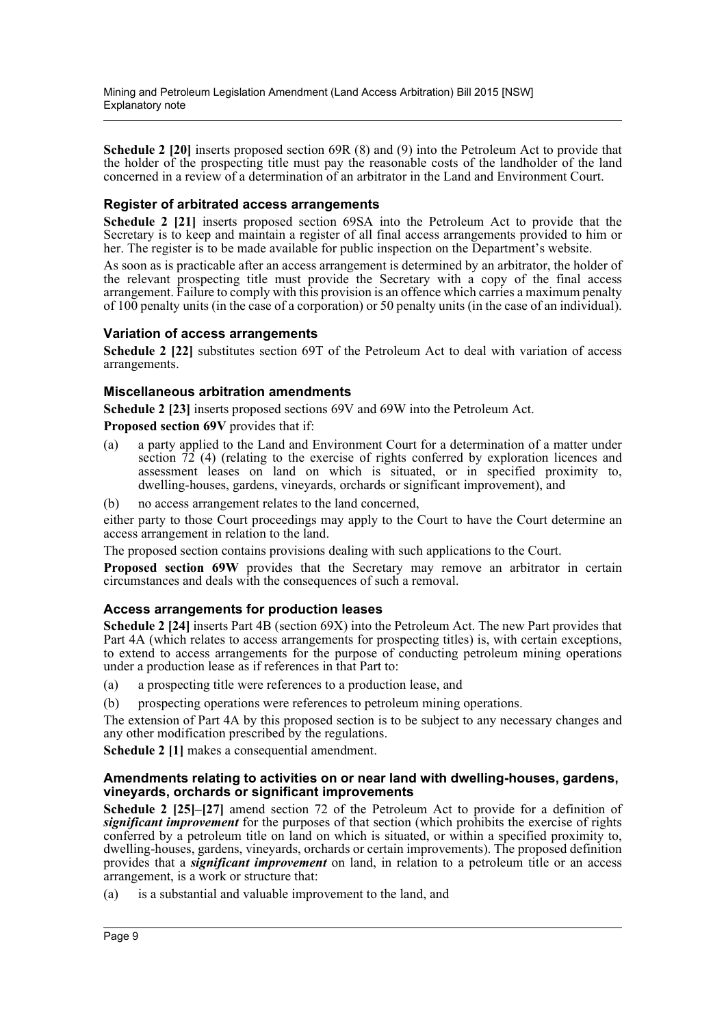**Schedule 2 [20]** inserts proposed section 69R (8) and (9) into the Petroleum Act to provide that the holder of the prospecting title must pay the reasonable costs of the landholder of the land concerned in a review of a determination of an arbitrator in the Land and Environment Court.

#### **Register of arbitrated access arrangements**

**Schedule 2 [21]** inserts proposed section 69SA into the Petroleum Act to provide that the Secretary is to keep and maintain a register of all final access arrangements provided to him or her. The register is to be made available for public inspection on the Department's website.

As soon as is practicable after an access arrangement is determined by an arbitrator, the holder of the relevant prospecting title must provide the Secretary with a copy of the final access arrangement. Failure to comply with this provision is an offence which carries a maximum penalty of 100 penalty units (in the case of a corporation) or 50 penalty units (in the case of an individual).

#### **Variation of access arrangements**

**Schedule 2 [22]** substitutes section 69T of the Petroleum Act to deal with variation of access arrangements.

#### **Miscellaneous arbitration amendments**

**Schedule 2 [23]** inserts proposed sections 69V and 69W into the Petroleum Act. **Proposed section 69V** provides that if:

- (a) a party applied to the Land and Environment Court for a determination of a matter under section  $72$  (4) (relating to the exercise of rights conferred by exploration licences and assessment leases on land on which is situated, or in specified proximity to, dwelling-houses, gardens, vineyards, orchards or significant improvement), and
- (b) no access arrangement relates to the land concerned,

either party to those Court proceedings may apply to the Court to have the Court determine an access arrangement in relation to the land.

The proposed section contains provisions dealing with such applications to the Court.

**Proposed section 69W** provides that the Secretary may remove an arbitrator in certain circumstances and deals with the consequences of such a removal.

#### **Access arrangements for production leases**

**Schedule 2 [24]** inserts Part 4B (section 69X) into the Petroleum Act. The new Part provides that Part 4A (which relates to access arrangements for prospecting titles) is, with certain exceptions, to extend to access arrangements for the purpose of conducting petroleum mining operations under a production lease as if references in that Part to:

- (a) a prospecting title were references to a production lease, and
- (b) prospecting operations were references to petroleum mining operations.

The extension of Part 4A by this proposed section is to be subject to any necessary changes and any other modification prescribed by the regulations.

**Schedule 2 [1]** makes a consequential amendment.

#### **Amendments relating to activities on or near land with dwelling-houses, gardens, vineyards, orchards or significant improvements**

**Schedule 2 [25]–[27]** amend section 72 of the Petroleum Act to provide for a definition of *significant improvement* for the purposes of that section (which prohibits the exercise of rights conferred by a petroleum title on land on which is situated, or within a specified proximity to, dwelling-houses, gardens, vineyards, orchards or certain improvements). The proposed definition provides that a *significant improvement* on land, in relation to a petroleum title or an access arrangement, is a work or structure that:

(a) is a substantial and valuable improvement to the land, and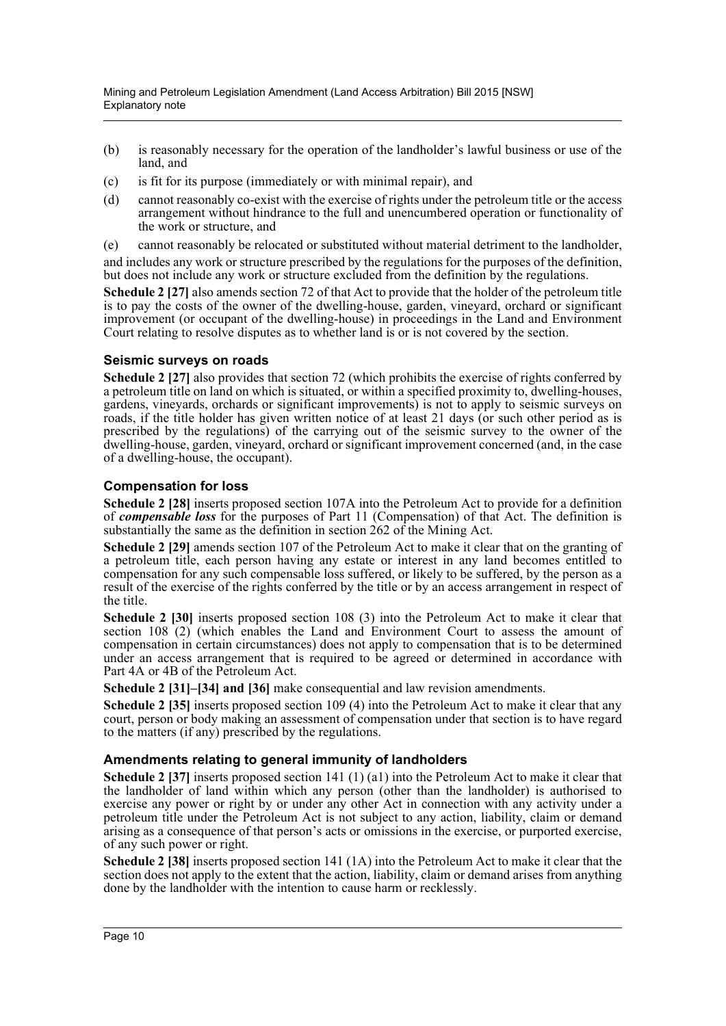- (b) is reasonably necessary for the operation of the landholder's lawful business or use of the land, and
- (c) is fit for its purpose (immediately or with minimal repair), and
- (d) cannot reasonably co-exist with the exercise of rights under the petroleum title or the access arrangement without hindrance to the full and unencumbered operation or functionality of the work or structure, and
- (e) cannot reasonably be relocated or substituted without material detriment to the landholder,

and includes any work or structure prescribed by the regulations for the purposes of the definition, but does not include any work or structure excluded from the definition by the regulations.

**Schedule 2 [27]** also amends section 72 of that Act to provide that the holder of the petroleum title is to pay the costs of the owner of the dwelling-house, garden, vineyard, orchard or significant improvement (or occupant of the dwelling-house) in proceedings in the Land and Environment Court relating to resolve disputes as to whether land is or is not covered by the section.

#### **Seismic surveys on roads**

**Schedule 2 [27]** also provides that section 72 (which prohibits the exercise of rights conferred by a petroleum title on land on which is situated, or within a specified proximity to, dwelling-houses, gardens, vineyards, orchards or significant improvements) is not to apply to seismic surveys on roads, if the title holder has given written notice of at least 21 days (or such other period as is prescribed by the regulations) of the carrying out of the seismic survey to the owner of the dwelling-house, garden, vineyard, orchard or significant improvement concerned (and, in the case of a dwelling-house, the occupant).

#### **Compensation for loss**

**Schedule 2 [28]** inserts proposed section 107A into the Petroleum Act to provide for a definition of *compensable loss* for the purposes of Part 11 (Compensation) of that Act. The definition is substantially the same as the definition in section 262 of the Mining Act.

**Schedule 2 [29]** amends section 107 of the Petroleum Act to make it clear that on the granting of a petroleum title, each person having any estate or interest in any land becomes entitled to compensation for any such compensable loss suffered, or likely to be suffered, by the person as a result of the exercise of the rights conferred by the title or by an access arrangement in respect of the title.

**Schedule 2 [30]** inserts proposed section 108 (3) into the Petroleum Act to make it clear that section 108 (2) (which enables the Land and Environment Court to assess the amount of compensation in certain circumstances) does not apply to compensation that is to be determined under an access arrangement that is required to be agreed or determined in accordance with Part 4A or 4B of the Petroleum Act.

**Schedule 2 [31]–[34] and [36]** make consequential and law revision amendments.

**Schedule 2 [35]** inserts proposed section 109 (4) into the Petroleum Act to make it clear that any court, person or body making an assessment of compensation under that section is to have regard to the matters (if any) prescribed by the regulations.

#### **Amendments relating to general immunity of landholders**

**Schedule 2 [37]** inserts proposed section 141 (1) (a1) into the Petroleum Act to make it clear that the landholder of land within which any person (other than the landholder) is authorised to exercise any power or right by or under any other Act in connection with any activity under a petroleum title under the Petroleum Act is not subject to any action, liability, claim or demand arising as a consequence of that person's acts or omissions in the exercise, or purported exercise, of any such power or right.

**Schedule 2 [38]** inserts proposed section 141 (1A) into the Petroleum Act to make it clear that the section does not apply to the extent that the action, liability, claim or demand arises from anything done by the landholder with the intention to cause harm or recklessly.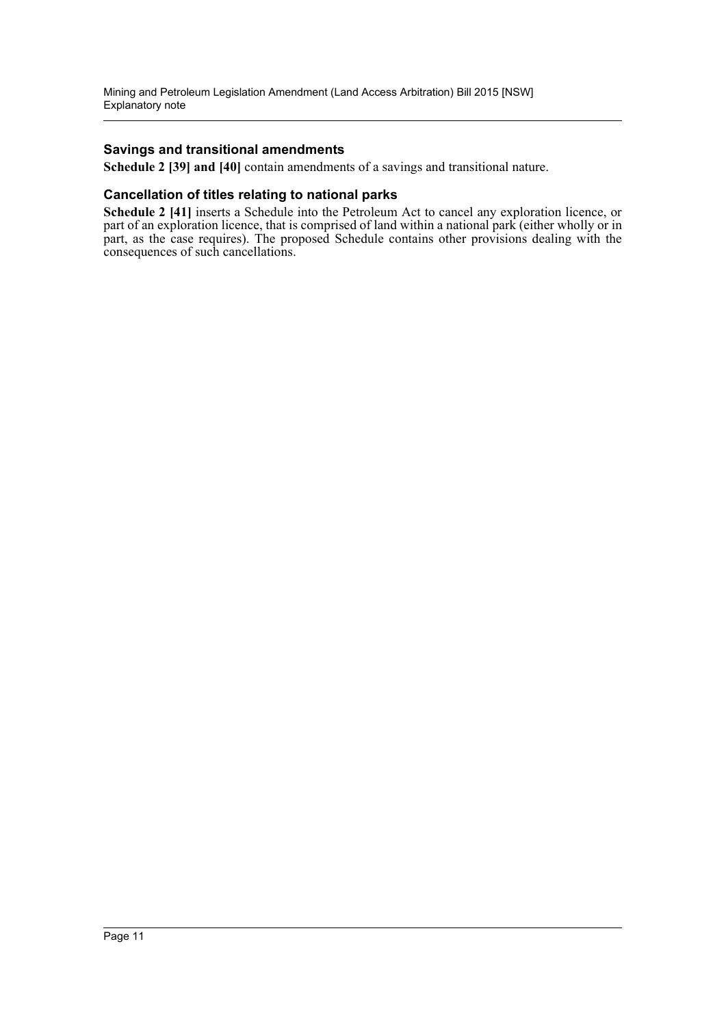#### **Savings and transitional amendments**

**Schedule 2 [39] and [40]** contain amendments of a savings and transitional nature.

#### **Cancellation of titles relating to national parks**

**Schedule 2 [41]** inserts a Schedule into the Petroleum Act to cancel any exploration licence, or part of an exploration licence, that is comprised of land within a national park (either wholly or in part, as the case requires). The proposed Schedule contains other provisions dealing with the consequences of such cancellations.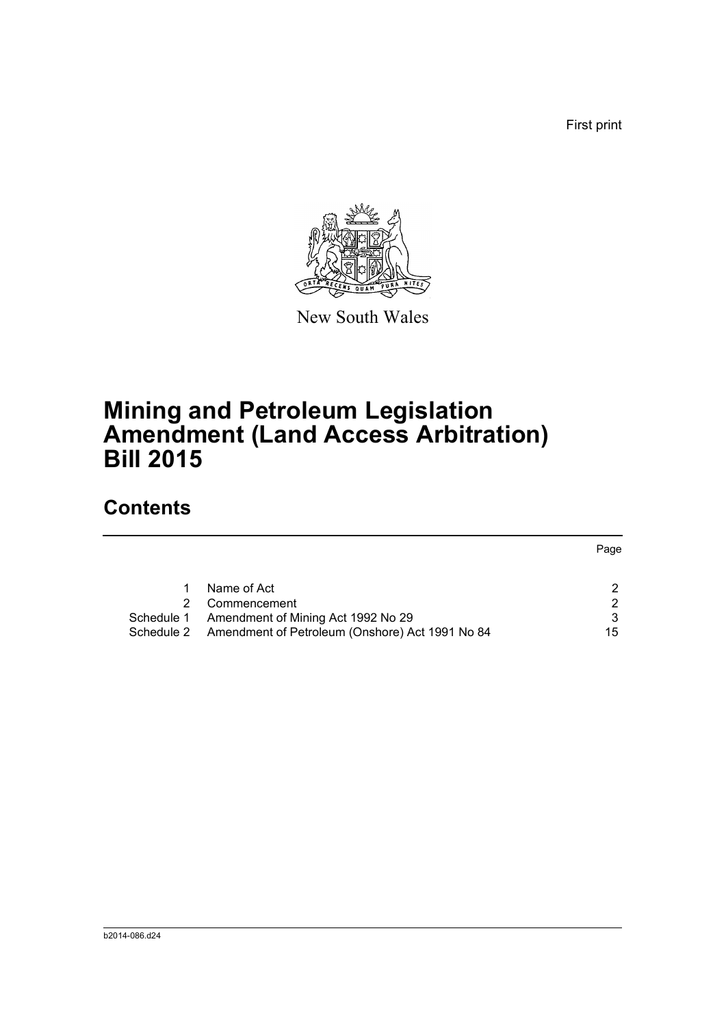First print



New South Wales

# **Mining and Petroleum Legislation Amendment (Land Access Arbitration) Bill 2015**

## **Contents**

|            |                                                            | Page |
|------------|------------------------------------------------------------|------|
|            |                                                            |      |
|            | Name of Act                                                | າ    |
|            | Commencement                                               | 2    |
| Schedule 1 | Amendment of Mining Act 1992 No 29                         | 3    |
|            | Schedule 2 Amendment of Petroleum (Onshore) Act 1991 No 84 | 15   |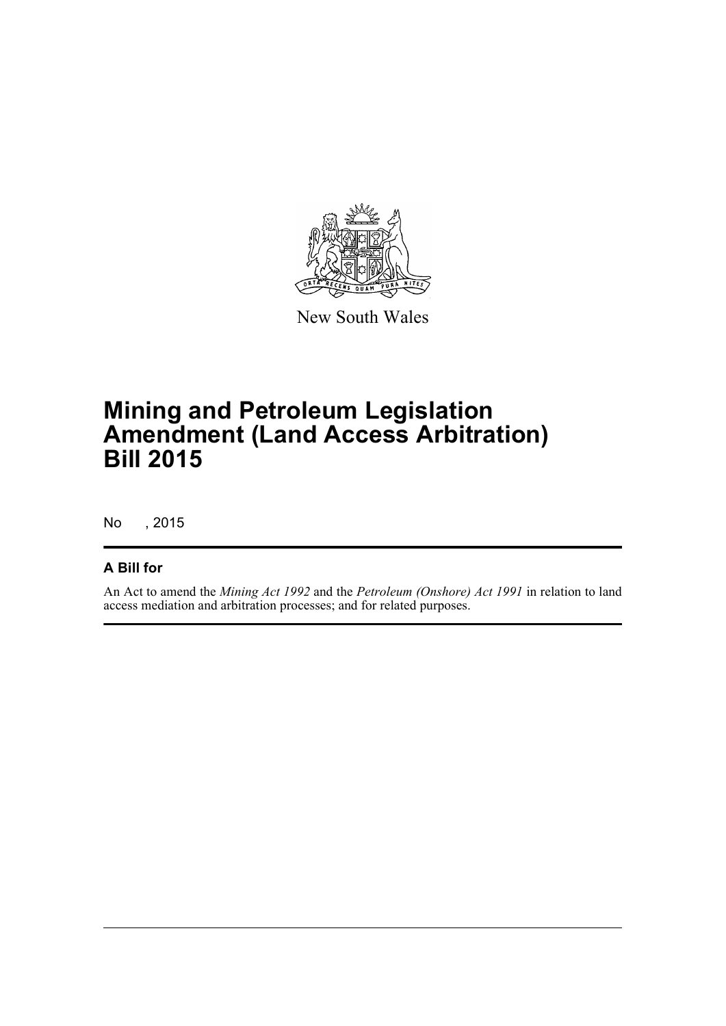

New South Wales

# **Mining and Petroleum Legislation Amendment (Land Access Arbitration) Bill 2015**

No , 2015

### **A Bill for**

An Act to amend the *Mining Act 1992* and the *Petroleum (Onshore) Act 1991* in relation to land access mediation and arbitration processes; and for related purposes.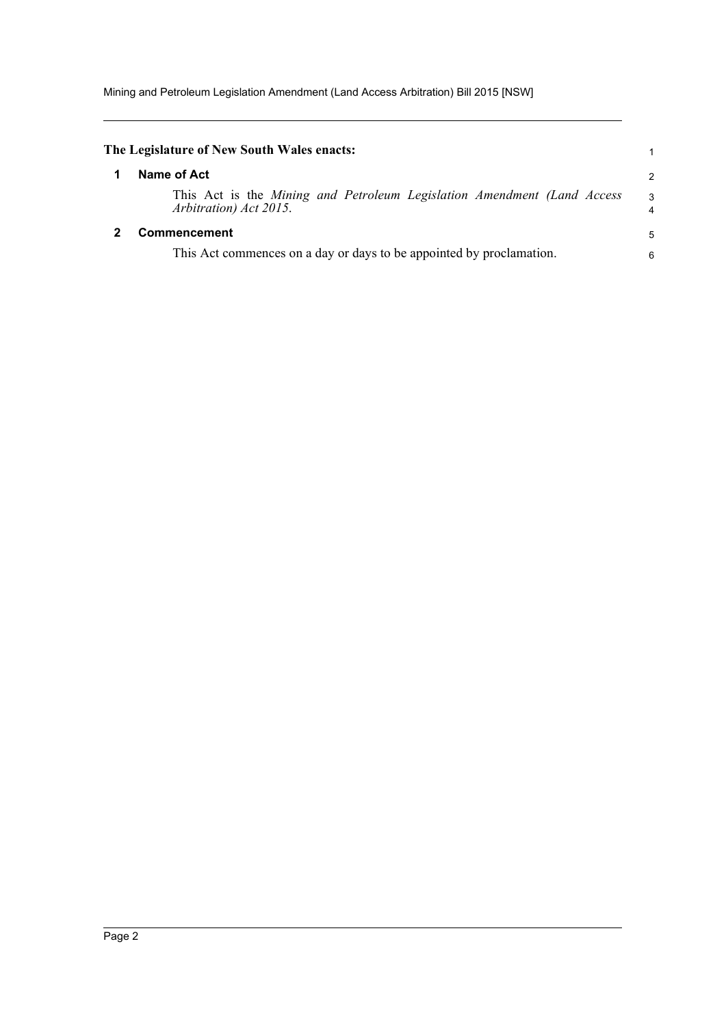<span id="page-13-1"></span><span id="page-13-0"></span>

| The Legislature of New South Wales enacts:                                                        |                     |
|---------------------------------------------------------------------------------------------------|---------------------|
| Name of Act                                                                                       | 2                   |
| This Act is the Mining and Petroleum Legislation Amendment (Land Access<br>Arbitration) Act 2015. | 3<br>$\overline{4}$ |
| <b>Commencement</b>                                                                               | 5                   |
| This Act commences on a day or days to be appointed by proclamation.                              | 6                   |
|                                                                                                   |                     |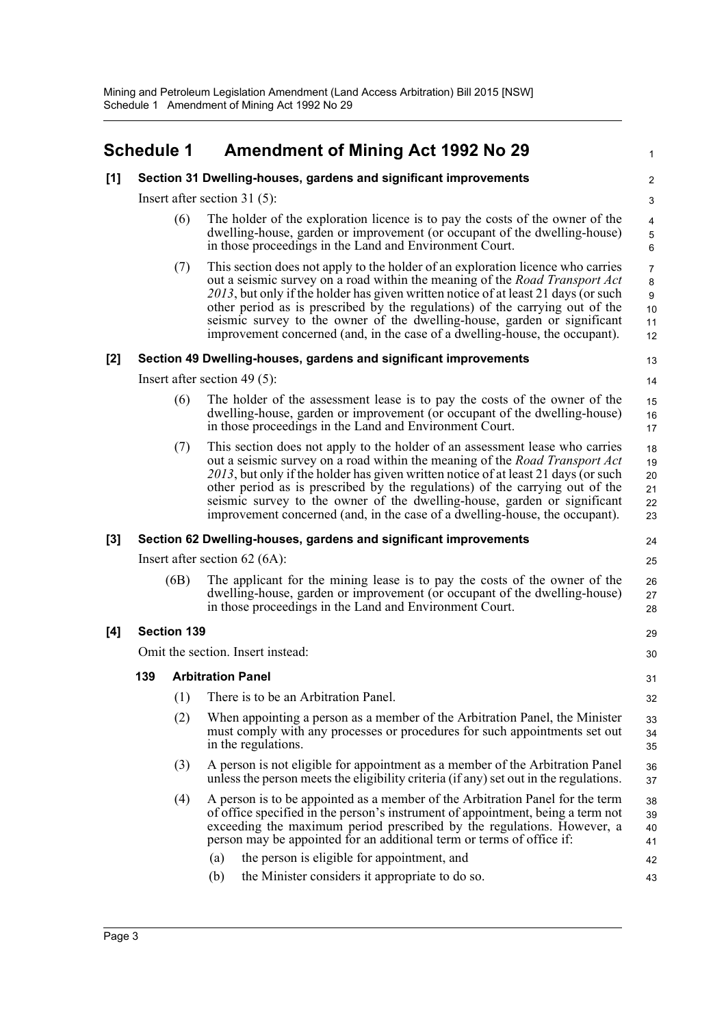<span id="page-14-0"></span>

|       | <b>Schedule 1</b>                                                |     | <b>Amendment of Mining Act 1992 No 29</b>                                                                                                                                                                                                                                                                                                                                                                                                                                                              | 1                                                         |  |  |
|-------|------------------------------------------------------------------|-----|--------------------------------------------------------------------------------------------------------------------------------------------------------------------------------------------------------------------------------------------------------------------------------------------------------------------------------------------------------------------------------------------------------------------------------------------------------------------------------------------------------|-----------------------------------------------------------|--|--|
| [1]   |                                                                  |     | Section 31 Dwelling-houses, gardens and significant improvements                                                                                                                                                                                                                                                                                                                                                                                                                                       | $\overline{2}$                                            |  |  |
|       |                                                                  |     | Insert after section 31 $(5)$ :                                                                                                                                                                                                                                                                                                                                                                                                                                                                        | 3                                                         |  |  |
|       |                                                                  | (6) | The holder of the exploration licence is to pay the costs of the owner of the<br>dwelling-house, garden or improvement (or occupant of the dwelling-house)<br>in those proceedings in the Land and Environment Court.                                                                                                                                                                                                                                                                                  | 4<br>$\,$ 5 $\,$<br>6                                     |  |  |
|       |                                                                  | (7) | This section does not apply to the holder of an exploration licence who carries<br>out a seismic survey on a road within the meaning of the <i>Road Transport Act</i><br>2013, but only if the holder has given written notice of at least 21 days (or such<br>other period as is prescribed by the regulations) of the carrying out of the<br>seismic survey to the owner of the dwelling-house, garden or significant<br>improvement concerned (and, in the case of a dwelling-house, the occupant). | $\overline{7}$<br>8<br>$\boldsymbol{9}$<br>10<br>11<br>12 |  |  |
| $[2]$ |                                                                  |     | Section 49 Dwelling-houses, gardens and significant improvements                                                                                                                                                                                                                                                                                                                                                                                                                                       | 13                                                        |  |  |
|       |                                                                  |     | Insert after section 49 $(5)$ :                                                                                                                                                                                                                                                                                                                                                                                                                                                                        | 14                                                        |  |  |
|       |                                                                  | (6) | The holder of the assessment lease is to pay the costs of the owner of the<br>dwelling-house, garden or improvement (or occupant of the dwelling-house)<br>in those proceedings in the Land and Environment Court.                                                                                                                                                                                                                                                                                     | 15<br>16<br>17                                            |  |  |
|       |                                                                  | (7) | This section does not apply to the holder of an assessment lease who carries<br>out a seismic survey on a road within the meaning of the <i>Road Transport Act</i><br>2013, but only if the holder has given written notice of at least 21 days (or such<br>other period as is prescribed by the regulations) of the carrying out of the<br>seismic survey to the owner of the dwelling-house, garden or significant<br>improvement concerned (and, in the case of a dwelling-house, the occupant).    | 18<br>19<br>20<br>21<br>22<br>23                          |  |  |
| $[3]$ | Section 62 Dwelling-houses, gardens and significant improvements |     |                                                                                                                                                                                                                                                                                                                                                                                                                                                                                                        |                                                           |  |  |
|       |                                                                  |     | Insert after section $62(6A)$ :                                                                                                                                                                                                                                                                                                                                                                                                                                                                        | 25                                                        |  |  |
|       | (6B)                                                             |     | The applicant for the mining lease is to pay the costs of the owner of the<br>dwelling-house, garden or improvement (or occupant of the dwelling-house)<br>in those proceedings in the Land and Environment Court.                                                                                                                                                                                                                                                                                     | 26<br>27<br>28                                            |  |  |
| [4]   | <b>Section 139</b>                                               |     |                                                                                                                                                                                                                                                                                                                                                                                                                                                                                                        |                                                           |  |  |
|       | Omit the section. Insert instead:                                |     |                                                                                                                                                                                                                                                                                                                                                                                                                                                                                                        |                                                           |  |  |
|       | 139                                                              |     | <b>Arbitration Panel</b>                                                                                                                                                                                                                                                                                                                                                                                                                                                                               | 31                                                        |  |  |
|       |                                                                  | (1) | There is to be an Arbitration Panel.                                                                                                                                                                                                                                                                                                                                                                                                                                                                   | 32                                                        |  |  |
|       |                                                                  | (2) | When appointing a person as a member of the Arbitration Panel, the Minister<br>must comply with any processes or procedures for such appointments set out<br>in the regulations.                                                                                                                                                                                                                                                                                                                       | 33<br>34<br>35                                            |  |  |
|       |                                                                  | (3) | A person is not eligible for appointment as a member of the Arbitration Panel<br>unless the person meets the eligibility criteria (if any) set out in the regulations.                                                                                                                                                                                                                                                                                                                                 | 36<br>37                                                  |  |  |
|       |                                                                  | (4) | A person is to be appointed as a member of the Arbitration Panel for the term<br>of office specified in the person's instrument of appointment, being a term not<br>exceeding the maximum period prescribed by the regulations. However, a<br>person may be appointed for an additional term or terms of office if:                                                                                                                                                                                    | 38<br>39<br>40<br>41                                      |  |  |
|       |                                                                  |     | the person is eligible for appointment, and<br>(a)                                                                                                                                                                                                                                                                                                                                                                                                                                                     | 42                                                        |  |  |
|       |                                                                  |     | the Minister considers it appropriate to do so.<br>(b)                                                                                                                                                                                                                                                                                                                                                                                                                                                 | 43                                                        |  |  |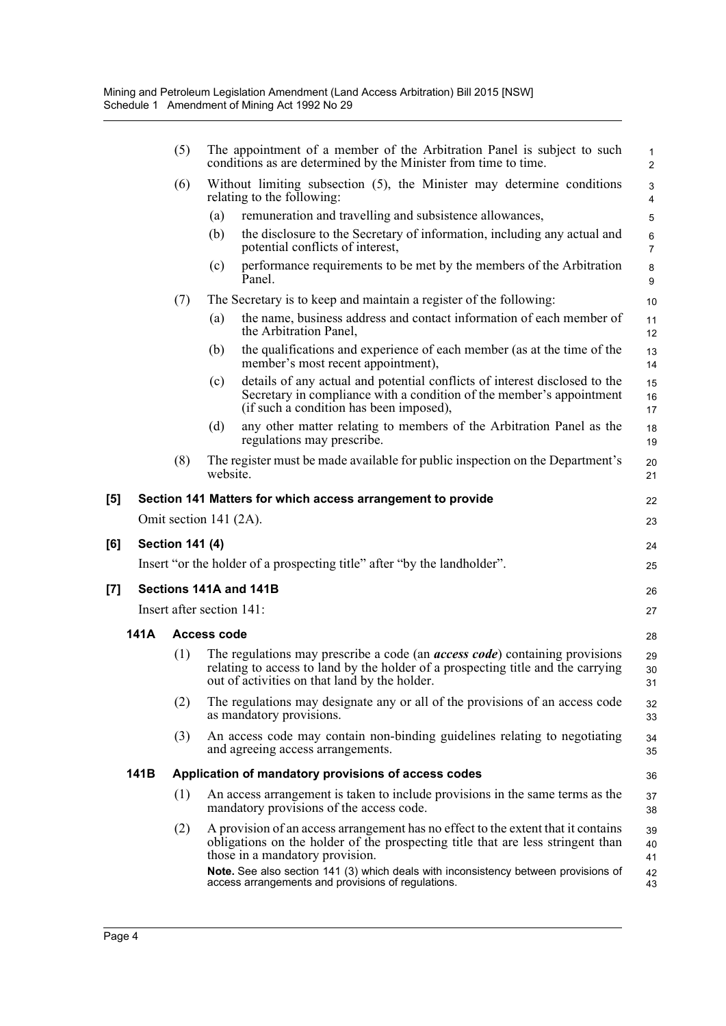|                   |      | (5)                    | The appointment of a member of the Arbitration Panel is subject to such<br>conditions as are determined by the Minister from time to time.                                                                                                                                                     | $\mathbf{1}$<br>$\overline{2}$ |
|-------------------|------|------------------------|------------------------------------------------------------------------------------------------------------------------------------------------------------------------------------------------------------------------------------------------------------------------------------------------|--------------------------------|
|                   |      | (6)                    | Without limiting subsection (5), the Minister may determine conditions<br>relating to the following:                                                                                                                                                                                           | $\mathsf 3$<br>4               |
|                   |      |                        | remuneration and travelling and subsistence allowances,<br>(a)                                                                                                                                                                                                                                 | 5                              |
|                   |      |                        | (b)<br>the disclosure to the Secretary of information, including any actual and<br>potential conflicts of interest,                                                                                                                                                                            | $\,6\,$<br>$\overline{7}$      |
|                   |      |                        | performance requirements to be met by the members of the Arbitration<br>(c)<br>Panel.                                                                                                                                                                                                          | 8<br>9                         |
|                   |      | (7)                    | The Secretary is to keep and maintain a register of the following:                                                                                                                                                                                                                             | 10                             |
|                   |      |                        | the name, business address and contact information of each member of<br>(a)<br>the Arbitration Panel,                                                                                                                                                                                          | 11<br>12                       |
|                   |      |                        | the qualifications and experience of each member (as at the time of the<br>(b)<br>member's most recent appointment),                                                                                                                                                                           | 13<br>14                       |
|                   |      |                        | details of any actual and potential conflicts of interest disclosed to the<br>(c)<br>Secretary in compliance with a condition of the member's appointment<br>(if such a condition has been imposed),                                                                                           | 15<br>16<br>17                 |
|                   |      |                        | any other matter relating to members of the Arbitration Panel as the<br>(d)<br>regulations may prescribe.                                                                                                                                                                                      | 18<br>19                       |
|                   |      | (8)                    | The register must be made available for public inspection on the Department's<br>website.                                                                                                                                                                                                      | 20<br>21                       |
| $\left[ 5\right]$ |      |                        | Section 141 Matters for which access arrangement to provide                                                                                                                                                                                                                                    | 22                             |
|                   |      |                        | Omit section 141 (2A).                                                                                                                                                                                                                                                                         | 23                             |
| [6]               |      | <b>Section 141 (4)</b> |                                                                                                                                                                                                                                                                                                |                                |
|                   |      |                        | Insert "or the holder of a prospecting title" after "by the landholder".                                                                                                                                                                                                                       | 24                             |
|                   |      |                        |                                                                                                                                                                                                                                                                                                | 25                             |
| [7]               |      |                        | Sections 141A and 141B                                                                                                                                                                                                                                                                         | 26                             |
|                   |      |                        | Insert after section 141:                                                                                                                                                                                                                                                                      | 27                             |
|                   | 141A |                        | <b>Access code</b>                                                                                                                                                                                                                                                                             | 28                             |
|                   |      | (1)                    | The regulations may prescribe a code (an <i>access code</i> ) containing provisions<br>relating to access to land by the holder of a prospecting title and the carrying<br>out of activities on that land by the holder.                                                                       | 29<br>30<br>31                 |
|                   |      | (2)                    | The regulations may designate any or all of the provisions of an access code<br>as mandatory provisions.                                                                                                                                                                                       | 32<br>33                       |
|                   |      | (3)                    | An access code may contain non-binding guidelines relating to negotiating<br>and agreeing access arrangements.                                                                                                                                                                                 | 34<br>35                       |
|                   | 141B |                        | Application of mandatory provisions of access codes                                                                                                                                                                                                                                            | 36                             |
|                   |      | (1)                    | An access arrangement is taken to include provisions in the same terms as the<br>mandatory provisions of the access code.                                                                                                                                                                      | 37<br>38                       |
|                   |      | (2)                    | A provision of an access arrangement has no effect to the extent that it contains<br>obligations on the holder of the prospecting title that are less stringent than<br>those in a mandatory provision.<br>Note. See also section 141 (3) which deals with inconsistency between provisions of | 39<br>40<br>41<br>42           |
|                   |      |                        | access arrangements and provisions of regulations.                                                                                                                                                                                                                                             | 43                             |

**[6] Section 141 (4)**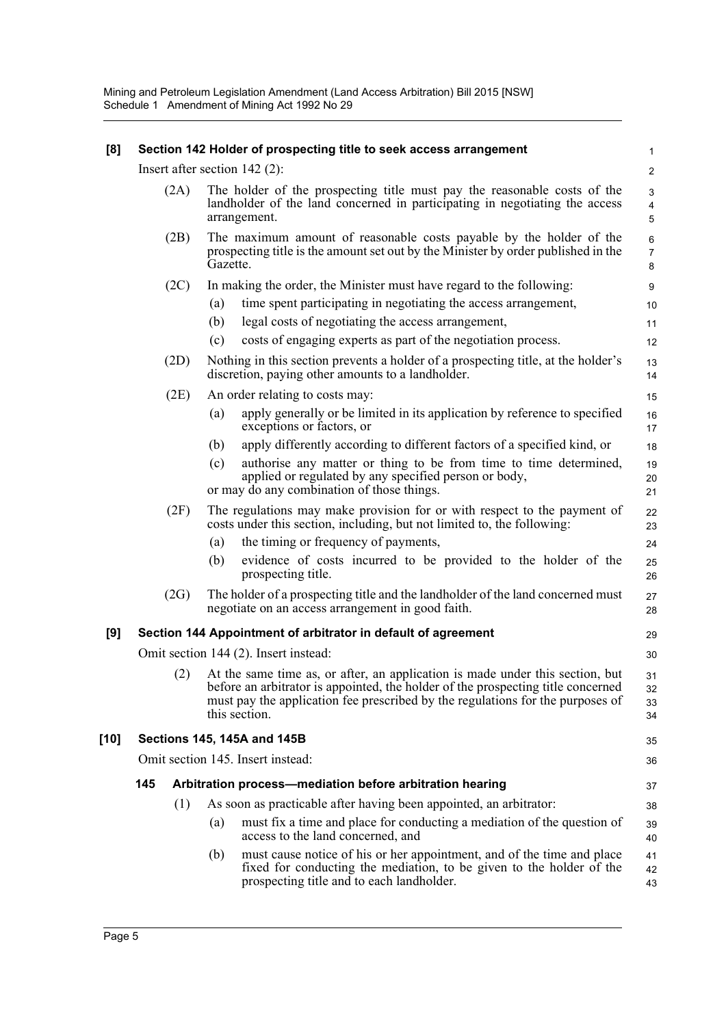Mining and Petroleum Legislation Amendment (Land Access Arbitration) Bill 2015 [NSW] Schedule 1 Amendment of Mining Act 1992 No 29

| [8]    | Section 142 Holder of prospecting title to seek access arrangement |                                                                                                                                                                                                                                                                      |                          |  |  |
|--------|--------------------------------------------------------------------|----------------------------------------------------------------------------------------------------------------------------------------------------------------------------------------------------------------------------------------------------------------------|--------------------------|--|--|
|        |                                                                    | Insert after section $142$ (2):                                                                                                                                                                                                                                      | $\overline{2}$           |  |  |
|        | (2A)                                                               | The holder of the prospecting title must pay the reasonable costs of the<br>landholder of the land concerned in participating in negotiating the access<br>arrangement.                                                                                              | 3<br>4<br>5              |  |  |
|        | (2B)                                                               | The maximum amount of reasonable costs payable by the holder of the<br>prospecting title is the amount set out by the Minister by order published in the<br>Gazette.                                                                                                 | 6<br>$\overline{7}$<br>8 |  |  |
|        | (2C)                                                               | In making the order, the Minister must have regard to the following:                                                                                                                                                                                                 | 9                        |  |  |
|        |                                                                    | time spent participating in negotiating the access arrangement,<br>(a)                                                                                                                                                                                               | 10                       |  |  |
|        |                                                                    | (b)<br>legal costs of negotiating the access arrangement,                                                                                                                                                                                                            | 11                       |  |  |
|        |                                                                    | costs of engaging experts as part of the negotiation process.<br>(c)                                                                                                                                                                                                 | 12                       |  |  |
|        | (2D)                                                               | Nothing in this section prevents a holder of a prospecting title, at the holder's<br>discretion, paying other amounts to a landholder.                                                                                                                               | 13<br>14                 |  |  |
|        | (2E)                                                               | An order relating to costs may:                                                                                                                                                                                                                                      | 15                       |  |  |
|        |                                                                    | apply generally or be limited in its application by reference to specified<br>(a)<br>exceptions or factors, or                                                                                                                                                       | 16<br>17                 |  |  |
|        |                                                                    | apply differently according to different factors of a specified kind, or<br>(b)                                                                                                                                                                                      | 18                       |  |  |
|        |                                                                    | authorise any matter or thing to be from time to time determined,<br>(c)<br>applied or regulated by any specified person or body,<br>or may do any combination of those things.                                                                                      | 19<br>20<br>21           |  |  |
|        |                                                                    |                                                                                                                                                                                                                                                                      |                          |  |  |
|        | (2F)                                                               | The regulations may make provision for or with respect to the payment of<br>costs under this section, including, but not limited to, the following:                                                                                                                  | 22<br>23                 |  |  |
|        |                                                                    | the timing or frequency of payments,<br>(a)                                                                                                                                                                                                                          | 24                       |  |  |
|        |                                                                    | evidence of costs incurred to be provided to the holder of the<br>(b)<br>prospecting title.                                                                                                                                                                          | 25<br>26                 |  |  |
|        | (2G)                                                               | The holder of a prospecting title and the landholder of the land concerned must<br>negotiate on an access arrangement in good faith.                                                                                                                                 | 27<br>28                 |  |  |
| [9]    |                                                                    | Section 144 Appointment of arbitrator in default of agreement                                                                                                                                                                                                        | 29                       |  |  |
|        |                                                                    | Omit section 144 (2). Insert instead:                                                                                                                                                                                                                                | 30                       |  |  |
|        | (2)                                                                | At the same time as, or after, an application is made under this section, but<br>before an arbitrator is appointed, the holder of the prospecting title concerned<br>must pay the application fee prescribed by the regulations for the purposes of<br>this section. | 31<br>32<br>33<br>34     |  |  |
| $[10]$ |                                                                    | <b>Sections 145, 145A and 145B</b>                                                                                                                                                                                                                                   | 35                       |  |  |
|        |                                                                    | Omit section 145. Insert instead:                                                                                                                                                                                                                                    | 36                       |  |  |
|        | 145                                                                | Arbitration process-mediation before arbitration hearing                                                                                                                                                                                                             | 37                       |  |  |
|        | (1)                                                                | As soon as practicable after having been appointed, an arbitrator:                                                                                                                                                                                                   | 38                       |  |  |
|        |                                                                    | must fix a time and place for conducting a mediation of the question of<br>(a)<br>access to the land concerned, and                                                                                                                                                  | 39<br>40                 |  |  |
|        |                                                                    | must cause notice of his or her appointment, and of the time and place<br>(b)<br>fixed for conducting the mediation, to be given to the holder of the<br>prospecting title and to each landholder.                                                                   | 41<br>42<br>43           |  |  |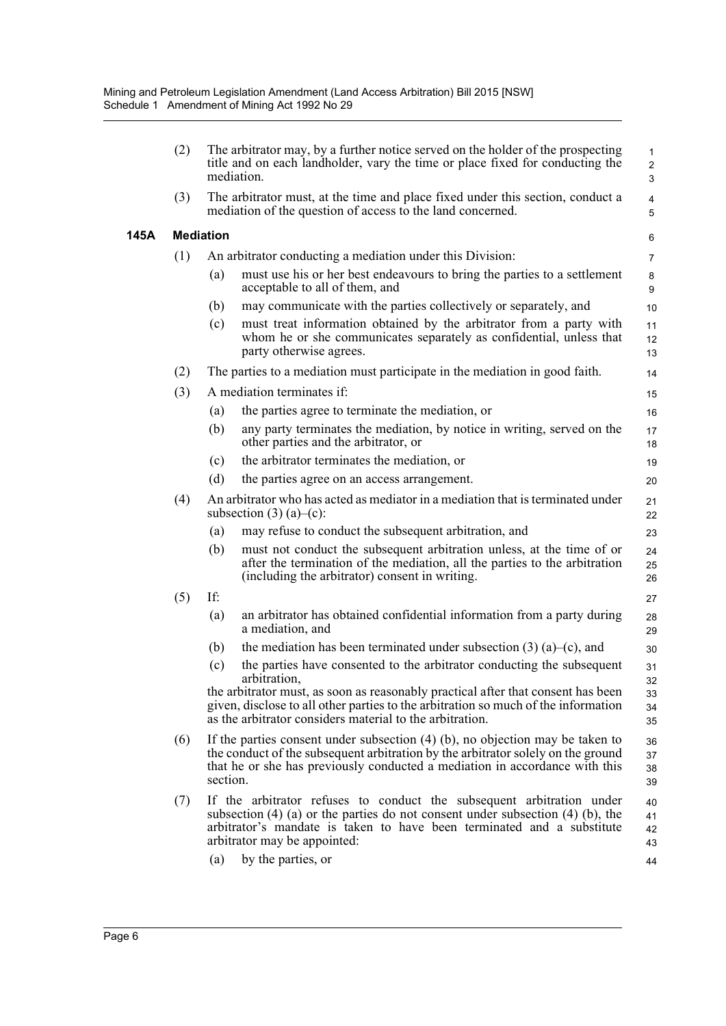|      | (2) | mediation.                                                                  | The arbitrator may, by a further notice served on the holder of the prospecting<br>title and on each landholder, vary the time or place fixed for conducting the                                                                                   | $\mathbf{1}$<br>$\overline{2}$<br>3 |
|------|-----|-----------------------------------------------------------------------------|----------------------------------------------------------------------------------------------------------------------------------------------------------------------------------------------------------------------------------------------------|-------------------------------------|
|      | (3) | mediation of the question of access to the land concerned.                  | The arbitrator must, at the time and place fixed under this section, conduct a                                                                                                                                                                     | 4<br>5                              |
| 145A |     | <b>Mediation</b>                                                            |                                                                                                                                                                                                                                                    | 6                                   |
|      | (1) | An arbitrator conducting a mediation under this Division:                   |                                                                                                                                                                                                                                                    | $\overline{7}$                      |
|      |     | (a)<br>acceptable to all of them, and                                       | must use his or her best endeavours to bring the parties to a settlement                                                                                                                                                                           | 8<br>9                              |
|      |     | (b)                                                                         | may communicate with the parties collectively or separately, and                                                                                                                                                                                   | 10                                  |
|      |     | (c)<br>party otherwise agrees.                                              | must treat information obtained by the arbitrator from a party with<br>whom he or she communicates separately as confidential, unless that                                                                                                         | 11<br>12<br>13                      |
|      | (2) | The parties to a mediation must participate in the mediation in good faith. |                                                                                                                                                                                                                                                    | 14                                  |
|      | (3) | A mediation terminates if:                                                  |                                                                                                                                                                                                                                                    | 15                                  |
|      |     | the parties agree to terminate the mediation, or<br>(a)                     |                                                                                                                                                                                                                                                    | 16                                  |
|      |     | (b)<br>other parties and the arbitrator, or                                 | any party terminates the mediation, by notice in writing, served on the                                                                                                                                                                            | 17<br>18                            |
|      |     | the arbitrator terminates the mediation, or<br>(c)                          |                                                                                                                                                                                                                                                    | 19                                  |
|      |     | (d)<br>the parties agree on an access arrangement.                          |                                                                                                                                                                                                                                                    | 20                                  |
|      | (4) | subsection $(3)$ $(a)$ – $(c)$ :                                            | An arbitrator who has acted as mediator in a mediation that is terminated under                                                                                                                                                                    | 21<br>22                            |
|      |     | may refuse to conduct the subsequent arbitration, and<br>(a)                |                                                                                                                                                                                                                                                    | 23                                  |
|      |     | (b)<br>(including the arbitrator) consent in writing.                       | must not conduct the subsequent arbitration unless, at the time of or<br>after the termination of the mediation, all the parties to the arbitration                                                                                                | 24<br>25<br>26                      |
|      | (5) | If:                                                                         |                                                                                                                                                                                                                                                    | 27                                  |
|      |     | (a)<br>a mediation, and                                                     | an arbitrator has obtained confidential information from a party during                                                                                                                                                                            | 28<br>29                            |
|      |     | (b)                                                                         | the mediation has been terminated under subsection $(3)$ $(a)$ – $(c)$ , and                                                                                                                                                                       | 30                                  |
|      |     | (c)<br>arbitration,                                                         | the parties have consented to the arbitrator conducting the subsequent                                                                                                                                                                             | 31<br>32                            |
|      |     | as the arbitrator considers material to the arbitration.                    | the arbitrator must, as soon as reasonably practical after that consent has been<br>given, disclose to all other parties to the arbitration so much of the information                                                                             | 33<br>34<br>35                      |
|      | (6) | section.                                                                    | If the parties consent under subsection $(4)$ (b), no objection may be taken to<br>the conduct of the subsequent arbitration by the arbitrator solely on the ground<br>that he or she has previously conducted a mediation in accordance with this | 36<br>37<br>38<br>39                |
|      | (7) | arbitrator may be appointed:                                                | If the arbitrator refuses to conduct the subsequent arbitration under<br>subsection $(4)$ (a) or the parties do not consent under subsection $(4)$ (b), the<br>arbitrator's mandate is taken to have been terminated and a substitute              | 40<br>41<br>42<br>43                |
|      |     | by the parties, or<br>(a)                                                   |                                                                                                                                                                                                                                                    | 44                                  |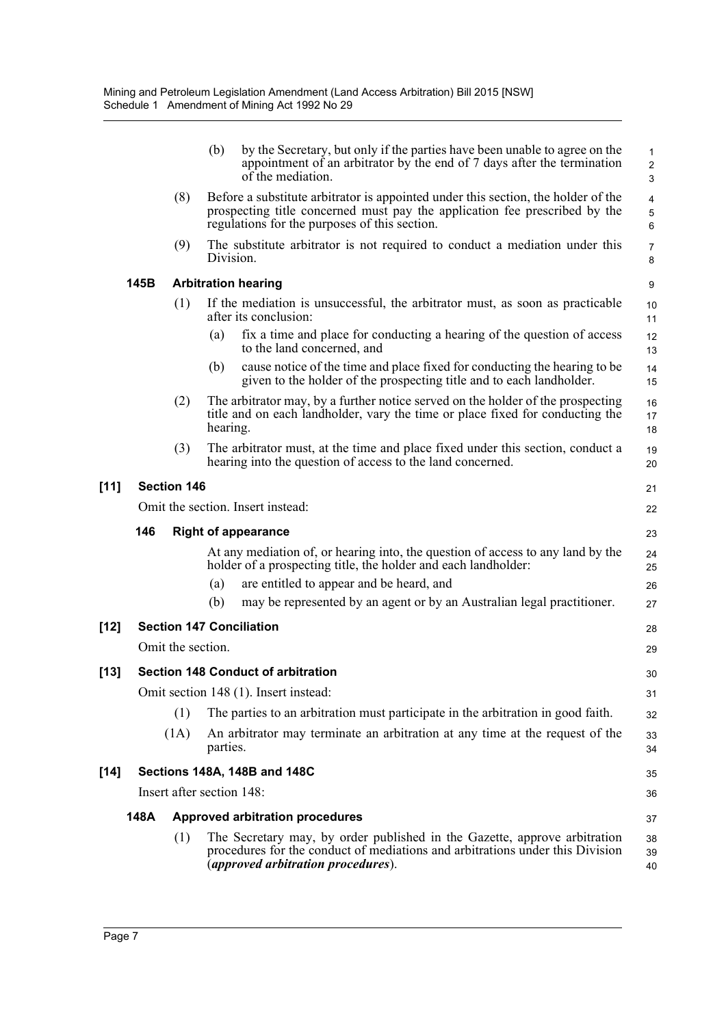|                                   |      |                    | (b)<br>by the Secretary, but only if the parties have been unable to agree on the<br>appointment of an arbitrator by the end of 7 days after the termination<br>of the mediation.                                | $\mathbf{1}$<br>$\overline{c}$<br>3 |  |
|-----------------------------------|------|--------------------|------------------------------------------------------------------------------------------------------------------------------------------------------------------------------------------------------------------|-------------------------------------|--|
|                                   |      | (8)                | Before a substitute arbitrator is appointed under this section, the holder of the<br>prospecting title concerned must pay the application fee prescribed by the<br>regulations for the purposes of this section. | 4<br>$\mathbf 5$<br>6               |  |
|                                   |      | (9)                | The substitute arbitrator is not required to conduct a mediation under this<br>Division.                                                                                                                         | 7<br>8                              |  |
|                                   | 145B |                    | <b>Arbitration hearing</b>                                                                                                                                                                                       | 9                                   |  |
|                                   |      | (1)                | If the mediation is unsuccessful, the arbitrator must, as soon as practicable<br>after its conclusion:                                                                                                           | 10<br>11                            |  |
|                                   |      |                    | fix a time and place for conducting a hearing of the question of access<br>(a)<br>to the land concerned, and                                                                                                     | 12<br>13                            |  |
|                                   |      |                    | cause notice of the time and place fixed for conducting the hearing to be<br>(b)<br>given to the holder of the prospecting title and to each landholder.                                                         | 14<br>15                            |  |
|                                   |      | (2)                | The arbitrator may, by a further notice served on the holder of the prospecting<br>title and on each landholder, vary the time or place fixed for conducting the<br>hearing.                                     | 16<br>17<br>18                      |  |
|                                   |      | (3)                | The arbitrator must, at the time and place fixed under this section, conduct a<br>hearing into the question of access to the land concerned.                                                                     | 19<br>20                            |  |
| $[11]$                            |      | <b>Section 146</b> |                                                                                                                                                                                                                  | 21                                  |  |
|                                   |      |                    | Omit the section. Insert instead:<br>22                                                                                                                                                                          |                                     |  |
| 146<br><b>Right of appearance</b> |      |                    |                                                                                                                                                                                                                  |                                     |  |
|                                   |      |                    | At any mediation of, or hearing into, the question of access to any land by the<br>holder of a prospecting title, the holder and each landholder:                                                                | 24<br>25                            |  |
|                                   |      |                    | are entitled to appear and be heard, and<br>(a)                                                                                                                                                                  | 26                                  |  |
|                                   |      |                    | may be represented by an agent or by an Australian legal practitioner.<br>(b)                                                                                                                                    | 27                                  |  |
| $[12]$                            |      |                    | <b>Section 147 Conciliation</b>                                                                                                                                                                                  | 28                                  |  |
|                                   |      | Omit the section.  |                                                                                                                                                                                                                  | 29                                  |  |
| $[13]$                            |      |                    | <b>Section 148 Conduct of arbitration</b>                                                                                                                                                                        | 30                                  |  |
|                                   |      |                    | Omit section 148 (1). Insert instead:                                                                                                                                                                            | 31                                  |  |
|                                   |      | (1)                | The parties to an arbitration must participate in the arbitration in good faith.                                                                                                                                 | 32                                  |  |
|                                   |      | (1A)               | An arbitrator may terminate an arbitration at any time at the request of the<br>parties.                                                                                                                         | 33<br>34                            |  |
| $[14]$                            |      |                    | <b>Sections 148A, 148B and 148C</b>                                                                                                                                                                              | 35                                  |  |
|                                   |      |                    | Insert after section 148:                                                                                                                                                                                        | 36                                  |  |
|                                   | 148A |                    | <b>Approved arbitration procedures</b>                                                                                                                                                                           | 37                                  |  |
|                                   |      | (1)                | The Secretary may, by order published in the Gazette, approve arbitration<br>procedures for the conduct of mediations and arbitrations under this Division<br><i>(approved arbitration procedures).</i>          | 38<br>39<br>40                      |  |
|                                   |      |                    |                                                                                                                                                                                                                  |                                     |  |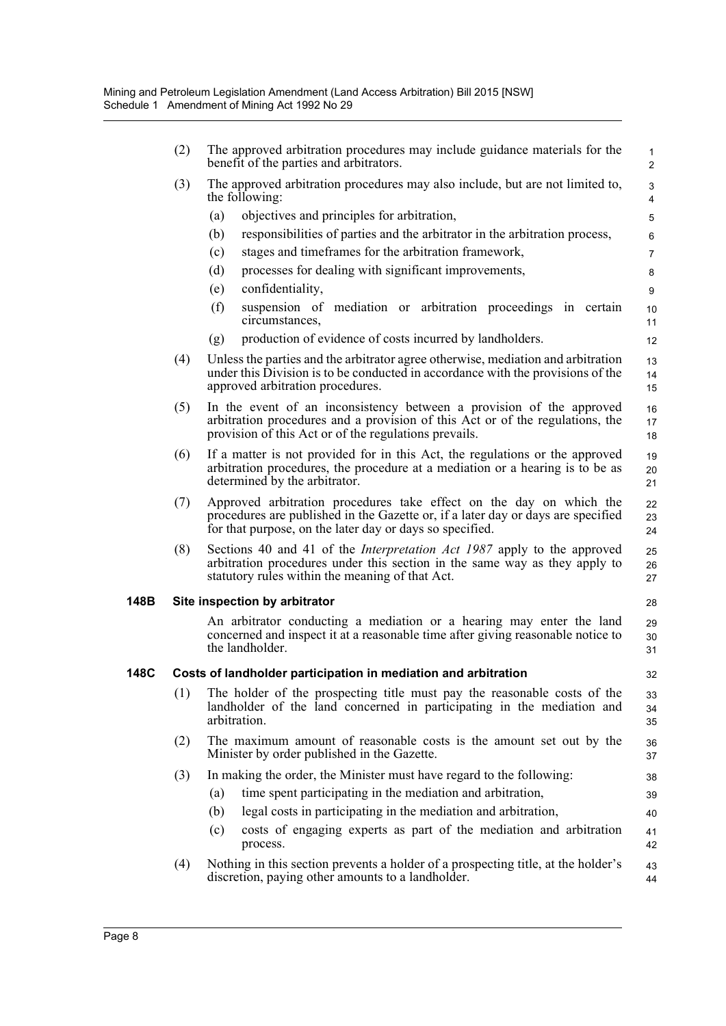|      | (2) | The approved arbitration procedures may include guidance materials for the<br>benefit of the parties and arbitrators.                                                                                               | $\mathbf{1}$<br>2 |  |  |  |  |
|------|-----|---------------------------------------------------------------------------------------------------------------------------------------------------------------------------------------------------------------------|-------------------|--|--|--|--|
|      | (3) | The approved arbitration procedures may also include, but are not limited to,<br>the following:                                                                                                                     | 3<br>4            |  |  |  |  |
|      |     | objectives and principles for arbitration,<br>(a)                                                                                                                                                                   | 5                 |  |  |  |  |
|      |     | responsibilities of parties and the arbitrator in the arbitration process,<br>(b)                                                                                                                                   | 6                 |  |  |  |  |
|      |     | stages and timeframes for the arbitration framework,<br>(c)                                                                                                                                                         | $\overline{7}$    |  |  |  |  |
|      |     | (d)<br>processes for dealing with significant improvements,                                                                                                                                                         | 8                 |  |  |  |  |
|      |     | confidentiality,<br>(e)                                                                                                                                                                                             | 9                 |  |  |  |  |
|      |     | (f)<br>suspension of mediation or arbitration proceedings in certain<br>circumstances,                                                                                                                              | 10<br>11          |  |  |  |  |
|      |     | production of evidence of costs incurred by landholders.<br>(g)                                                                                                                                                     | 12                |  |  |  |  |
|      | (4) | Unless the parties and the arbitrator agree otherwise, mediation and arbitration<br>under this Division is to be conducted in accordance with the provisions of the<br>approved arbitration procedures.             | 13<br>14<br>15    |  |  |  |  |
|      | (5) | In the event of an inconsistency between a provision of the approved<br>arbitration procedures and a provision of this Act or of the regulations, the<br>provision of this Act or of the regulations prevails.      |                   |  |  |  |  |
|      | (6) | If a matter is not provided for in this Act, the regulations or the approved<br>arbitration procedures, the procedure at a mediation or a hearing is to be as<br>determined by the arbitrator.                      |                   |  |  |  |  |
|      | (7) | Approved arbitration procedures take effect on the day on which the<br>procedures are published in the Gazette or, if a later day or days are specified<br>for that purpose, on the later day or days so specified. | 22<br>23<br>24    |  |  |  |  |
|      | (8) | Sections 40 and 41 of the <i>Interpretation Act 1987</i> apply to the approved<br>arbitration procedures under this section in the same way as they apply to<br>statutory rules within the meaning of that Act.     | 25<br>26<br>27    |  |  |  |  |
| 148B |     | Site inspection by arbitrator                                                                                                                                                                                       | 28                |  |  |  |  |
|      |     | An arbitrator conducting a mediation or a hearing may enter the land<br>concerned and inspect it at a reasonable time after giving reasonable notice to<br>the landholder.                                          | 29<br>30<br>31    |  |  |  |  |
| 148C |     | Costs of landholder participation in mediation and arbitration                                                                                                                                                      | 32                |  |  |  |  |
|      | (1) | The holder of the prospecting title must pay the reasonable costs of the<br>landholder of the land concerned in participating in the mediation and<br>arbitration.                                                  | 33<br>34<br>35    |  |  |  |  |
|      | (2) | The maximum amount of reasonable costs is the amount set out by the<br>Minister by order published in the Gazette.                                                                                                  | 36<br>37          |  |  |  |  |
|      | (3) | In making the order, the Minister must have regard to the following:                                                                                                                                                | 38                |  |  |  |  |
|      |     | time spent participating in the mediation and arbitration,<br>(a)                                                                                                                                                   | 39                |  |  |  |  |
|      |     | legal costs in participating in the mediation and arbitration,<br>(b)                                                                                                                                               | 40                |  |  |  |  |
|      |     | costs of engaging experts as part of the mediation and arbitration<br>(c)<br>process.                                                                                                                               | 41<br>42          |  |  |  |  |
|      | (4) | Nothing in this section prevents a holder of a prospecting title, at the holder's<br>discretion, paying other amounts to a landholder.                                                                              | 43<br>44          |  |  |  |  |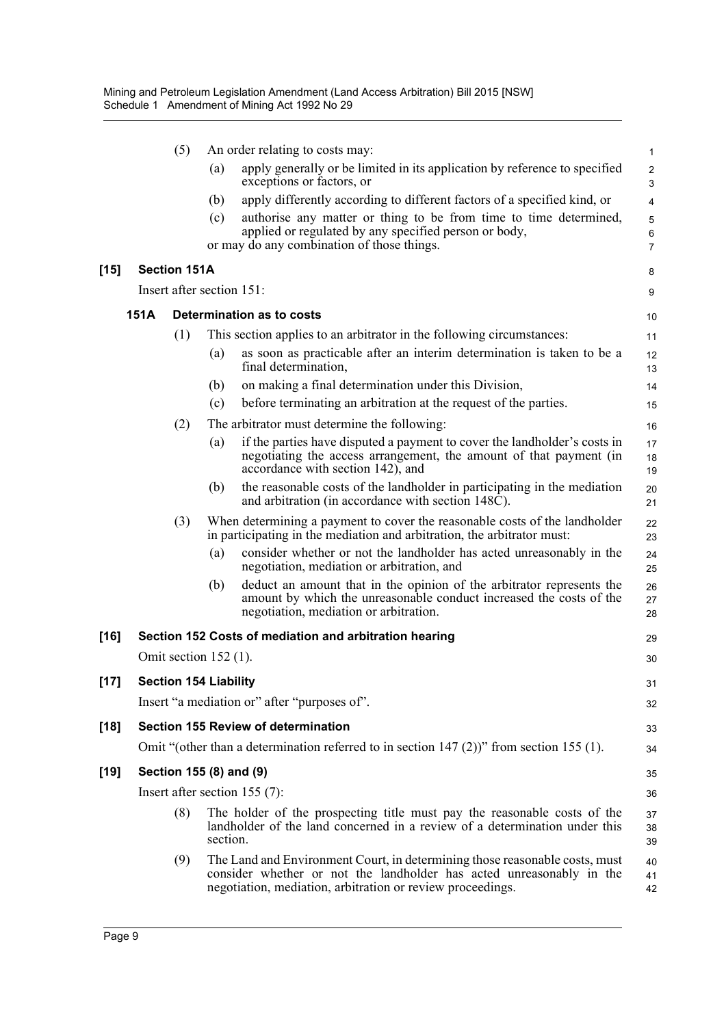|        |             | (5)                          |          | An order relating to costs may:                                                                                                                                                                                   | $\mathbf{1}$             |
|--------|-------------|------------------------------|----------|-------------------------------------------------------------------------------------------------------------------------------------------------------------------------------------------------------------------|--------------------------|
|        |             |                              | (a)      | apply generally or be limited in its application by reference to specified<br>exceptions or factors, or                                                                                                           | $\overline{c}$<br>3      |
|        |             |                              | (b)      | apply differently according to different factors of a specified kind, or                                                                                                                                          | 4                        |
|        |             |                              | (c)      | authorise any matter or thing to be from time to time determined,<br>applied or regulated by any specified person or body,<br>or may do any combination of those things.                                          | 5<br>6<br>$\overline{7}$ |
| $[15]$ |             | <b>Section 151A</b>          |          |                                                                                                                                                                                                                   | 8                        |
|        |             | Insert after section 151:    |          |                                                                                                                                                                                                                   | 9                        |
|        | <b>151A</b> |                              |          | Determination as to costs                                                                                                                                                                                         | 10                       |
|        |             | (1)                          |          | This section applies to an arbitrator in the following circumstances:                                                                                                                                             | 11                       |
|        |             |                              | (a)      | as soon as practicable after an interim determination is taken to be a<br>final determination,                                                                                                                    | 12<br>13                 |
|        |             |                              | (b)      | on making a final determination under this Division,                                                                                                                                                              | 14                       |
|        |             |                              | (c)      | before terminating an arbitration at the request of the parties.                                                                                                                                                  | 15                       |
|        |             | (2)                          |          | The arbitrator must determine the following:                                                                                                                                                                      | 16                       |
|        |             |                              | (a)      | if the parties have disputed a payment to cover the landholder's costs in<br>negotiating the access arrangement, the amount of that payment (in<br>accordance with section 142), and                              | 17<br>18<br>19           |
|        |             |                              | (b)      | the reasonable costs of the landholder in participating in the mediation<br>and arbitration (in accordance with section 148C).                                                                                    | 20<br>21                 |
|        |             | (3)                          |          | When determining a payment to cover the reasonable costs of the landholder<br>in participating in the mediation and arbitration, the arbitrator must:                                                             | 22<br>23                 |
|        |             |                              | (a)      | consider whether or not the landholder has acted unreasonably in the<br>negotiation, mediation or arbitration, and                                                                                                | 24<br>25                 |
|        |             |                              | (b)      | deduct an amount that in the opinion of the arbitrator represents the<br>amount by which the unreasonable conduct increased the costs of the<br>negotiation, mediation or arbitration.                            | 26<br>27<br>28           |
| $[16]$ |             |                              |          | Section 152 Costs of mediation and arbitration hearing                                                                                                                                                            | 29                       |
|        |             | Omit section $152$ (1).      |          |                                                                                                                                                                                                                   | 30                       |
| $[17]$ |             | <b>Section 154 Liability</b> |          |                                                                                                                                                                                                                   | 31                       |
|        |             |                              |          | Insert "a mediation or" after "purposes of".                                                                                                                                                                      | 32                       |
| $[18]$ |             |                              |          | Section 155 Review of determination                                                                                                                                                                               | 33                       |
|        |             |                              |          | Omit "(other than a determination referred to in section $147$ (2))" from section 155 (1).                                                                                                                        | 34                       |
| $[19]$ |             | Section 155 (8) and (9)      |          |                                                                                                                                                                                                                   | 35                       |
|        |             |                              |          | Insert after section $155(7)$ :                                                                                                                                                                                   | 36                       |
|        |             | (8)                          | section. | The holder of the prospecting title must pay the reasonable costs of the<br>landholder of the land concerned in a review of a determination under this                                                            | 37<br>38<br>39           |
|        |             | (9)                          |          | The Land and Environment Court, in determining those reasonable costs, must<br>consider whether or not the landholder has acted unreasonably in the<br>negotiation, mediation, arbitration or review proceedings. | 40<br>41<br>42           |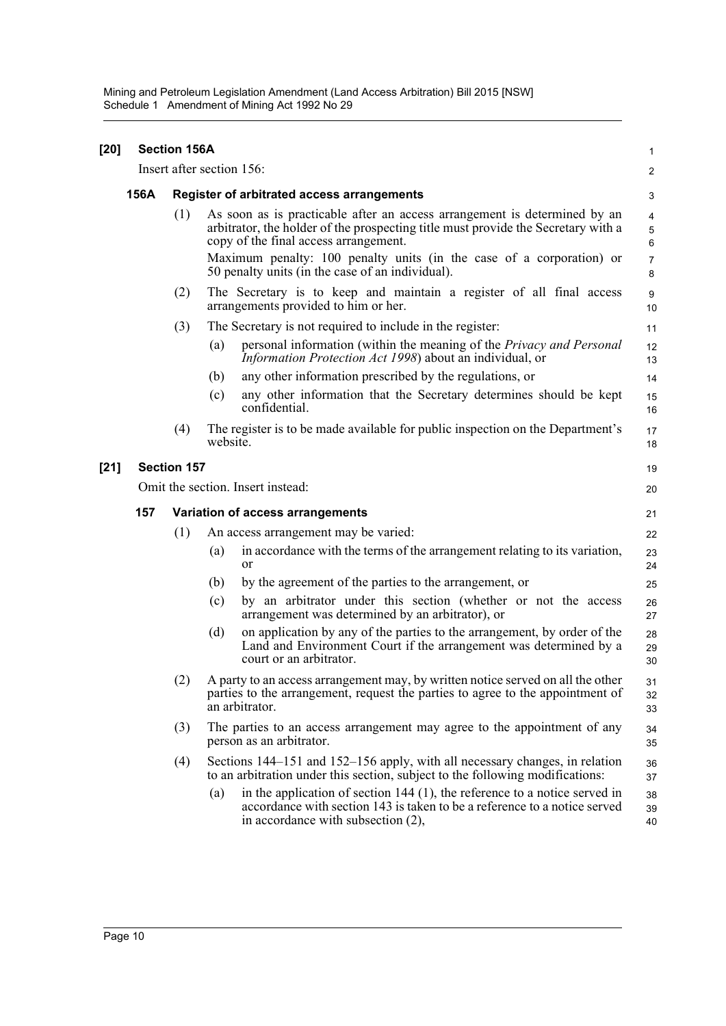Mining and Petroleum Legislation Amendment (Land Access Arbitration) Bill 2015 [NSW] Schedule 1 Amendment of Mining Act 1992 No 29

| $[20]$ |                                                                              | <b>Section 156A</b><br>1                                                                                                                                                                                                                                                               |                                                                                                                                                                                                        |                |  |  |  |
|--------|------------------------------------------------------------------------------|----------------------------------------------------------------------------------------------------------------------------------------------------------------------------------------------------------------------------------------------------------------------------------------|--------------------------------------------------------------------------------------------------------------------------------------------------------------------------------------------------------|----------------|--|--|--|
|        |                                                                              |                                                                                                                                                                                                                                                                                        | Insert after section 156:                                                                                                                                                                              | $\overline{2}$ |  |  |  |
|        | 156A                                                                         |                                                                                                                                                                                                                                                                                        | <b>Register of arbitrated access arrangements</b>                                                                                                                                                      | 3              |  |  |  |
|        |                                                                              | As soon as is practicable after an access arrangement is determined by an<br>(1)<br>arbitrator, the holder of the prospecting title must provide the Secretary with a<br>copy of the final access arrangement.<br>Maximum penalty: 100 penalty units (in the case of a corporation) or |                                                                                                                                                                                                        |                |  |  |  |
|        |                                                                              |                                                                                                                                                                                                                                                                                        | 50 penalty units (in the case of an individual).                                                                                                                                                       | 7<br>8         |  |  |  |
|        |                                                                              | (2)                                                                                                                                                                                                                                                                                    | The Secretary is to keep and maintain a register of all final access<br>arrangements provided to him or her.                                                                                           | 9<br>10        |  |  |  |
|        |                                                                              | (3)                                                                                                                                                                                                                                                                                    | The Secretary is not required to include in the register:                                                                                                                                              | 11             |  |  |  |
|        |                                                                              |                                                                                                                                                                                                                                                                                        | personal information (within the meaning of the <i>Privacy and Personal</i><br>(a)<br>Information Protection Act 1998) about an individual, or                                                         | 12<br>13       |  |  |  |
|        |                                                                              |                                                                                                                                                                                                                                                                                        | any other information prescribed by the regulations, or<br>(b)                                                                                                                                         | 14             |  |  |  |
|        |                                                                              |                                                                                                                                                                                                                                                                                        | any other information that the Secretary determines should be kept<br>(c)<br>confidential.                                                                                                             | 15<br>16       |  |  |  |
|        |                                                                              | (4)                                                                                                                                                                                                                                                                                    | The register is to be made available for public inspection on the Department's<br>website.                                                                                                             | 17<br>18       |  |  |  |
| $[21]$ |                                                                              | <b>Section 157</b>                                                                                                                                                                                                                                                                     |                                                                                                                                                                                                        | 19             |  |  |  |
|        | Omit the section. Insert instead:<br>157<br>Variation of access arrangements |                                                                                                                                                                                                                                                                                        |                                                                                                                                                                                                        |                |  |  |  |
|        |                                                                              |                                                                                                                                                                                                                                                                                        |                                                                                                                                                                                                        |                |  |  |  |
|        |                                                                              | (1)                                                                                                                                                                                                                                                                                    | An access arrangement may be varied:                                                                                                                                                                   | 22             |  |  |  |
|        |                                                                              |                                                                                                                                                                                                                                                                                        | in accordance with the terms of the arrangement relating to its variation,<br>(a)<br><sub>or</sub>                                                                                                     | 23<br>24       |  |  |  |
|        |                                                                              |                                                                                                                                                                                                                                                                                        | by the agreement of the parties to the arrangement, or<br>(b)                                                                                                                                          | 25             |  |  |  |
|        |                                                                              |                                                                                                                                                                                                                                                                                        | by an arbitrator under this section (whether or not the access<br>(c)<br>arrangement was determined by an arbitrator), or                                                                              | 26<br>27       |  |  |  |
|        |                                                                              |                                                                                                                                                                                                                                                                                        | on application by any of the parties to the arrangement, by order of the<br>(d)<br>Land and Environment Court if the arrangement was determined by a<br>court or an arbitrator.                        | 28<br>29<br>30 |  |  |  |
|        |                                                                              |                                                                                                                                                                                                                                                                                        | (2) A party to an access arrangement may, by written notice served on all the other<br>parties to the arrangement, request the parties to agree to the appointment of<br>an arbitrator.                | 31<br>32<br>33 |  |  |  |
|        |                                                                              | (3)                                                                                                                                                                                                                                                                                    | The parties to an access arrangement may agree to the appointment of any<br>person as an arbitrator.                                                                                                   | 34<br>35       |  |  |  |
|        |                                                                              | (4)                                                                                                                                                                                                                                                                                    | Sections 144–151 and 152–156 apply, with all necessary changes, in relation<br>to an arbitration under this section, subject to the following modifications:                                           | 36<br>37       |  |  |  |
|        |                                                                              |                                                                                                                                                                                                                                                                                        | in the application of section $144$ (1), the reference to a notice served in<br>(a)<br>accordance with section 143 is taken to be a reference to a notice served<br>in accordance with subsection (2), | 38<br>39<br>40 |  |  |  |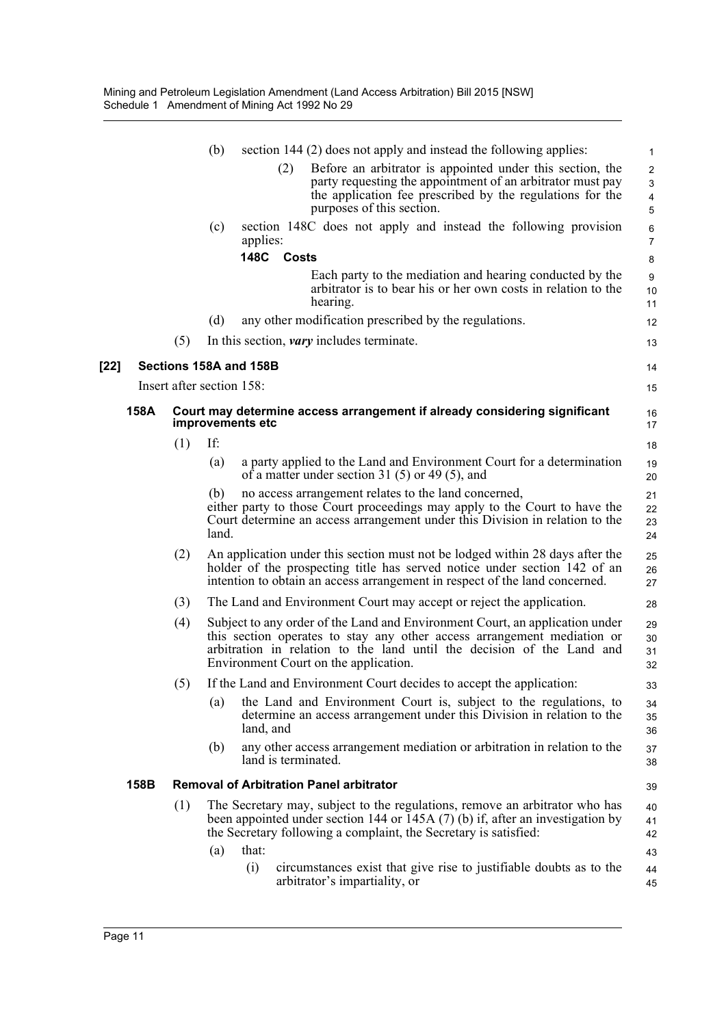|        |      |     | (b)                       | section 144 (2) does not apply and instead the following applies:                                                                                                                                                                                                          | 1                                                   |
|--------|------|-----|---------------------------|----------------------------------------------------------------------------------------------------------------------------------------------------------------------------------------------------------------------------------------------------------------------------|-----------------------------------------------------|
|        |      |     |                           | Before an arbitrator is appointed under this section, the<br>(2)<br>party requesting the appointment of an arbitrator must pay<br>the application fee prescribed by the regulations for the<br>purposes of this section.                                                   | $\overline{2}$<br>3<br>$\overline{\mathbf{4}}$<br>5 |
|        |      |     | (c)                       | section 148C does not apply and instead the following provision<br>applies:                                                                                                                                                                                                | 6<br>$\overline{7}$                                 |
|        |      |     |                           | 148C<br>Costs                                                                                                                                                                                                                                                              | 8                                                   |
|        |      |     |                           | Each party to the mediation and hearing conducted by the<br>arbitrator is to bear his or her own costs in relation to the<br>hearing.                                                                                                                                      | 9<br>10<br>11                                       |
|        |      |     | (d)                       | any other modification prescribed by the regulations.                                                                                                                                                                                                                      | 12                                                  |
|        |      | (5) |                           | In this section, <i>vary</i> includes terminate.                                                                                                                                                                                                                           | 13                                                  |
| $[22]$ |      |     |                           | Sections 158A and 158B                                                                                                                                                                                                                                                     | 14                                                  |
|        |      |     | Insert after section 158: |                                                                                                                                                                                                                                                                            | 15                                                  |
|        | 158A |     |                           | Court may determine access arrangement if already considering significant<br>improvements etc                                                                                                                                                                              | 16<br>17                                            |
|        |      | (1) | If:                       |                                                                                                                                                                                                                                                                            | 18                                                  |
|        |      |     | (a)                       | a party applied to the Land and Environment Court for a determination<br>of a matter under section 31 (5) or 49 (5), and                                                                                                                                                   | 19<br>20                                            |
|        |      |     | (b)<br>land.              | no access arrangement relates to the land concerned,<br>either party to those Court proceedings may apply to the Court to have the<br>Court determine an access arrangement under this Division in relation to the                                                         | 21<br>22<br>23<br>24                                |
|        |      | (2) |                           | An application under this section must not be lodged within 28 days after the<br>holder of the prospecting title has served notice under section 142 of an<br>intention to obtain an access arrangement in respect of the land concerned.                                  | 25<br>26<br>27                                      |
|        |      | (3) |                           | The Land and Environment Court may accept or reject the application.                                                                                                                                                                                                       | 28                                                  |
|        |      | (4) |                           | Subject to any order of the Land and Environment Court, an application under<br>this section operates to stay any other access arrangement mediation or<br>arbitration in relation to the land until the decision of the Land and<br>Environment Court on the application. | 29<br>30<br>31<br>32                                |
|        |      | (5) |                           | If the Land and Environment Court decides to accept the application:                                                                                                                                                                                                       | 33                                                  |
|        |      |     | (a)                       | the Land and Environment Court is, subject to the regulations, to<br>determine an access arrangement under this Division in relation to the<br>land, and                                                                                                                   | 34<br>35<br>36                                      |
|        |      |     | (b)                       | any other access arrangement mediation or arbitration in relation to the<br>land is terminated.                                                                                                                                                                            | 37<br>38                                            |
|        | 158B |     |                           | <b>Removal of Arbitration Panel arbitrator</b>                                                                                                                                                                                                                             | 39                                                  |
|        |      | (1) |                           | The Secretary may, subject to the regulations, remove an arbitrator who has<br>been appointed under section 144 or $145A(7)$ (b) if, after an investigation by<br>the Secretary following a complaint, the Secretary is satisfied:                                         | 40<br>41<br>42                                      |
|        |      |     | (a)                       | that:<br>(i)<br>circumstances exist that give rise to justifiable doubts as to the<br>arbitrator's impartiality, or                                                                                                                                                        | 43<br>44<br>45                                      |
|        |      |     |                           |                                                                                                                                                                                                                                                                            |                                                     |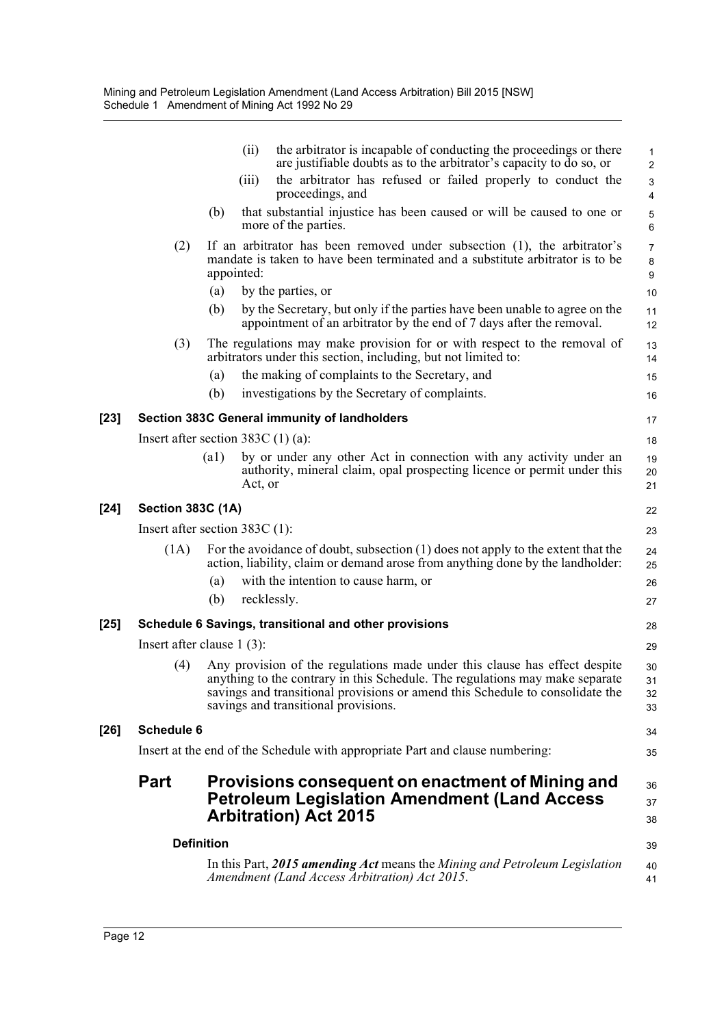|        |                                      |                    | (ii)       | the arbitrator is incapable of conducting the proceedings or there<br>are justifiable doubts as to the arbitrator's capacity to do so, or                                                                                                                                           | $\mathbf{1}$<br>$\overline{2}$ |  |  |
|--------|--------------------------------------|--------------------|------------|-------------------------------------------------------------------------------------------------------------------------------------------------------------------------------------------------------------------------------------------------------------------------------------|--------------------------------|--|--|
|        |                                      |                    | (iii)      | the arbitrator has refused or failed properly to conduct the<br>proceedings, and                                                                                                                                                                                                    | 3<br>$\overline{4}$            |  |  |
|        |                                      | (b)                |            | that substantial injustice has been caused or will be caused to one or<br>more of the parties.                                                                                                                                                                                      | 5<br>6                         |  |  |
|        | (2)                                  |                    | appointed: | If an arbitrator has been removed under subsection (1), the arbitrator's<br>mandate is taken to have been terminated and a substitute arbitrator is to be                                                                                                                           | $\overline{7}$<br>$\bf 8$<br>9 |  |  |
|        |                                      | (a)                |            | by the parties, or                                                                                                                                                                                                                                                                  | 10                             |  |  |
|        |                                      | (b)                |            | by the Secretary, but only if the parties have been unable to agree on the<br>appointment of an arbitrator by the end of 7 days after the removal.                                                                                                                                  | 11<br>12                       |  |  |
|        | (3)                                  |                    |            | The regulations may make provision for or with respect to the removal of<br>arbitrators under this section, including, but not limited to:                                                                                                                                          | 13<br>14                       |  |  |
|        |                                      | (a)                |            | the making of complaints to the Secretary, and                                                                                                                                                                                                                                      | 15                             |  |  |
|        |                                      | (b)                |            | investigations by the Secretary of complaints.                                                                                                                                                                                                                                      | 16                             |  |  |
| $[23]$ |                                      |                    |            | Section 383C General immunity of landholders                                                                                                                                                                                                                                        | 17                             |  |  |
|        | Insert after section 383C $(1)$ (a): |                    |            |                                                                                                                                                                                                                                                                                     | 18                             |  |  |
|        |                                      | $\left( a1\right)$ | Act, or    | by or under any other Act in connection with any activity under an<br>authority, mineral claim, opal prospecting licence or permit under this                                                                                                                                       | 19<br>20<br>21                 |  |  |
| [24]   | <b>Section 383C (1A)</b><br>22       |                    |            |                                                                                                                                                                                                                                                                                     |                                |  |  |
|        | Insert after section $383C(1)$ :     |                    |            |                                                                                                                                                                                                                                                                                     | 23                             |  |  |
|        | (1A)                                 |                    |            | For the avoidance of doubt, subsection (1) does not apply to the extent that the<br>action, liability, claim or demand arose from anything done by the landholder:                                                                                                                  | 24<br>25                       |  |  |
|        |                                      | (a)<br>(b)         |            | with the intention to cause harm, or<br>recklessly.                                                                                                                                                                                                                                 | 26<br>27                       |  |  |
| $[25]$ |                                      |                    |            | Schedule 6 Savings, transitional and other provisions                                                                                                                                                                                                                               | 28                             |  |  |
|        | Insert after clause $1(3)$ :         |                    |            |                                                                                                                                                                                                                                                                                     | 29                             |  |  |
|        | (4)                                  |                    |            | Any provision of the regulations made under this clause has effect despite<br>anything to the contrary in this Schedule. The regulations may make separate<br>savings and transitional provisions or amend this Schedule to consolidate the<br>savings and transitional provisions. | 30<br>31<br>32<br>33           |  |  |
| $[26]$ | <b>Schedule 6</b>                    |                    |            |                                                                                                                                                                                                                                                                                     | 34                             |  |  |
|        |                                      |                    |            | Insert at the end of the Schedule with appropriate Part and clause numbering:                                                                                                                                                                                                       | 35                             |  |  |
|        | <b>Part</b>                          |                    |            | Provisions consequent on enactment of Mining and<br><b>Petroleum Legislation Amendment (Land Access</b><br><b>Arbitration</b> ) Act 2015                                                                                                                                            | 36<br>37<br>38                 |  |  |
|        | <b>Definition</b>                    |                    |            |                                                                                                                                                                                                                                                                                     | 39                             |  |  |
|        |                                      |                    |            | In this Part, 2015 amending Act means the Mining and Petroleum Legislation<br>Amendment (Land Access Arbitration) Act 2015.                                                                                                                                                         | 40<br>41                       |  |  |
|        |                                      |                    |            |                                                                                                                                                                                                                                                                                     |                                |  |  |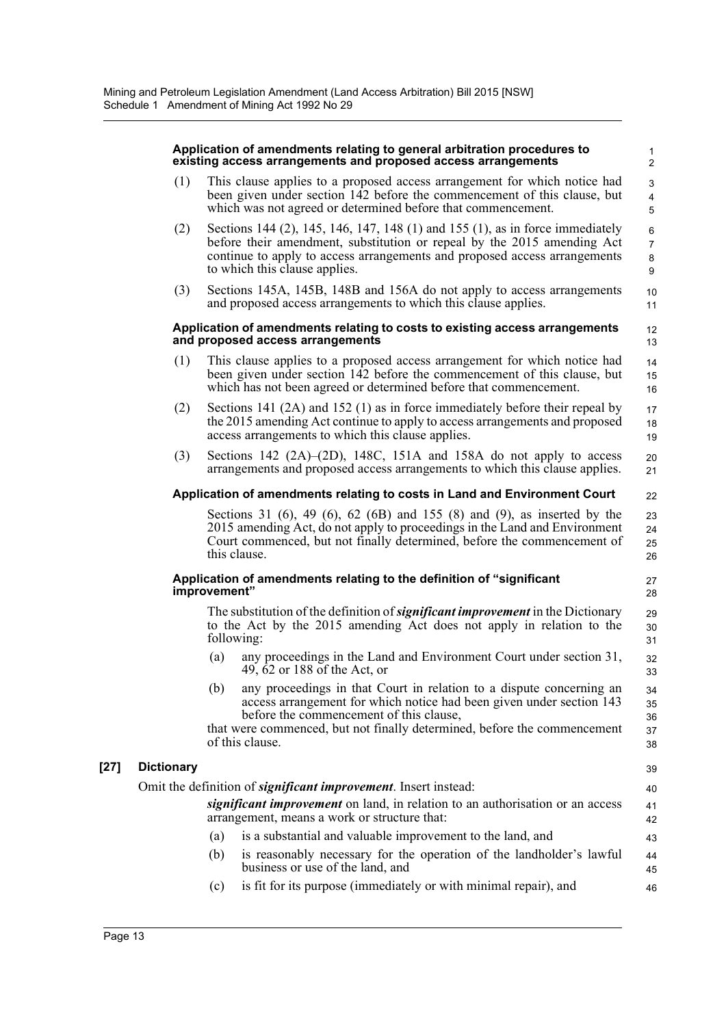|        |                                                                         | Application of amendments relating to general arbitration procedures to<br>existing access arrangements and proposed access arrangements                                                                                                                                                      | 1<br>$\overline{2}$               |  |  |  |
|--------|-------------------------------------------------------------------------|-----------------------------------------------------------------------------------------------------------------------------------------------------------------------------------------------------------------------------------------------------------------------------------------------|-----------------------------------|--|--|--|
|        | (1)                                                                     | This clause applies to a proposed access arrangement for which notice had<br>been given under section 142 before the commencement of this clause, but<br>which was not agreed or determined before that commencement.                                                                         | 3<br>$\overline{\mathbf{4}}$<br>5 |  |  |  |
|        | (2)                                                                     | Sections 144 (2), 145, 146, 147, 148 (1) and 155 (1), as in force immediately<br>before their amendment, substitution or repeal by the 2015 amending Act<br>continue to apply to access arrangements and proposed access arrangements<br>to which this clause applies.                        | 6<br>$\overline{7}$<br>8<br>9     |  |  |  |
|        | (3)                                                                     | Sections 145A, 145B, 148B and 156A do not apply to access arrangements<br>and proposed access arrangements to which this clause applies.                                                                                                                                                      | 10<br>11                          |  |  |  |
|        |                                                                         | Application of amendments relating to costs to existing access arrangements<br>and proposed access arrangements                                                                                                                                                                               | 12<br>13                          |  |  |  |
|        | (1)                                                                     | This clause applies to a proposed access arrangement for which notice had<br>been given under section 142 before the commencement of this clause, but<br>which has not been agreed or determined before that commencement.                                                                    | 14<br>15<br>16                    |  |  |  |
|        | (2)                                                                     | Sections 141 $(2A)$ and 152 $(1)$ as in force immediately before their repeal by<br>the 2015 amending Act continue to apply to access arrangements and proposed<br>access arrangements to which this clause applies.                                                                          | 17<br>18<br>19                    |  |  |  |
|        | (3)                                                                     | Sections 142 $(2A)$ – $(2D)$ , 148C, 151A and 158A do not apply to access<br>arrangements and proposed access arrangements to which this clause applies.                                                                                                                                      | 20<br>21                          |  |  |  |
|        |                                                                         | Application of amendments relating to costs in Land and Environment Court                                                                                                                                                                                                                     | 22                                |  |  |  |
|        |                                                                         | Sections 31 $(6)$ , 49 $(6)$ , 62 $(6B)$ and 155 $(8)$ and $(9)$ , as inserted by the<br>2015 amending Act, do not apply to proceedings in the Land and Environment<br>Court commenced, but not finally determined, before the commencement of<br>this clause.                                | 23<br>24<br>25<br>26              |  |  |  |
|        |                                                                         | Application of amendments relating to the definition of "significant"<br>improvement"                                                                                                                                                                                                         | 27<br>28                          |  |  |  |
|        |                                                                         | The substitution of the definition of <b>significant improvement</b> in the Dictionary<br>to the Act by the 2015 amending Act does not apply in relation to the<br>following:                                                                                                                 | 29<br>30<br>31                    |  |  |  |
|        |                                                                         | any proceedings in the Land and Environment Court under section 31,<br>(a)<br>49, 62 or 188 of the Act, or                                                                                                                                                                                    | 32<br>33                          |  |  |  |
|        |                                                                         | any proceedings in that Court in relation to a dispute concerning an<br>(b)<br>access arrangement for which notice had been given under section 143<br>before the commencement of this clause,<br>that were commenced, but not finally determined, before the commencement<br>of this clause. | 34<br>35<br>36<br>37<br>38        |  |  |  |
| $[27]$ | <b>Dictionary</b>                                                       |                                                                                                                                                                                                                                                                                               | 39                                |  |  |  |
|        | Omit the definition of <i>significant improvement</i> . Insert instead: |                                                                                                                                                                                                                                                                                               |                                   |  |  |  |
|        |                                                                         | significant improvement on land, in relation to an authorisation or an access<br>arrangement, means a work or structure that:                                                                                                                                                                 | 41<br>42                          |  |  |  |
|        |                                                                         | is a substantial and valuable improvement to the land, and<br>(a)                                                                                                                                                                                                                             | 43                                |  |  |  |
|        |                                                                         | is reasonably necessary for the operation of the landholder's lawful<br>(b)<br>business or use of the land, and                                                                                                                                                                               | 44<br>45                          |  |  |  |
|        |                                                                         | is fit for its purpose (immediately or with minimal repair), and<br>(c)                                                                                                                                                                                                                       | 46                                |  |  |  |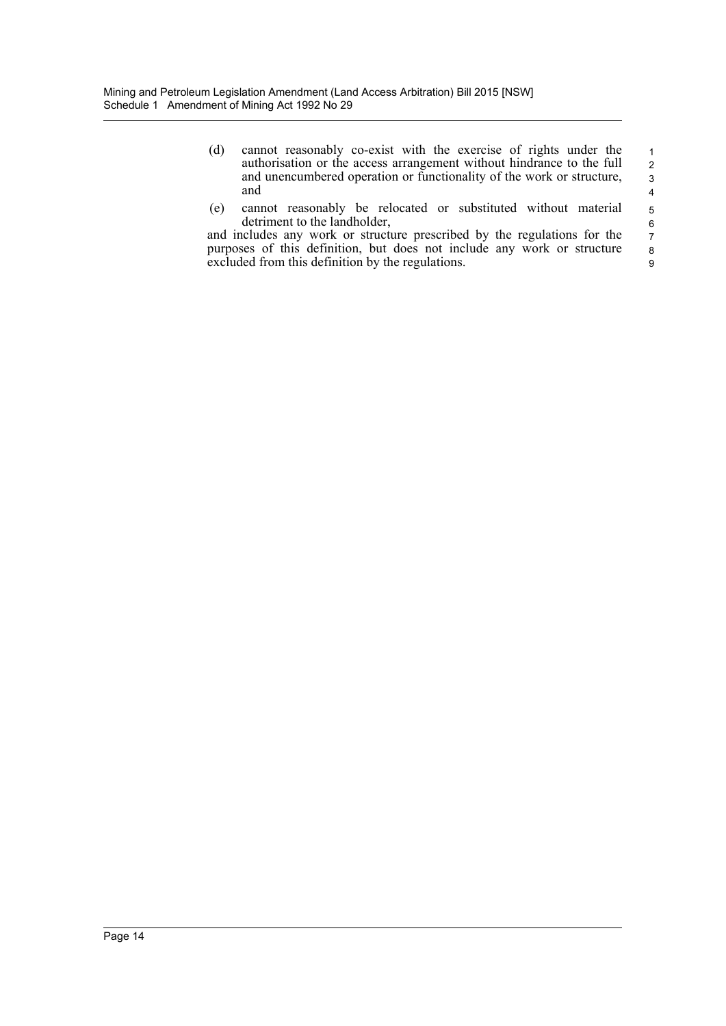- (d) cannot reasonably co-exist with the exercise of rights under the authorisation or the access arrangement without hindrance to the full and unencumbered operation or functionality of the work or structure, and 1 2 3 4
- (e) cannot reasonably be relocated or substituted without material detriment to the landholder,

5

and includes any work or structure prescribed by the regulations for the purposes of this definition, but does not include any work or structure excluded from this definition by the regulations. 6 7 8 9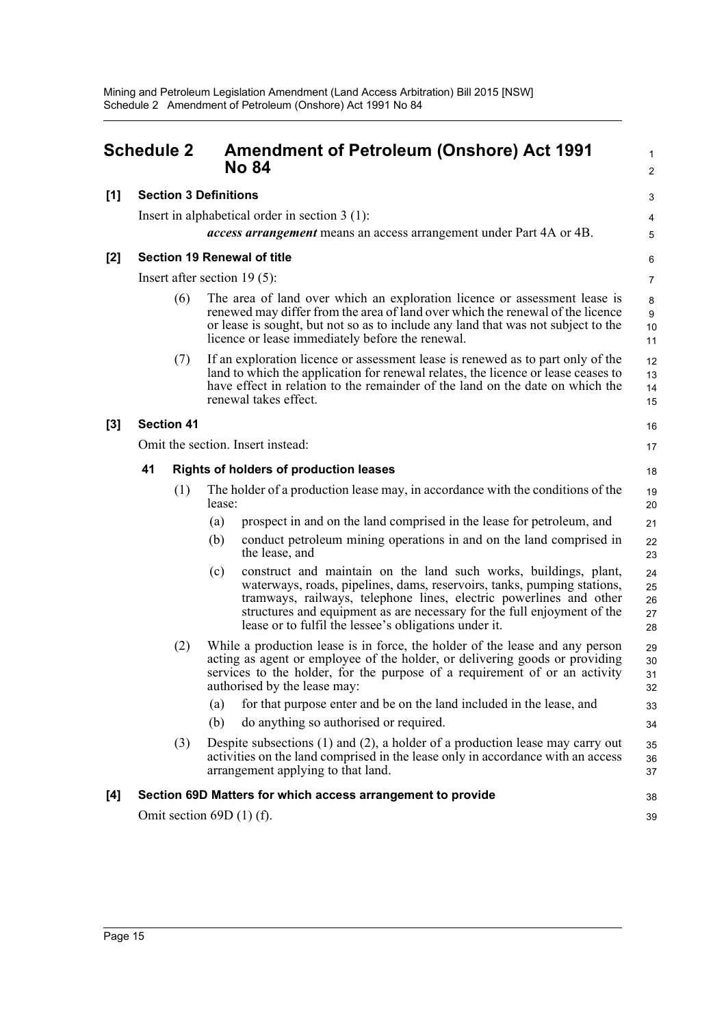<span id="page-26-0"></span>

|       | <b>Schedule 2</b>                                   |     |                              | <b>Amendment of Petroleum (Onshore) Act 1991</b><br><b>No 84</b>                                                                                                                                                                                                                                                                                      | $\mathbf{1}$<br>2          |  |
|-------|-----------------------------------------------------|-----|------------------------------|-------------------------------------------------------------------------------------------------------------------------------------------------------------------------------------------------------------------------------------------------------------------------------------------------------------------------------------------------------|----------------------------|--|
| [1]   |                                                     |     | <b>Section 3 Definitions</b> |                                                                                                                                                                                                                                                                                                                                                       |                            |  |
|       |                                                     |     |                              | Insert in alphabetical order in section $3(1)$ :                                                                                                                                                                                                                                                                                                      | 4                          |  |
|       |                                                     |     |                              | access arrangement means an access arrangement under Part 4A or 4B.                                                                                                                                                                                                                                                                                   | 5                          |  |
| $[2]$ |                                                     |     |                              | <b>Section 19 Renewal of title</b>                                                                                                                                                                                                                                                                                                                    | 6                          |  |
|       |                                                     |     |                              | Insert after section $19(5)$ :                                                                                                                                                                                                                                                                                                                        | $\overline{7}$             |  |
|       |                                                     | (6) |                              | The area of land over which an exploration licence or assessment lease is<br>renewed may differ from the area of land over which the renewal of the licence<br>or lease is sought, but not so as to include any land that was not subject to the<br>licence or lease immediately before the renewal.                                                  | 8<br>9<br>10<br>11         |  |
|       |                                                     | (7) |                              | If an exploration licence or assessment lease is renewed as to part only of the<br>land to which the application for renewal relates, the licence or lease ceases to<br>have effect in relation to the remainder of the land on the date on which the<br>renewal takes effect.                                                                        | 12<br>13<br>14<br>15       |  |
| $[3]$ | <b>Section 41</b>                                   |     |                              |                                                                                                                                                                                                                                                                                                                                                       |                            |  |
|       | Omit the section. Insert instead:                   |     |                              |                                                                                                                                                                                                                                                                                                                                                       |                            |  |
|       | 41<br><b>Rights of holders of production leases</b> |     |                              |                                                                                                                                                                                                                                                                                                                                                       |                            |  |
|       |                                                     | (1) | lease:                       | The holder of a production lease may, in accordance with the conditions of the                                                                                                                                                                                                                                                                        | 19<br>20                   |  |
|       |                                                     |     | (a)                          | prospect in and on the land comprised in the lease for petroleum, and                                                                                                                                                                                                                                                                                 | 21                         |  |
|       |                                                     |     | (b)                          | conduct petroleum mining operations in and on the land comprised in<br>the lease, and                                                                                                                                                                                                                                                                 | 22<br>23                   |  |
|       |                                                     |     | (c)                          | construct and maintain on the land such works, buildings, plant,<br>waterways, roads, pipelines, dams, reservoirs, tanks, pumping stations,<br>tramways, railways, telephone lines, electric powerlines and other<br>structures and equipment as are necessary for the full enjoyment of the<br>lease or to fulfil the lessee's obligations under it. | 24<br>25<br>26<br>27<br>28 |  |
|       |                                                     | (2) |                              | While a production lease is in force, the holder of the lease and any person<br>acting as agent or employee of the holder, or delivering goods or providing<br>services to the holder, for the purpose of a requirement of or an activity<br>authorised by the lease may:                                                                             | 29<br>30<br>31<br>32       |  |
|       |                                                     |     | (a)                          | for that purpose enter and be on the land included in the lease, and                                                                                                                                                                                                                                                                                  | 33                         |  |
|       |                                                     |     | (b)                          | do anything so authorised or required.                                                                                                                                                                                                                                                                                                                | 34                         |  |
|       |                                                     | (3) |                              | Despite subsections $(1)$ and $(2)$ , a holder of a production lease may carry out<br>activities on the land comprised in the lease only in accordance with an access<br>arrangement applying to that land.                                                                                                                                           | 35<br>36<br>37             |  |
| [4]   |                                                     |     |                              | Section 69D Matters for which access arrangement to provide                                                                                                                                                                                                                                                                                           | 38                         |  |
|       |                                                     |     |                              | Omit section $69D(1)$ (f).                                                                                                                                                                                                                                                                                                                            | 39                         |  |
|       |                                                     |     |                              |                                                                                                                                                                                                                                                                                                                                                       |                            |  |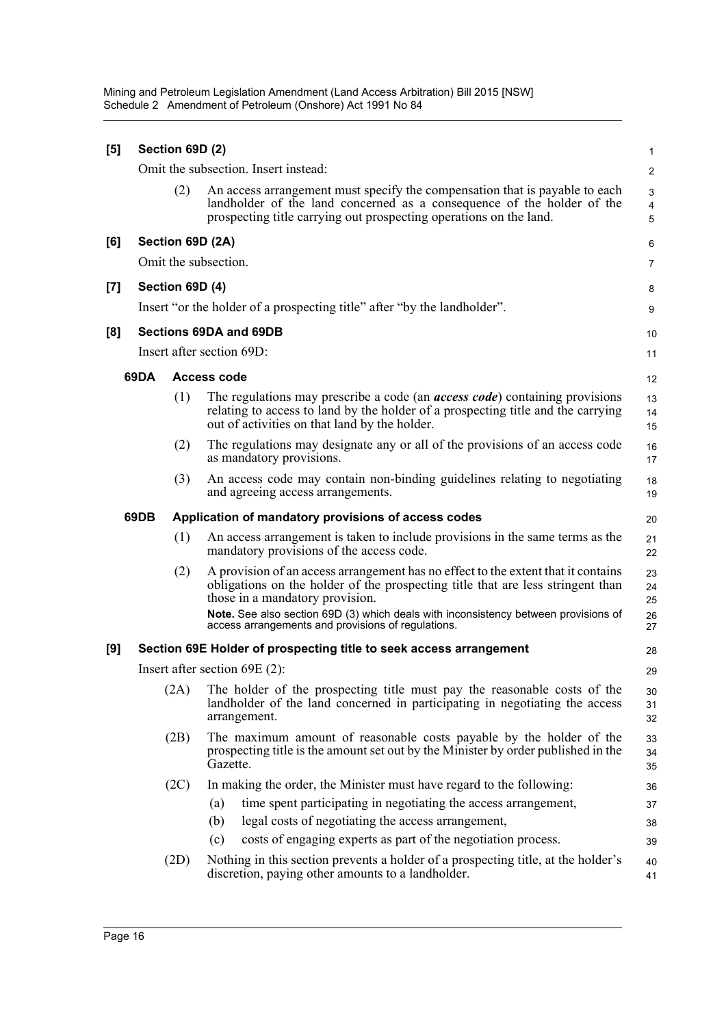Mining and Petroleum Legislation Amendment (Land Access Arbitration) Bill 2015 [NSW] Schedule 2 Amendment of Petroleum (Onshore) Act 1991 No 84

| [5] |      | Section 69D (2)           |                    |                                                                                                                                                                                                                                                                                                                                                      | 1                          |
|-----|------|---------------------------|--------------------|------------------------------------------------------------------------------------------------------------------------------------------------------------------------------------------------------------------------------------------------------------------------------------------------------------------------------------------------------|----------------------------|
|     |      |                           |                    | Omit the subsection. Insert instead:                                                                                                                                                                                                                                                                                                                 | 2                          |
|     |      | (2)                       |                    | An access arrangement must specify the compensation that is payable to each<br>landholder of the land concerned as a consequence of the holder of the<br>prospecting title carrying out prospecting operations on the land.                                                                                                                          | 3<br>$\overline{4}$<br>5   |
| [6] |      | Section 69D (2A)          |                    |                                                                                                                                                                                                                                                                                                                                                      | 6                          |
|     |      | Omit the subsection.      |                    |                                                                                                                                                                                                                                                                                                                                                      | 7                          |
| [7] |      | Section 69D (4)           |                    |                                                                                                                                                                                                                                                                                                                                                      | 8                          |
|     |      |                           |                    | Insert "or the holder of a prospecting title" after "by the landholder".                                                                                                                                                                                                                                                                             | 9                          |
| [8] |      |                           |                    | Sections 69DA and 69DB                                                                                                                                                                                                                                                                                                                               | 10                         |
|     |      | Insert after section 69D: |                    |                                                                                                                                                                                                                                                                                                                                                      | 11                         |
|     | 69DA |                           | <b>Access code</b> |                                                                                                                                                                                                                                                                                                                                                      | 12                         |
|     |      | (1)                       |                    | The regulations may prescribe a code (an <i>access code</i> ) containing provisions<br>relating to access to land by the holder of a prospecting title and the carrying<br>out of activities on that land by the holder.                                                                                                                             | 13<br>14<br>15             |
|     |      | (2)                       |                    | The regulations may designate any or all of the provisions of an access code<br>as mandatory provisions.                                                                                                                                                                                                                                             | 16<br>17                   |
|     |      | (3)                       |                    | An access code may contain non-binding guidelines relating to negotiating<br>and agreeing access arrangements.                                                                                                                                                                                                                                       | 18<br>19                   |
|     | 69DB |                           |                    | Application of mandatory provisions of access codes                                                                                                                                                                                                                                                                                                  | 20                         |
|     |      | (1)                       |                    | An access arrangement is taken to include provisions in the same terms as the<br>mandatory provisions of the access code.                                                                                                                                                                                                                            | 21<br>22                   |
|     |      | (2)                       |                    | A provision of an access arrangement has no effect to the extent that it contains<br>obligations on the holder of the prospecting title that are less stringent than<br>those in a mandatory provision.<br>Note. See also section 69D (3) which deals with inconsistency between provisions of<br>access arrangements and provisions of regulations. | 23<br>24<br>25<br>26<br>27 |
| [9] |      |                           |                    | Section 69E Holder of prospecting title to seek access arrangement                                                                                                                                                                                                                                                                                   | 28                         |
|     |      |                           |                    | Insert after section $69E(2)$ :                                                                                                                                                                                                                                                                                                                      | 29                         |
|     |      | (2A)                      |                    | The holder of the prospecting title must pay the reasonable costs of the<br>landholder of the land concerned in participating in negotiating the access<br>arrangement.                                                                                                                                                                              | 30<br>31<br>32             |
|     |      | (2B)                      | Gazette.           | The maximum amount of reasonable costs payable by the holder of the<br>prospecting title is the amount set out by the Minister by order published in the                                                                                                                                                                                             | 33<br>34<br>35             |
|     |      | (2C)                      | (a)<br>(b)<br>(c)  | In making the order, the Minister must have regard to the following:<br>time spent participating in negotiating the access arrangement,<br>legal costs of negotiating the access arrangement,<br>costs of engaging experts as part of the negotiation process.                                                                                       | 36<br>37<br>38             |
|     |      | (2D)                      |                    | Nothing in this section prevents a holder of a prospecting title, at the holder's<br>discretion, paying other amounts to a landholder.                                                                                                                                                                                                               | 39<br>40<br>41             |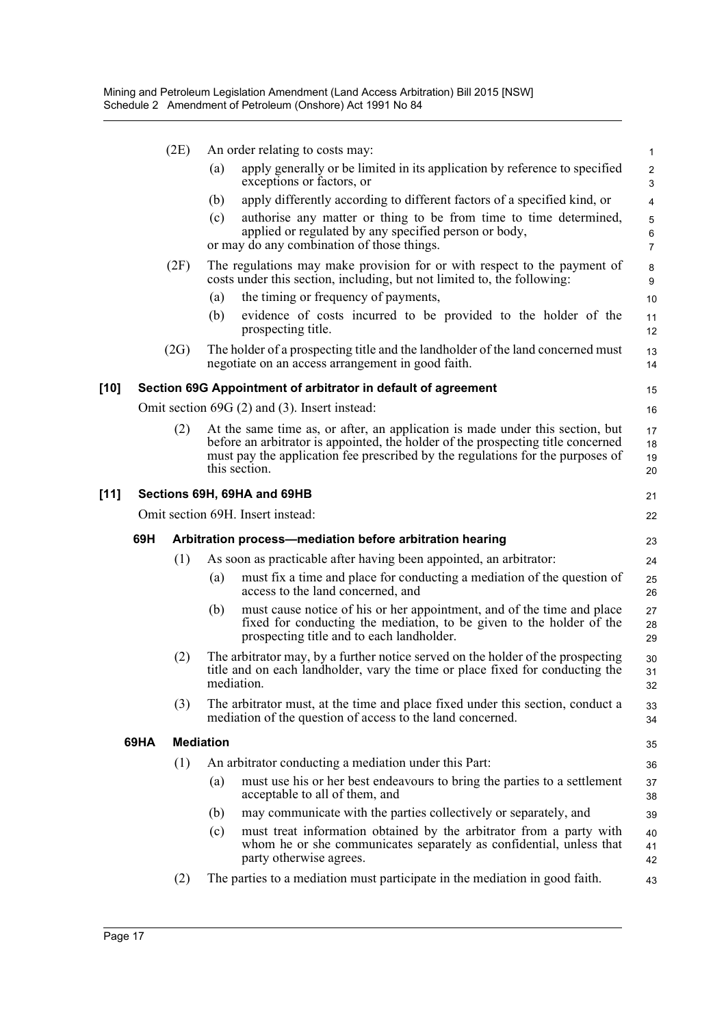|        |      | (2E) |                  | An order relating to costs may:                                                                                                                                                                                                                                      | $\mathbf{1}$             |
|--------|------|------|------------------|----------------------------------------------------------------------------------------------------------------------------------------------------------------------------------------------------------------------------------------------------------------------|--------------------------|
|        |      |      | (a)              | apply generally or be limited in its application by reference to specified<br>exceptions or factors, or                                                                                                                                                              | $\overline{c}$<br>3      |
|        |      |      | (b)              | apply differently according to different factors of a specified kind, or                                                                                                                                                                                             | $\overline{4}$           |
|        |      |      | (c)              | authorise any matter or thing to be from time to time determined,<br>applied or regulated by any specified person or body,<br>or may do any combination of those things.                                                                                             | 5<br>6<br>$\overline{7}$ |
|        |      | (2F) |                  | The regulations may make provision for or with respect to the payment of<br>costs under this section, including, but not limited to, the following:                                                                                                                  | 8<br>9                   |
|        |      |      | (a)              | the timing or frequency of payments,                                                                                                                                                                                                                                 | 10                       |
|        |      |      | (b)              | evidence of costs incurred to be provided to the holder of the<br>prospecting title.                                                                                                                                                                                 | 11<br>12                 |
|        |      | (2G) |                  | The holder of a prospecting title and the landholder of the land concerned must<br>negotiate on an access arrangement in good faith.                                                                                                                                 | 13<br>14                 |
| [10]   |      |      |                  | Section 69G Appointment of arbitrator in default of agreement                                                                                                                                                                                                        | 15                       |
|        |      |      |                  | Omit section 69G (2) and (3). Insert instead:                                                                                                                                                                                                                        | 16                       |
|        |      | (2)  |                  | At the same time as, or after, an application is made under this section, but<br>before an arbitrator is appointed, the holder of the prospecting title concerned<br>must pay the application fee prescribed by the regulations for the purposes of<br>this section. | 17<br>18<br>19<br>20     |
| $[11]$ |      |      |                  | Sections 69H, 69HA and 69HB                                                                                                                                                                                                                                          | 21                       |
|        |      |      |                  | Omit section 69H. Insert instead:                                                                                                                                                                                                                                    | 22                       |
|        | 69H  |      |                  | Arbitration process-mediation before arbitration hearing                                                                                                                                                                                                             | 23                       |
|        |      | (1)  |                  | As soon as practicable after having been appointed, an arbitrator:                                                                                                                                                                                                   | 24                       |
|        |      |      | (a)              | must fix a time and place for conducting a mediation of the question of<br>access to the land concerned, and                                                                                                                                                         | 25<br>26                 |
|        |      |      | (b)              | must cause notice of his or her appointment, and of the time and place<br>fixed for conducting the mediation, to be given to the holder of the<br>prospecting title and to each landholder.                                                                          | 27<br>28<br>29           |
|        |      | (2)  |                  | The arbitrator may, by a further notice served on the holder of the prospecting<br>title and on each landholder, vary the time or place fixed for conducting the<br>mediation.                                                                                       | 30<br>31<br>32           |
|        |      | (3)  |                  | The arbitrator must, at the time and place fixed under this section, conduct a<br>mediation of the question of access to the land concerned.                                                                                                                         | 33<br>34                 |
|        | 69HA |      | <b>Mediation</b> |                                                                                                                                                                                                                                                                      | 35                       |
|        |      | (1)  |                  | An arbitrator conducting a mediation under this Part:                                                                                                                                                                                                                | 36                       |
|        |      |      | (a)              | must use his or her best endeavours to bring the parties to a settlement<br>acceptable to all of them, and                                                                                                                                                           | 37<br>38                 |
|        |      |      | (b)              | may communicate with the parties collectively or separately, and                                                                                                                                                                                                     | 39                       |
|        |      |      | (c)              | must treat information obtained by the arbitrator from a party with<br>whom he or she communicates separately as confidential, unless that<br>party otherwise agrees.                                                                                                | 40<br>41<br>42           |
|        |      | (2)  |                  | The parties to a mediation must participate in the mediation in good faith.                                                                                                                                                                                          | 43                       |

**[11]**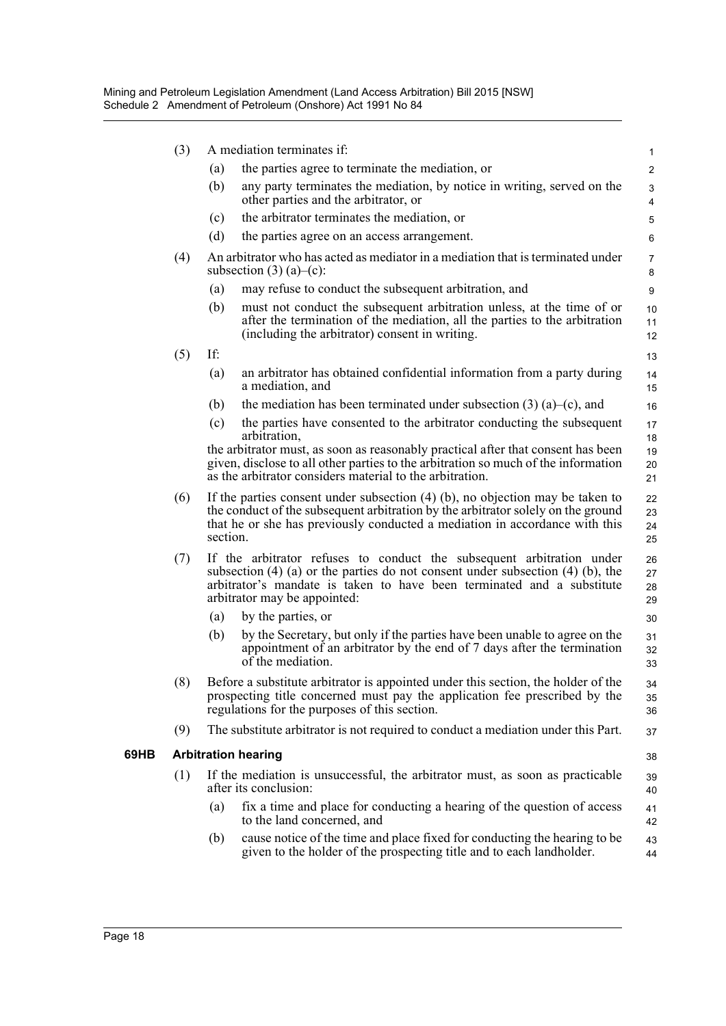| (3) |          | A mediation terminates if:                                                                                                                                                                                                                                        | $\mathbf{1}$         |
|-----|----------|-------------------------------------------------------------------------------------------------------------------------------------------------------------------------------------------------------------------------------------------------------------------|----------------------|
|     | (a)      | the parties agree to terminate the mediation, or                                                                                                                                                                                                                  | $\overline{2}$       |
|     | (b)      | any party terminates the mediation, by notice in writing, served on the<br>other parties and the arbitrator, or                                                                                                                                                   | 3<br>4               |
|     | (c)      | the arbitrator terminates the mediation, or                                                                                                                                                                                                                       | 5                    |
|     | (d)      | the parties agree on an access arrangement.                                                                                                                                                                                                                       | 6                    |
| (4) |          | An arbitrator who has acted as mediator in a mediation that is terminated under<br>subsection $(3)$ (a)–(c):                                                                                                                                                      | $\overline{7}$<br>8  |
|     | (a)      | may refuse to conduct the subsequent arbitration, and                                                                                                                                                                                                             | 9                    |
|     | (b)      | must not conduct the subsequent arbitration unless, at the time of or<br>after the termination of the mediation, all the parties to the arbitration<br>(including the arbitrator) consent in writing.                                                             | 10<br>11<br>12       |
| (5) | If:      |                                                                                                                                                                                                                                                                   | 13                   |
|     | (a)      | an arbitrator has obtained confidential information from a party during<br>a mediation, and                                                                                                                                                                       | 14<br>15             |
|     | (b)      | the mediation has been terminated under subsection $(3)$ $(a)$ – $(c)$ , and                                                                                                                                                                                      | 16                   |
|     | (c)      | the parties have consented to the arbitrator conducting the subsequent<br>arbitration,                                                                                                                                                                            | 17<br>18             |
|     |          | the arbitrator must, as soon as reasonably practical after that consent has been<br>given, disclose to all other parties to the arbitration so much of the information<br>as the arbitrator considers material to the arbitration.                                | 19<br>20<br>21       |
| (6) | section. | If the parties consent under subsection $(4)$ (b), no objection may be taken to<br>the conduct of the subsequent arbitration by the arbitrator solely on the ground<br>that he or she has previously conducted a mediation in accordance with this                | 22<br>23<br>24<br>25 |
| (7) |          | If the arbitrator refuses to conduct the subsequent arbitration under<br>subsection (4) (a) or the parties do not consent under subsection (4) (b), the<br>arbitrator's mandate is taken to have been terminated and a substitute<br>arbitrator may be appointed: | 26<br>27<br>28<br>29 |
|     | (a)      | by the parties, or                                                                                                                                                                                                                                                | 30                   |
|     | (b)      | by the Secretary, but only if the parties have been unable to agree on the<br>appointment of an arbitrator by the end of 7 days after the termination<br>of the mediation.                                                                                        | 31<br>32<br>33       |
| (8) |          | Before a substitute arbitrator is appointed under this section, the holder of the<br>prospecting title concerned must pay the application fee prescribed by the<br>regulations for the purposes of this section.                                                  | 34<br>35<br>36       |
| (9) |          | The substitute arbitrator is not required to conduct a mediation under this Part.                                                                                                                                                                                 | 37                   |
|     |          | <b>Arbitration hearing</b>                                                                                                                                                                                                                                        | 38                   |
| (1) |          | If the mediation is unsuccessful, the arbitrator must, as soon as practicable<br>after its conclusion:                                                                                                                                                            | 39<br>40             |
|     | (a)      | fix a time and place for conducting a hearing of the question of access<br>to the land concerned, and                                                                                                                                                             | 41<br>42             |
|     | (b)      | cause notice of the time and place fixed for conducting the hearing to be<br>given to the holder of the prospecting title and to each landholder.                                                                                                                 | 43<br>44             |
|     |          |                                                                                                                                                                                                                                                                   |                      |

69HB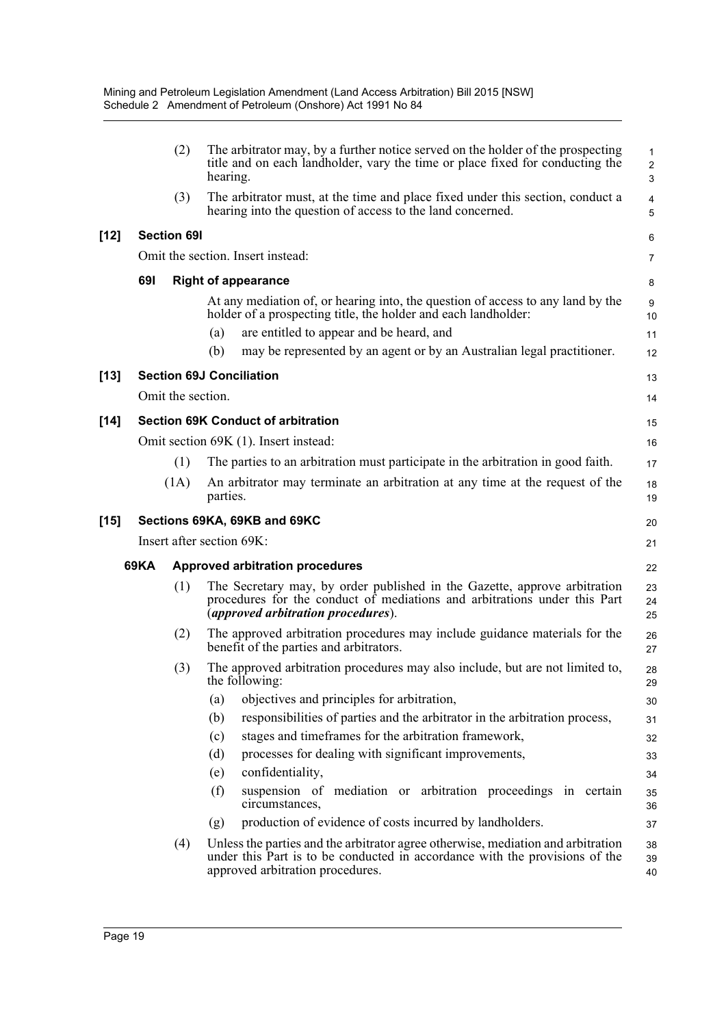|        |      | (2)                | The arbitrator may, by a further notice served on the holder of the prospecting<br>title and on each landholder, vary the time or place fixed for conducting the<br>hearing.                         | $\mathbf 1$<br>$\overline{2}$<br>3 |  |  |
|--------|------|--------------------|------------------------------------------------------------------------------------------------------------------------------------------------------------------------------------------------------|------------------------------------|--|--|
|        |      | (3)                | The arbitrator must, at the time and place fixed under this section, conduct a<br>hearing into the question of access to the land concerned.                                                         | $\overline{\mathbf{4}}$<br>5       |  |  |
| $[12]$ |      | <b>Section 691</b> |                                                                                                                                                                                                      | 6                                  |  |  |
|        |      |                    | Omit the section. Insert instead:                                                                                                                                                                    | $\overline{7}$                     |  |  |
|        | 691  |                    | <b>Right of appearance</b>                                                                                                                                                                           | 8                                  |  |  |
|        |      |                    | At any mediation of, or hearing into, the question of access to any land by the<br>holder of a prospecting title, the holder and each landholder:<br>are entitled to appear and be heard, and<br>(a) | 9<br>10<br>11                      |  |  |
|        |      |                    | may be represented by an agent or by an Australian legal practitioner.<br>(b)                                                                                                                        | 12                                 |  |  |
| $[13]$ |      |                    | <b>Section 69J Conciliation</b>                                                                                                                                                                      | 13                                 |  |  |
|        |      | Omit the section.  |                                                                                                                                                                                                      | 14                                 |  |  |
| $[14]$ |      |                    | <b>Section 69K Conduct of arbitration</b>                                                                                                                                                            |                                    |  |  |
|        |      |                    | Omit section 69K (1). Insert instead:                                                                                                                                                                | 16                                 |  |  |
|        |      | (1)                | The parties to an arbitration must participate in the arbitration in good faith.                                                                                                                     | 17                                 |  |  |
|        |      | (1A)               | An arbitrator may terminate an arbitration at any time at the request of the<br>parties.                                                                                                             | 18<br>19                           |  |  |
| $[15]$ |      |                    | Sections 69KA, 69KB and 69KC                                                                                                                                                                         | 20                                 |  |  |
|        |      |                    | Insert after section 69K:                                                                                                                                                                            | 21                                 |  |  |
|        | 69KA |                    | <b>Approved arbitration procedures</b>                                                                                                                                                               | 22                                 |  |  |
|        |      | (1)                | The Secretary may, by order published in the Gazette, approve arbitration<br>procedures for the conduct of mediations and arbitrations under this Part<br><i>(approved arbitration procedures).</i>  | 23<br>24<br>25                     |  |  |
|        |      | (2)                | The approved arbitration procedures may include guidance materials for the<br>benefit of the parties and arbitrators.                                                                                | 26<br>27                           |  |  |
|        |      | (3)                | The approved arbitration procedures may also include, but are not limited to,<br>the following:                                                                                                      | 28<br>29                           |  |  |
|        |      |                    | objectives and principles for arbitration,<br>(a)                                                                                                                                                    | 30                                 |  |  |
|        |      |                    | responsibilities of parties and the arbitrator in the arbitration process,<br>(b)                                                                                                                    | 31                                 |  |  |
|        |      |                    | stages and timeframes for the arbitration framework,<br>(c)                                                                                                                                          | 32                                 |  |  |
|        |      |                    | processes for dealing with significant improvements,<br>(d)                                                                                                                                          | 33                                 |  |  |
|        |      |                    | confidentiality,<br>(e)                                                                                                                                                                              | 34                                 |  |  |
|        |      |                    | suspension of mediation or arbitration proceedings in certain<br>(f)<br>circumstances,                                                                                                               | 35<br>36                           |  |  |
|        |      |                    | production of evidence of costs incurred by landholders.<br>(g)                                                                                                                                      | 37                                 |  |  |
|        |      | (4)                | Unless the parties and the arbitrator agree otherwise, mediation and arbitration<br>under this Part is to be conducted in accordance with the provisions of the<br>approved arbitration procedures.  | 38<br>39<br>40                     |  |  |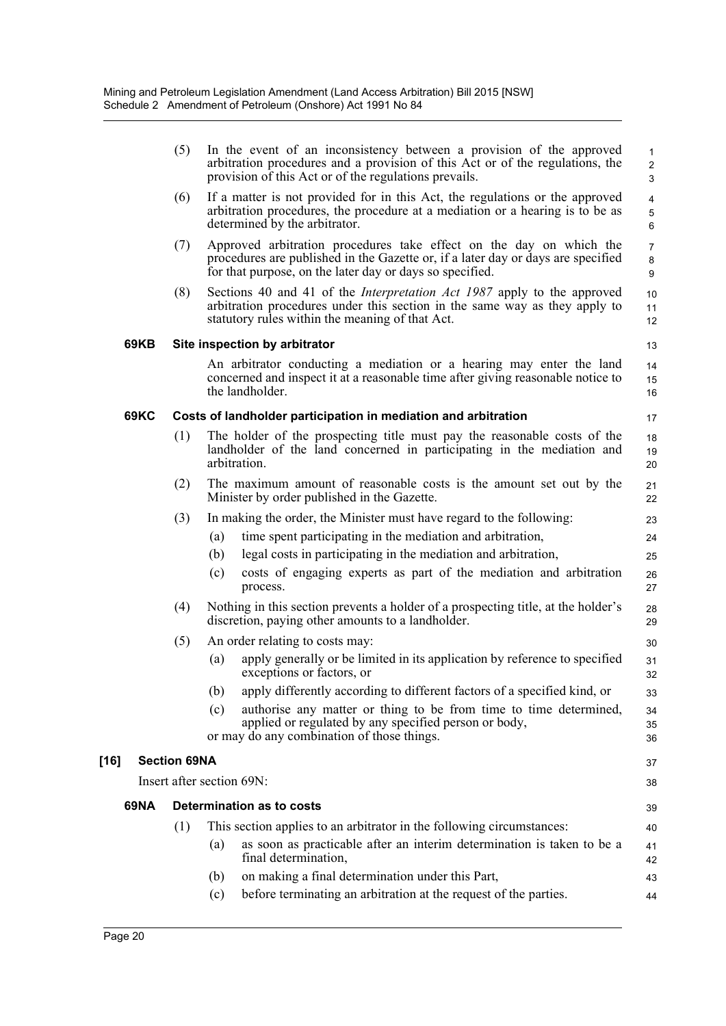|      | (5)                 |     | In the event of an inconsistency between a provision of the approved<br>arbitration procedures and a provision of this Act or of the regulations, the<br>provision of this Act or of the regulations prevails.      | $\mathbf{1}$<br>$\overline{2}$<br>3    |
|------|---------------------|-----|---------------------------------------------------------------------------------------------------------------------------------------------------------------------------------------------------------------------|----------------------------------------|
|      | (6)                 |     | If a matter is not provided for in this Act, the regulations or the approved<br>arbitration procedures, the procedure at a mediation or a hearing is to be as<br>determined by the arbitrator.                      | $\overline{4}$<br>$5\phantom{.0}$<br>6 |
|      | (7)                 |     | Approved arbitration procedures take effect on the day on which the<br>procedures are published in the Gazette or, if a later day or days are specified<br>for that purpose, on the later day or days so specified. | $\overline{7}$<br>8<br>9               |
|      | (8)                 |     | Sections 40 and 41 of the <i>Interpretation Act 1987</i> apply to the approved<br>arbitration procedures under this section in the same way as they apply to<br>statutory rules within the meaning of that Act.     | 10<br>11<br>12                         |
| 69KB |                     |     | Site inspection by arbitrator                                                                                                                                                                                       | 13                                     |
|      |                     |     | An arbitrator conducting a mediation or a hearing may enter the land<br>concerned and inspect it at a reasonable time after giving reasonable notice to<br>the landholder.                                          | 14<br>15<br>16                         |
| 69KC |                     |     | Costs of landholder participation in mediation and arbitration                                                                                                                                                      | 17                                     |
|      | (1)                 |     | The holder of the prospecting title must pay the reasonable costs of the<br>landholder of the land concerned in participating in the mediation and<br>arbitration.                                                  | 18<br>19<br>20                         |
|      | (2)                 |     | The maximum amount of reasonable costs is the amount set out by the<br>Minister by order published in the Gazette.                                                                                                  | 21<br>22                               |
|      | (3)                 |     | In making the order, the Minister must have regard to the following:                                                                                                                                                | 23                                     |
|      |                     | (a) | time spent participating in the mediation and arbitration,                                                                                                                                                          | 24                                     |
|      |                     | (b) | legal costs in participating in the mediation and arbitration,                                                                                                                                                      | 25                                     |
|      |                     | (c) | costs of engaging experts as part of the mediation and arbitration<br>process.                                                                                                                                      | 26<br>27                               |
|      | (4)                 |     | Nothing in this section prevents a holder of a prospecting title, at the holder's<br>discretion, paying other amounts to a landholder.                                                                              | 28<br>29                               |
|      | (5)                 |     | An order relating to costs may:                                                                                                                                                                                     | 30                                     |
|      |                     | (a) | apply generally or be limited in its application by reference to specified<br>exceptions or factors, or                                                                                                             | 31<br>32                               |
|      |                     | (b) | apply differently according to different factors of a specified kind, or                                                                                                                                            | 33                                     |
|      |                     | (c) | authorise any matter or thing to be from time to time determined,                                                                                                                                                   | 34                                     |
|      |                     |     | applied or regulated by any specified person or body,<br>or may do any combination of those things.                                                                                                                 | 35<br>36                               |
|      | <b>Section 69NA</b> |     |                                                                                                                                                                                                                     | 37                                     |
|      |                     |     | Insert after section 69N:                                                                                                                                                                                           | 38                                     |
| 69NA |                     |     | Determination as to costs                                                                                                                                                                                           | 39                                     |
|      | (1)                 |     | This section applies to an arbitrator in the following circumstances:                                                                                                                                               | 40                                     |
|      |                     | (a) | as soon as practicable after an interim determination is taken to be a<br>final determination,                                                                                                                      | 41<br>42                               |
|      |                     | (b) | on making a final determination under this Part,                                                                                                                                                                    | 43                                     |
|      |                     | (c) | before terminating an arbitration at the request of the parties.                                                                                                                                                    | 44                                     |

[16]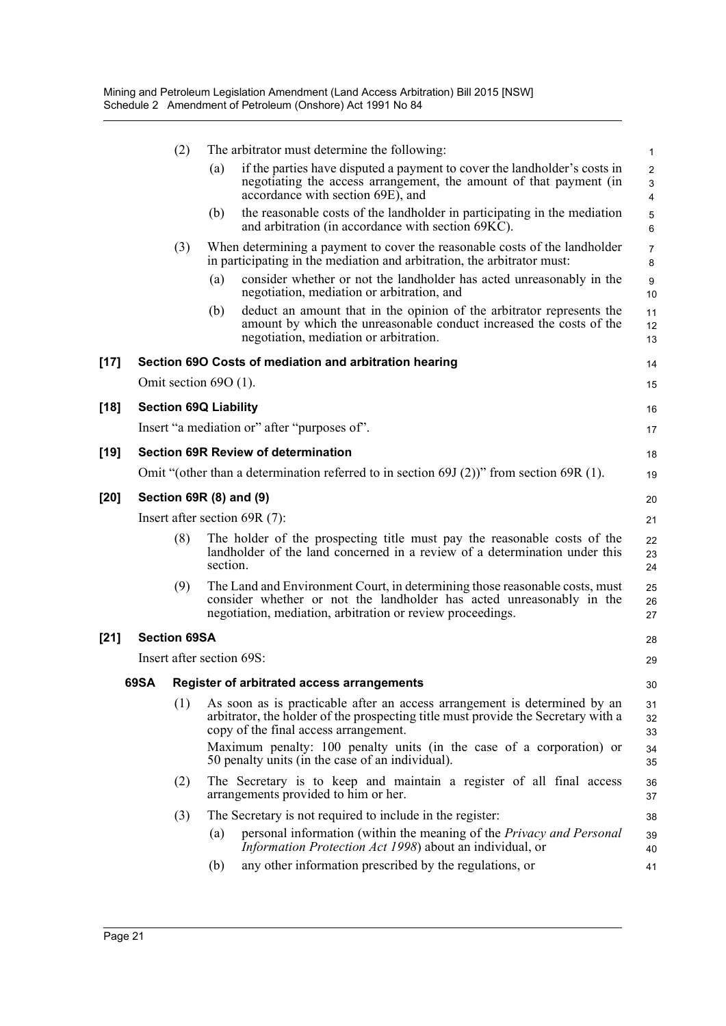|        |      | (2)                          |          | The arbitrator must determine the following:                                                                                                                                                                      | $\mathbf{1}$             |
|--------|------|------------------------------|----------|-------------------------------------------------------------------------------------------------------------------------------------------------------------------------------------------------------------------|--------------------------|
|        |      |                              | (a)      | if the parties have disputed a payment to cover the landholder's costs in<br>negotiating the access arrangement, the amount of that payment (in<br>accordance with section 69E), and                              | $\overline{c}$<br>3<br>4 |
|        |      |                              | (b)      | the reasonable costs of the landholder in participating in the mediation<br>and arbitration (in accordance with section 69KC).                                                                                    | 5<br>6                   |
|        |      | (3)                          |          | When determining a payment to cover the reasonable costs of the landholder<br>in participating in the mediation and arbitration, the arbitrator must:                                                             | 7<br>8                   |
|        |      |                              | (a)      | consider whether or not the landholder has acted unreasonably in the<br>negotiation, mediation or arbitration, and                                                                                                | 9<br>10                  |
|        |      |                              | (b)      | deduct an amount that in the opinion of the arbitrator represents the<br>amount by which the unreasonable conduct increased the costs of the<br>negotiation, mediation or arbitration.                            | 11<br>12<br>13           |
| $[17]$ |      |                              |          | Section 69O Costs of mediation and arbitration hearing                                                                                                                                                            | 14                       |
|        |      | Omit section $69O(1)$ .      |          |                                                                                                                                                                                                                   | 15                       |
| [18]   |      | <b>Section 69Q Liability</b> |          |                                                                                                                                                                                                                   | 16                       |
|        |      |                              |          | Insert "a mediation or" after "purposes of".                                                                                                                                                                      | 17                       |
| [19]   |      |                              |          | <b>Section 69R Review of determination</b>                                                                                                                                                                        | 18                       |
|        |      |                              |          | Omit "(other than a determination referred to in section 69J $(2)$ )" from section 69R $(1)$ .                                                                                                                    | 19                       |
| [20]   |      |                              |          | Section 69R (8) and (9)                                                                                                                                                                                           | 20                       |
|        |      |                              |          | Insert after section $69R(7)$ :                                                                                                                                                                                   | 21                       |
|        |      | (8)                          | section. | The holder of the prospecting title must pay the reasonable costs of the<br>landholder of the land concerned in a review of a determination under this                                                            | 22<br>23<br>24           |
|        |      | (9)                          |          | The Land and Environment Court, in determining those reasonable costs, must<br>consider whether or not the landholder has acted unreasonably in the<br>negotiation, mediation, arbitration or review proceedings. | 25<br>26<br>27           |
| $[21]$ |      | <b>Section 69SA</b>          |          |                                                                                                                                                                                                                   | 28                       |
|        |      |                              |          | Insert after section 69S:                                                                                                                                                                                         | 29                       |
|        | 69SA |                              |          | Register of arbitrated access arrangements                                                                                                                                                                        | 30                       |
|        |      | (1)                          |          | As soon as is practicable after an access arrangement is determined by an<br>arbitrator, the holder of the prospecting title must provide the Secretary with a<br>copy of the final access arrangement.           | 31<br>32<br>33           |
|        |      |                              |          | Maximum penalty: 100 penalty units (in the case of a corporation) or<br>50 penalty units (in the case of an individual).                                                                                          | 34<br>35                 |
|        |      | (2)                          |          | The Secretary is to keep and maintain a register of all final access<br>arrangements provided to him or her.                                                                                                      | 36<br>37                 |
|        |      | (3)                          |          | The Secretary is not required to include in the register:                                                                                                                                                         | 38                       |
|        |      |                              | (a)      | personal information (within the meaning of the <i>Privacy and Personal</i><br><i>Information Protection Act 1998</i> ) about an individual, or                                                                   | 39<br>40                 |
|        |      |                              | (b)      | any other information prescribed by the regulations, or                                                                                                                                                           | 41                       |
|        |      |                              |          |                                                                                                                                                                                                                   |                          |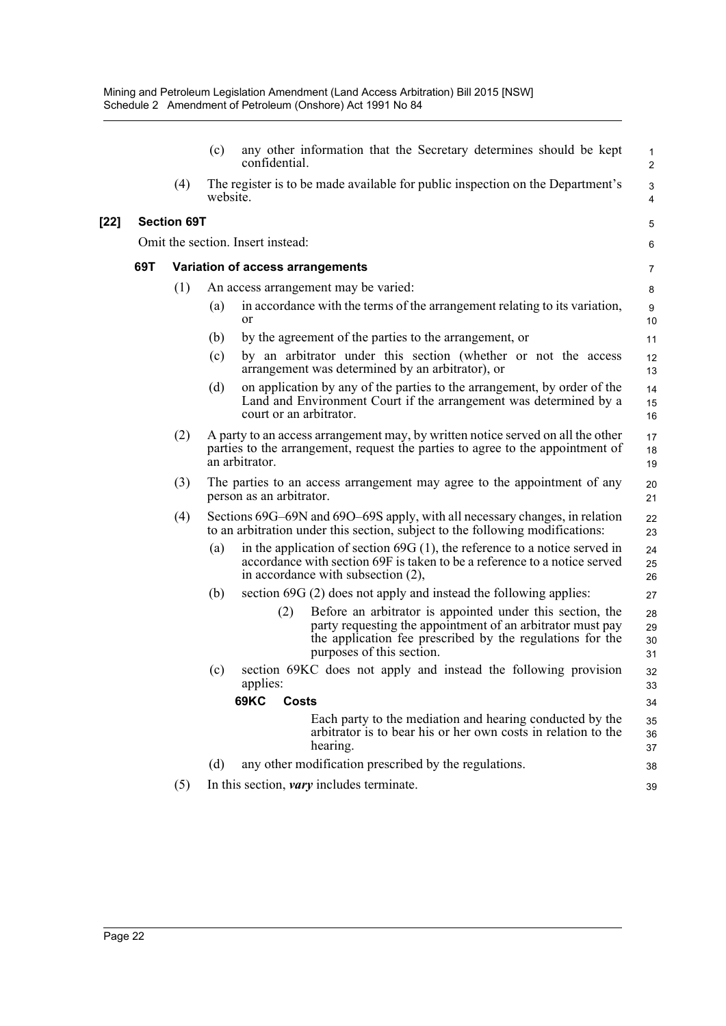|     |                    | (c)                                                                                                                                                                                                   | any other information that the Secretary determines should be kept<br>confidential.                                                                                                                                      | $\mathbf{1}$<br>2    |  |  |  |  |
|-----|--------------------|-------------------------------------------------------------------------------------------------------------------------------------------------------------------------------------------------------|--------------------------------------------------------------------------------------------------------------------------------------------------------------------------------------------------------------------------|----------------------|--|--|--|--|
|     | (4)                | website.                                                                                                                                                                                              | The register is to be made available for public inspection on the Department's                                                                                                                                           | 3<br>$\overline{4}$  |  |  |  |  |
|     | <b>Section 69T</b> |                                                                                                                                                                                                       |                                                                                                                                                                                                                          | 5                    |  |  |  |  |
|     |                    |                                                                                                                                                                                                       | Omit the section. Insert instead:                                                                                                                                                                                        | 6                    |  |  |  |  |
| 69T |                    |                                                                                                                                                                                                       | Variation of access arrangements                                                                                                                                                                                         | 7                    |  |  |  |  |
|     | (1)                |                                                                                                                                                                                                       | An access arrangement may be varied:                                                                                                                                                                                     | 8                    |  |  |  |  |
|     |                    | (a)                                                                                                                                                                                                   | in accordance with the terms of the arrangement relating to its variation,<br><sub>or</sub>                                                                                                                              | 9<br>10              |  |  |  |  |
|     |                    | (b)                                                                                                                                                                                                   | by the agreement of the parties to the arrangement, or                                                                                                                                                                   | 11                   |  |  |  |  |
|     |                    | (c)                                                                                                                                                                                                   | by an arbitrator under this section (whether or not the access<br>arrangement was determined by an arbitrator), or                                                                                                       | 12<br>13             |  |  |  |  |
|     |                    | (d)                                                                                                                                                                                                   | on application by any of the parties to the arrangement, by order of the<br>Land and Environment Court if the arrangement was determined by a<br>court or an arbitrator.                                                 | 14<br>15<br>16       |  |  |  |  |
|     | (2)                | A party to an access arrangement may, by written notice served on all the other<br>17<br>parties to the arrangement, request the parties to agree to the appointment of<br>18<br>an arbitrator.<br>19 |                                                                                                                                                                                                                          |                      |  |  |  |  |
|     | (3)                | The parties to an access arrangement may agree to the appointment of any<br>20<br>person as an arbitrator.<br>21                                                                                      |                                                                                                                                                                                                                          |                      |  |  |  |  |
|     | (4)                |                                                                                                                                                                                                       | Sections 69G–69N and 69O–69S apply, with all necessary changes, in relation<br>to an arbitration under this section, subject to the following modifications:                                                             | 22<br>23             |  |  |  |  |
|     |                    | (a)                                                                                                                                                                                                   | in the application of section $69G(1)$ , the reference to a notice served in<br>accordance with section 69F is taken to be a reference to a notice served<br>in accordance with subsection (2),                          | 24<br>25<br>26       |  |  |  |  |
|     |                    | (b)                                                                                                                                                                                                   | section 69G (2) does not apply and instead the following applies:                                                                                                                                                        | 27                   |  |  |  |  |
|     |                    |                                                                                                                                                                                                       | Before an arbitrator is appointed under this section, the<br>(2)<br>party requesting the appointment of an arbitrator must pay<br>the application fee prescribed by the regulations for the<br>purposes of this section. | 28<br>29<br>30<br>31 |  |  |  |  |
|     |                    | (c)                                                                                                                                                                                                   | section 69KC does not apply and instead the following provision<br>applies:                                                                                                                                              | 32<br>33             |  |  |  |  |
|     |                    |                                                                                                                                                                                                       | <b>69KC</b><br><b>Costs</b>                                                                                                                                                                                              | 34                   |  |  |  |  |
|     |                    |                                                                                                                                                                                                       | Each party to the mediation and hearing conducted by the<br>arbitrator is to bear his or her own costs in relation to the<br>hearing.                                                                                    | 35<br>36<br>37       |  |  |  |  |
|     |                    | (d)                                                                                                                                                                                                   | any other modification prescribed by the regulations.                                                                                                                                                                    | 38                   |  |  |  |  |
|     | (5)                |                                                                                                                                                                                                       | In this section, <i>vary</i> includes terminate.                                                                                                                                                                         | 39                   |  |  |  |  |
|     |                    |                                                                                                                                                                                                       |                                                                                                                                                                                                                          |                      |  |  |  |  |

**[22]**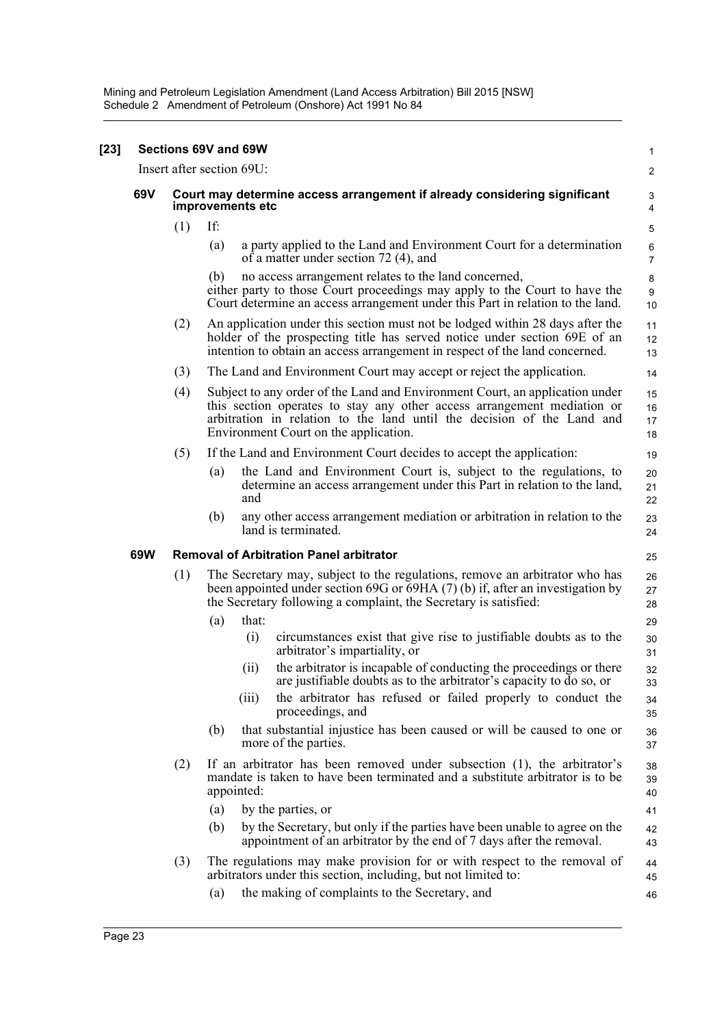Mining and Petroleum Legislation Amendment (Land Access Arbitration) Bill 2015 [NSW] Schedule 2 Amendment of Petroleum (Onshore) Act 1991 No 84

| $[23]$ | Sections 69V and 69W |                                                                                               |                                                                                                                                                                                                                                                                            |                         |  |  |
|--------|----------------------|-----------------------------------------------------------------------------------------------|----------------------------------------------------------------------------------------------------------------------------------------------------------------------------------------------------------------------------------------------------------------------------|-------------------------|--|--|
|        |                      |                                                                                               | Insert after section 69U:                                                                                                                                                                                                                                                  | 2                       |  |  |
|        | 69V                  | Court may determine access arrangement if already considering significant<br>improvements etc |                                                                                                                                                                                                                                                                            |                         |  |  |
|        |                      | (1)                                                                                           | If:                                                                                                                                                                                                                                                                        | 5                       |  |  |
|        |                      |                                                                                               | (a)<br>a party applied to the Land and Environment Court for a determination<br>of a matter under section 72 (4), and                                                                                                                                                      | $\,6$<br>$\overline{7}$ |  |  |
|        |                      |                                                                                               | no access arrangement relates to the land concerned,<br>(b)<br>either party to those Court proceedings may apply to the Court to have the<br>Court determine an access arrangement under this Part in relation to the land.                                                | 8<br>9<br>10            |  |  |
|        |                      | (2)                                                                                           | An application under this section must not be lodged within 28 days after the<br>holder of the prospecting title has served notice under section 69E of an<br>intention to obtain an access arrangement in respect of the land concerned.                                  | 11<br>12<br>13          |  |  |
|        |                      | (3)                                                                                           | The Land and Environment Court may accept or reject the application.                                                                                                                                                                                                       | 14                      |  |  |
|        |                      | (4)                                                                                           | Subject to any order of the Land and Environment Court, an application under<br>this section operates to stay any other access arrangement mediation or<br>arbitration in relation to the land until the decision of the Land and<br>Environment Court on the application. | 15<br>16<br>17<br>18    |  |  |
|        |                      | (5)                                                                                           | If the Land and Environment Court decides to accept the application:                                                                                                                                                                                                       | 19                      |  |  |
|        |                      |                                                                                               | the Land and Environment Court is, subject to the regulations, to<br>(a)<br>determine an access arrangement under this Part in relation to the land,<br>and                                                                                                                | 20<br>21<br>22          |  |  |
|        |                      |                                                                                               | any other access arrangement mediation or arbitration in relation to the<br>(b)<br>land is terminated.                                                                                                                                                                     | 23<br>24                |  |  |
|        | 69W                  |                                                                                               | <b>Removal of Arbitration Panel arbitrator</b>                                                                                                                                                                                                                             | 25                      |  |  |
|        |                      | (1)                                                                                           | The Secretary may, subject to the regulations, remove an arbitrator who has<br>been appointed under section 69G or 69HA (7) (b) if, after an investigation by<br>the Secretary following a complaint, the Secretary is satisfied:                                          | 26<br>27<br>28          |  |  |
|        |                      |                                                                                               | that:<br>(a)                                                                                                                                                                                                                                                               | 29                      |  |  |
|        |                      |                                                                                               | (i)<br>circumstances exist that give rise to justifiable doubts as to the<br>arbitrator's impartiality, or                                                                                                                                                                 | 30<br>31                |  |  |
|        |                      |                                                                                               | the arbitrator is incapable of conducting the proceedings or there<br>(11)<br>are justifiable doubts as to the arbitrator's capacity to do so, or                                                                                                                          | 32<br>33                |  |  |
|        |                      |                                                                                               | the arbitrator has refused or failed properly to conduct the<br>(iii)<br>proceedings, and                                                                                                                                                                                  | 34<br>35                |  |  |
|        |                      |                                                                                               | that substantial injustice has been caused or will be caused to one or<br>(b)<br>more of the parties.                                                                                                                                                                      | 36<br>37                |  |  |
|        |                      | (2)                                                                                           | If an arbitrator has been removed under subsection (1), the arbitrator's<br>mandate is taken to have been terminated and a substitute arbitrator is to be<br>appointed:                                                                                                    | 38<br>39<br>40          |  |  |
|        |                      |                                                                                               | (a)<br>by the parties, or                                                                                                                                                                                                                                                  | 41                      |  |  |
|        |                      |                                                                                               | by the Secretary, but only if the parties have been unable to agree on the<br>(b)<br>appointment of an arbitrator by the end of 7 days after the removal.                                                                                                                  | 42<br>43                |  |  |
|        |                      | (3)                                                                                           | The regulations may make provision for or with respect to the removal of<br>arbitrators under this section, including, but not limited to:                                                                                                                                 | 44<br>45                |  |  |
|        |                      |                                                                                               | the making of complaints to the Secretary, and<br>(a)                                                                                                                                                                                                                      | 46                      |  |  |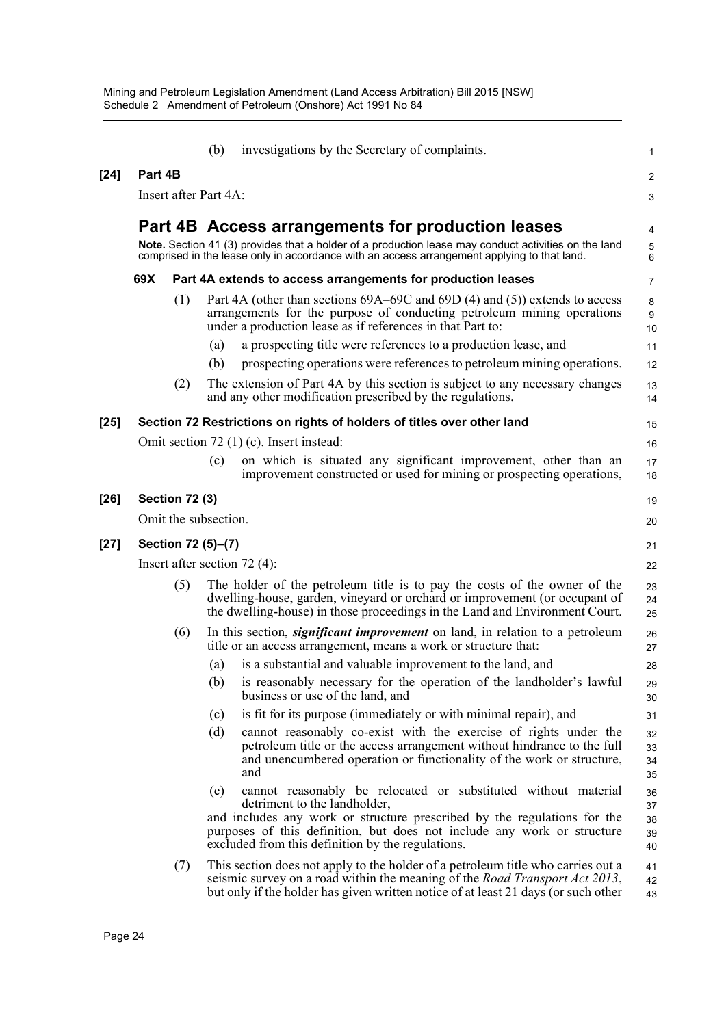|        |                                | (b) | investigations by the Secretary of complaints.                                                                                                                                                                                                                                                             | $\mathbf{1}$               |
|--------|--------------------------------|-----|------------------------------------------------------------------------------------------------------------------------------------------------------------------------------------------------------------------------------------------------------------------------------------------------------------|----------------------------|
| [24]   | Part 4B                        |     |                                                                                                                                                                                                                                                                                                            | $\overline{2}$             |
|        | Insert after Part 4A:          |     |                                                                                                                                                                                                                                                                                                            | 3                          |
|        |                                |     | Part 4B Access arrangements for production leases                                                                                                                                                                                                                                                          | 4                          |
|        |                                |     | Note. Section 41 (3) provides that a holder of a production lease may conduct activities on the land<br>comprised in the lease only in accordance with an access arrangement applying to that land.                                                                                                        | 5<br>6                     |
|        | 69X                            |     | Part 4A extends to access arrangements for production leases                                                                                                                                                                                                                                               | $\overline{7}$             |
|        | (1)                            | (a) | Part 4A (other than sections 69A–69C and 69D (4) and (5)) extends to access<br>arrangements for the purpose of conducting petroleum mining operations<br>under a production lease as if references in that Part to:<br>a prospecting title were references to a production lease, and                      | 8<br>9<br>10<br>11         |
|        | (2)                            | (b) | prospecting operations were references to petroleum mining operations.<br>The extension of Part 4A by this section is subject to any necessary changes<br>and any other modification prescribed by the regulations.                                                                                        | 12<br>13<br>14             |
| [25]   |                                |     | Section 72 Restrictions on rights of holders of titles over other land                                                                                                                                                                                                                                     | 15                         |
|        |                                |     | Omit section 72 (1) (c). Insert instead:                                                                                                                                                                                                                                                                   | 16                         |
|        |                                | (c) | on which is situated any significant improvement, other than an<br>improvement constructed or used for mining or prospecting operations,                                                                                                                                                                   | 17<br>18                   |
| [26]   | <b>Section 72 (3)</b>          |     |                                                                                                                                                                                                                                                                                                            | 19                         |
|        | Omit the subsection.           |     |                                                                                                                                                                                                                                                                                                            | 20                         |
| $[27]$ | Section 72 (5)-(7)             |     |                                                                                                                                                                                                                                                                                                            | 21                         |
|        | Insert after section $72(4)$ : |     |                                                                                                                                                                                                                                                                                                            | 22                         |
|        | (5)                            |     | The holder of the petroleum title is to pay the costs of the owner of the<br>dwelling-house, garden, vineyard or orchard or improvement (or occupant of<br>the dwelling-house) in those proceedings in the Land and Environment Court.                                                                     | 23<br>24<br>25             |
|        | (6)                            |     | In this section, <i>significant improvement</i> on land, in relation to a petroleum<br>title or an access arrangement, means a work or structure that:                                                                                                                                                     | 26<br>27                   |
|        |                                | (a) | is a substantial and valuable improvement to the land, and                                                                                                                                                                                                                                                 | 28                         |
|        |                                |     | (b) is reasonably necessary for the operation of the landholder's lawful<br>business or use of the land, and                                                                                                                                                                                               | 29<br>30                   |
|        |                                | (c) | is fit for its purpose (immediately or with minimal repair), and                                                                                                                                                                                                                                           | 31                         |
|        |                                | (d) | cannot reasonably co-exist with the exercise of rights under the<br>petroleum title or the access arrangement without hindrance to the full<br>and unencumbered operation or functionality of the work or structure,<br>and                                                                                | 32<br>33<br>34<br>35       |
|        |                                | (e) | cannot reasonably be relocated or substituted without material<br>detriment to the landholder,<br>and includes any work or structure prescribed by the regulations for the<br>purposes of this definition, but does not include any work or structure<br>excluded from this definition by the regulations. | 36<br>37<br>38<br>39<br>40 |
|        | (7)                            |     | This section does not apply to the holder of a petroleum title who carries out a<br>seismic survey on a road within the meaning of the <i>Road Transport Act 2013</i> ,<br>but only if the holder has given written notice of at least 21 days (or such other                                              | 41<br>42<br>43             |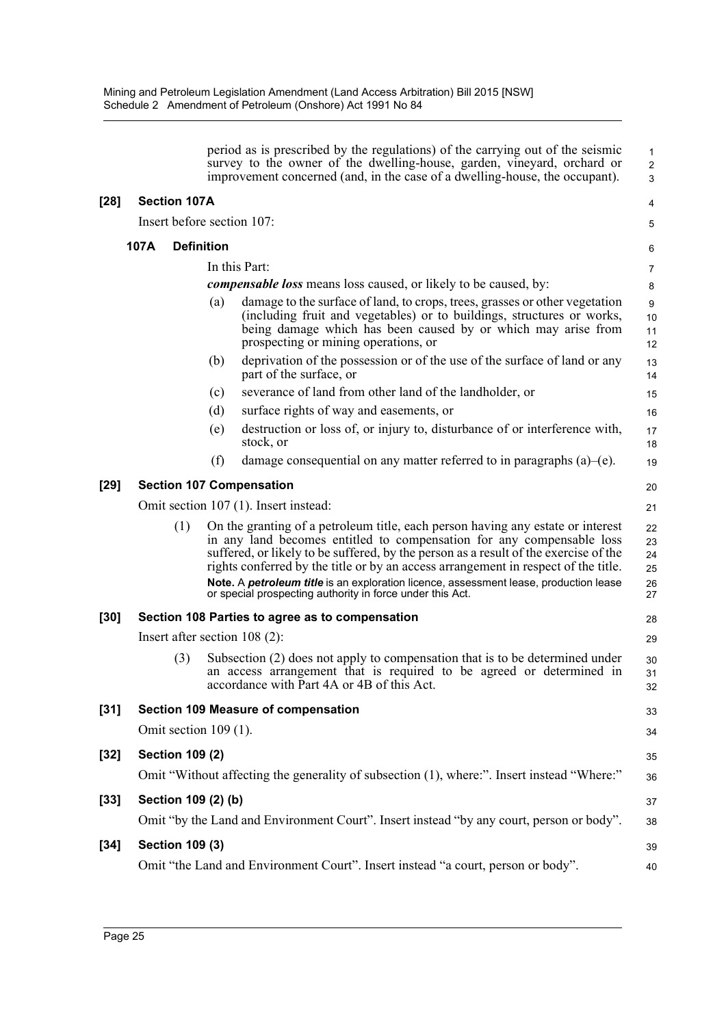|        |      |                         |                   | period as is prescribed by the regulations) of the carrying out of the seismic<br>survey to the owner of the dwelling-house, garden, vineyard, orchard or<br>improvement concerned (and, in the case of a dwelling-house, the occupant).                                                                                                                                                                                                                                                     | $\mathbf{1}$<br>$\overline{2}$<br>3 |
|--------|------|-------------------------|-------------------|----------------------------------------------------------------------------------------------------------------------------------------------------------------------------------------------------------------------------------------------------------------------------------------------------------------------------------------------------------------------------------------------------------------------------------------------------------------------------------------------|-------------------------------------|
| $[28]$ |      | <b>Section 107A</b>     |                   |                                                                                                                                                                                                                                                                                                                                                                                                                                                                                              | 4                                   |
|        |      |                         |                   | Insert before section 107:                                                                                                                                                                                                                                                                                                                                                                                                                                                                   | 5                                   |
|        | 107A |                         | <b>Definition</b> |                                                                                                                                                                                                                                                                                                                                                                                                                                                                                              | 6                                   |
|        |      |                         |                   | In this Part:                                                                                                                                                                                                                                                                                                                                                                                                                                                                                | 7                                   |
|        |      |                         |                   | <i>compensable loss</i> means loss caused, or likely to be caused, by:                                                                                                                                                                                                                                                                                                                                                                                                                       | 8                                   |
|        |      |                         | (a)               | damage to the surface of land, to crops, trees, grasses or other vegetation<br>(including fruit and vegetables) or to buildings, structures or works,<br>being damage which has been caused by or which may arise from<br>prospecting or mining operations, or                                                                                                                                                                                                                               | 9<br>10<br>11<br>12                 |
|        |      |                         | (b)               | deprivation of the possession or of the use of the surface of land or any<br>part of the surface, or                                                                                                                                                                                                                                                                                                                                                                                         | 13<br>14                            |
|        |      |                         | (c)               | severance of land from other land of the landholder, or                                                                                                                                                                                                                                                                                                                                                                                                                                      | 15                                  |
|        |      |                         | (d)               | surface rights of way and easements, or                                                                                                                                                                                                                                                                                                                                                                                                                                                      | 16                                  |
|        |      |                         | (e)               | destruction or loss of, or injury to, disturbance of or interference with,<br>stock, or                                                                                                                                                                                                                                                                                                                                                                                                      | 17<br>18                            |
|        |      |                         | (f)               | damage consequential on any matter referred to in paragraphs (a)–(e).                                                                                                                                                                                                                                                                                                                                                                                                                        | 19                                  |
| $[29]$ |      |                         |                   | <b>Section 107 Compensation</b>                                                                                                                                                                                                                                                                                                                                                                                                                                                              | 20                                  |
|        |      |                         |                   | Omit section 107 (1). Insert instead:                                                                                                                                                                                                                                                                                                                                                                                                                                                        | 21                                  |
|        |      | (1)                     |                   | On the granting of a petroleum title, each person having any estate or interest<br>in any land becomes entitled to compensation for any compensable loss<br>suffered, or likely to be suffered, by the person as a result of the exercise of the<br>rights conferred by the title or by an access arrangement in respect of the title.<br>Note. A petroleum title is an exploration licence, assessment lease, production lease<br>or special prospecting authority in force under this Act. | 22<br>23<br>24<br>25<br>26<br>27    |
| $[30]$ |      |                         |                   | Section 108 Parties to agree as to compensation                                                                                                                                                                                                                                                                                                                                                                                                                                              | 28                                  |
|        |      |                         |                   | Insert after section $108(2)$ :                                                                                                                                                                                                                                                                                                                                                                                                                                                              | 29                                  |
|        |      | (3)                     |                   | Subsection (2) does not apply to compensation that is to be determined under<br>an access arrangement that is required to be agreed or determined in<br>accordance with Part 4A or 4B of this Act.                                                                                                                                                                                                                                                                                           | 30<br>31<br>32                      |
| $[31]$ |      |                         |                   | Section 109 Measure of compensation                                                                                                                                                                                                                                                                                                                                                                                                                                                          | 33                                  |
|        |      | Omit section $109(1)$ . |                   |                                                                                                                                                                                                                                                                                                                                                                                                                                                                                              | 34                                  |
| $[32]$ |      | <b>Section 109 (2)</b>  |                   |                                                                                                                                                                                                                                                                                                                                                                                                                                                                                              | 35                                  |
|        |      |                         |                   | Omit "Without affecting the generality of subsection (1), where:". Insert instead "Where:"                                                                                                                                                                                                                                                                                                                                                                                                   | 36                                  |
| $[33]$ |      | Section 109 (2) (b)     |                   |                                                                                                                                                                                                                                                                                                                                                                                                                                                                                              | 37                                  |
|        |      |                         |                   | Omit "by the Land and Environment Court". Insert instead "by any court, person or body".                                                                                                                                                                                                                                                                                                                                                                                                     | 38                                  |
| $[34]$ |      | <b>Section 109 (3)</b>  |                   |                                                                                                                                                                                                                                                                                                                                                                                                                                                                                              | 39                                  |
|        |      |                         |                   | Omit "the Land and Environment Court". Insert instead "a court, person or body".                                                                                                                                                                                                                                                                                                                                                                                                             | 40                                  |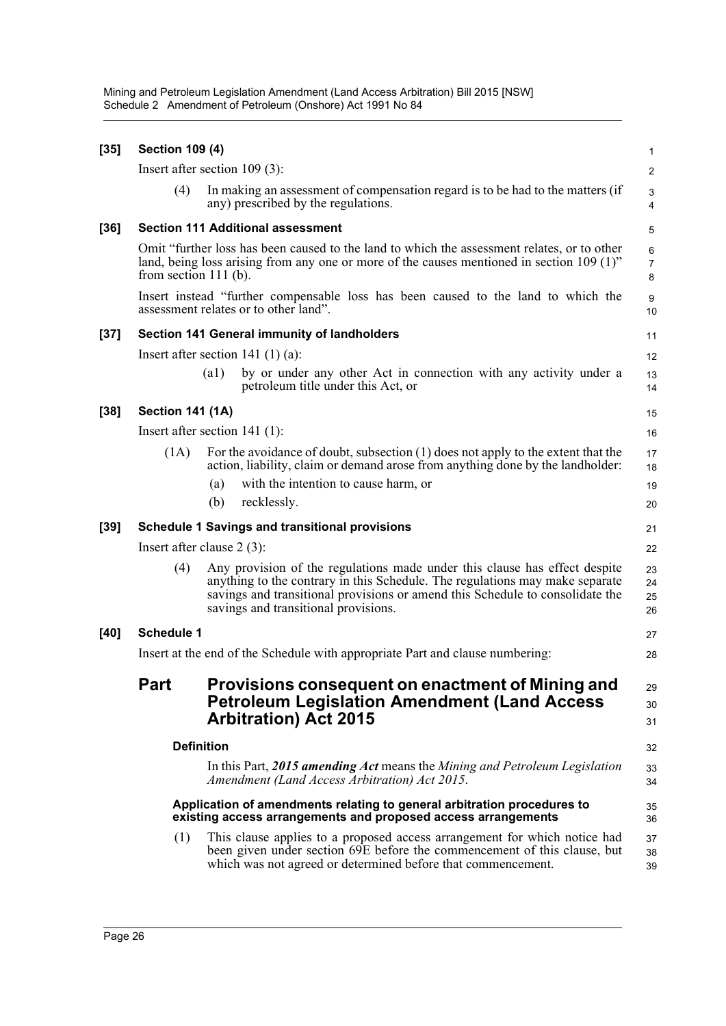Mining and Petroleum Legislation Amendment (Land Access Arbitration) Bill 2015 [NSW] Schedule 2 Amendment of Petroleum (Onshore) Act 1991 No 84

| $[35]$ | <b>Section 109 (4)</b>                                                                                                                                                                                                 |                                                                                                                                                                                                                                                                                     | 1                      |  |  |
|--------|------------------------------------------------------------------------------------------------------------------------------------------------------------------------------------------------------------------------|-------------------------------------------------------------------------------------------------------------------------------------------------------------------------------------------------------------------------------------------------------------------------------------|------------------------|--|--|
|        |                                                                                                                                                                                                                        | Insert after section $109(3)$ :                                                                                                                                                                                                                                                     | 2                      |  |  |
|        | (4)                                                                                                                                                                                                                    | In making an assessment of compensation regard is to be had to the matters (if<br>any) prescribed by the regulations.                                                                                                                                                               | 3<br>4                 |  |  |
| $[36]$ | <b>Section 111 Additional assessment</b>                                                                                                                                                                               |                                                                                                                                                                                                                                                                                     |                        |  |  |
|        | Omit "further loss has been caused to the land to which the assessment relates, or to other<br>land, being loss arising from any one or more of the causes mentioned in section $109 (1)$ "<br>from section $111$ (b). |                                                                                                                                                                                                                                                                                     |                        |  |  |
|        |                                                                                                                                                                                                                        | Insert instead "further compensable loss has been caused to the land to which the<br>assessment relates or to other land".                                                                                                                                                          | $\boldsymbol{9}$<br>10 |  |  |
| $[37]$ |                                                                                                                                                                                                                        | <b>Section 141 General immunity of landholders</b>                                                                                                                                                                                                                                  | 11                     |  |  |
|        |                                                                                                                                                                                                                        | Insert after section 141 $(1)(a)$ :                                                                                                                                                                                                                                                 | 12                     |  |  |
|        |                                                                                                                                                                                                                        | by or under any other Act in connection with any activity under a<br>$\left( a1\right)$<br>petroleum title under this Act, or                                                                                                                                                       | 13<br>14               |  |  |
| $[38]$ | <b>Section 141 (1A)</b>                                                                                                                                                                                                |                                                                                                                                                                                                                                                                                     | 15                     |  |  |
|        |                                                                                                                                                                                                                        | Insert after section $141$ (1):                                                                                                                                                                                                                                                     | 16                     |  |  |
|        | (1A)                                                                                                                                                                                                                   | For the avoidance of doubt, subsection (1) does not apply to the extent that the<br>action, liability, claim or demand arose from anything done by the landholder:                                                                                                                  | 17<br>18               |  |  |
|        |                                                                                                                                                                                                                        | with the intention to cause harm, or<br>(a)                                                                                                                                                                                                                                         | 19                     |  |  |
|        |                                                                                                                                                                                                                        | recklessly.<br>(b)                                                                                                                                                                                                                                                                  | 20                     |  |  |
| $[39]$ | <b>Schedule 1 Savings and transitional provisions</b>                                                                                                                                                                  |                                                                                                                                                                                                                                                                                     |                        |  |  |
|        |                                                                                                                                                                                                                        | Insert after clause $2(3)$ :                                                                                                                                                                                                                                                        | 22                     |  |  |
|        | (4)                                                                                                                                                                                                                    | Any provision of the regulations made under this clause has effect despite<br>anything to the contrary in this Schedule. The regulations may make separate<br>savings and transitional provisions or amend this Schedule to consolidate the<br>savings and transitional provisions. | 23<br>24<br>25<br>26   |  |  |
| [40]   | <b>Schedule 1</b>                                                                                                                                                                                                      |                                                                                                                                                                                                                                                                                     |                        |  |  |
|        | Insert at the end of the Schedule with appropriate Part and clause numbering:                                                                                                                                          |                                                                                                                                                                                                                                                                                     | 28                     |  |  |
|        | <b>Part</b>                                                                                                                                                                                                            | Provisions consequent on enactment of Mining and<br><b>Petroleum Legislation Amendment (Land Access</b><br><b>Arbitration</b> ) Act 2015                                                                                                                                            | 29<br>30<br>31         |  |  |
|        | <b>Definition</b>                                                                                                                                                                                                      |                                                                                                                                                                                                                                                                                     |                        |  |  |
|        |                                                                                                                                                                                                                        | In this Part, 2015 amending Act means the Mining and Petroleum Legislation<br>Amendment (Land Access Arbitration) Act 2015.                                                                                                                                                         | 33<br>34               |  |  |
|        |                                                                                                                                                                                                                        | Application of amendments relating to general arbitration procedures to<br>existing access arrangements and proposed access arrangements                                                                                                                                            | 35<br>36               |  |  |
|        | (1)                                                                                                                                                                                                                    | This clause applies to a proposed access arrangement for which notice had<br>been given under section 69E before the commencement of this clause, but<br>which was not agreed or determined before that commencement.                                                               | 37<br>38<br>39         |  |  |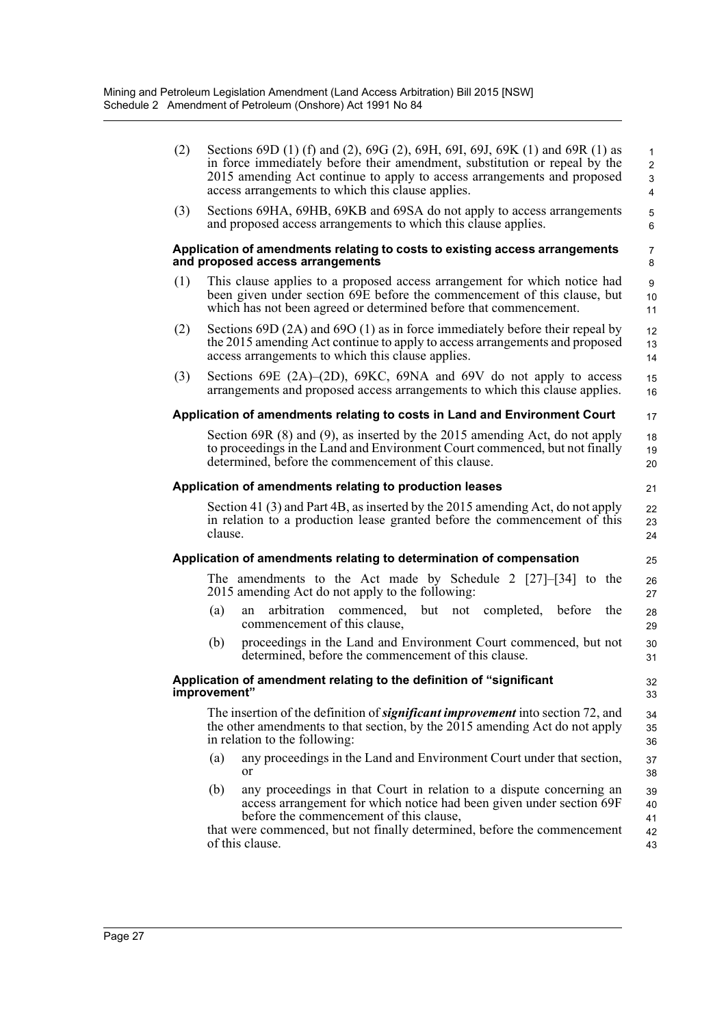| (2) | Sections 69D (1) (f) and (2), 69G (2), 69H, 69I, 69J, 69K (1) and 69R (1) as<br>in force immediately before their amendment, substitution or repeal by the<br>2015 amending Act continue to apply to access arrangements and proposed<br>access arrangements to which this clause applies.    | $\mathbf{1}$<br>$\overline{2}$<br>3<br>$\overline{4}$ |
|-----|-----------------------------------------------------------------------------------------------------------------------------------------------------------------------------------------------------------------------------------------------------------------------------------------------|-------------------------------------------------------|
| (3) | Sections 69HA, 69HB, 69KB and 69SA do not apply to access arrangements<br>and proposed access arrangements to which this clause applies.                                                                                                                                                      | 5<br>6                                                |
|     | Application of amendments relating to costs to existing access arrangements<br>and proposed access arrangements                                                                                                                                                                               | 7<br>8                                                |
| (1) | This clause applies to a proposed access arrangement for which notice had<br>been given under section 69E before the commencement of this clause, but<br>which has not been agreed or determined before that commencement.                                                                    | 9<br>10<br>11                                         |
| (2) | Sections 69D $(2A)$ and 69O $(1)$ as in force immediately before their repeal by<br>the 2015 amending Act continue to apply to access arrangements and proposed<br>access arrangements to which this clause applies.                                                                          | 12<br>13<br>14                                        |
| (3) | Sections 69E $(2A)$ – $(2D)$ , 69KC, 69NA and 69V do not apply to access<br>arrangements and proposed access arrangements to which this clause applies.                                                                                                                                       | 15<br>16                                              |
|     | Application of amendments relating to costs in Land and Environment Court                                                                                                                                                                                                                     | 17                                                    |
|     | Section 69R $(8)$ and $(9)$ , as inserted by the 2015 amending Act, do not apply<br>to proceedings in the Land and Environment Court commenced, but not finally<br>determined, before the commencement of this clause.                                                                        | 18<br>19<br>20                                        |
|     | Application of amendments relating to production leases                                                                                                                                                                                                                                       | 21                                                    |
|     | Section 41 (3) and Part 4B, as inserted by the 2015 amending Act, do not apply<br>in relation to a production lease granted before the commencement of this<br>clause.                                                                                                                        | 22<br>23<br>24                                        |
|     | Application of amendments relating to determination of compensation                                                                                                                                                                                                                           | 25                                                    |
|     | The amendments to the Act made by Schedule 2 $[27]-[34]$ to the<br>2015 amending Act do not apply to the following:                                                                                                                                                                           | 26<br>27                                              |
|     | (a)<br>but<br>arbitration<br>commenced.<br>completed,<br>before<br>the<br>not<br>an<br>commencement of this clause,                                                                                                                                                                           | 28<br>29                                              |
|     | proceedings in the Land and Environment Court commenced, but not<br>(b)<br>determined, before the commencement of this clause.                                                                                                                                                                | 30<br>31                                              |
|     | Application of amendment relating to the definition of "significant<br>improvement"                                                                                                                                                                                                           | 32<br>33                                              |
|     | The insertion of the definition of <b><i>significant improvement</i></b> into section 72, and<br>the other amendments to that section, by the $2015$ amending Act do not apply<br>in relation to the following:                                                                               | 34<br>35<br>36                                        |
|     | any proceedings in the Land and Environment Court under that section,<br>(a)<br><sub>or</sub>                                                                                                                                                                                                 | 37<br>38                                              |
|     | any proceedings in that Court in relation to a dispute concerning an<br>(b)<br>access arrangement for which notice had been given under section 69F<br>before the commencement of this clause,<br>that were commenced, but not finally determined, before the commencement<br>of this clause. | 39<br>40<br>41<br>42<br>43                            |
|     |                                                                                                                                                                                                                                                                                               |                                                       |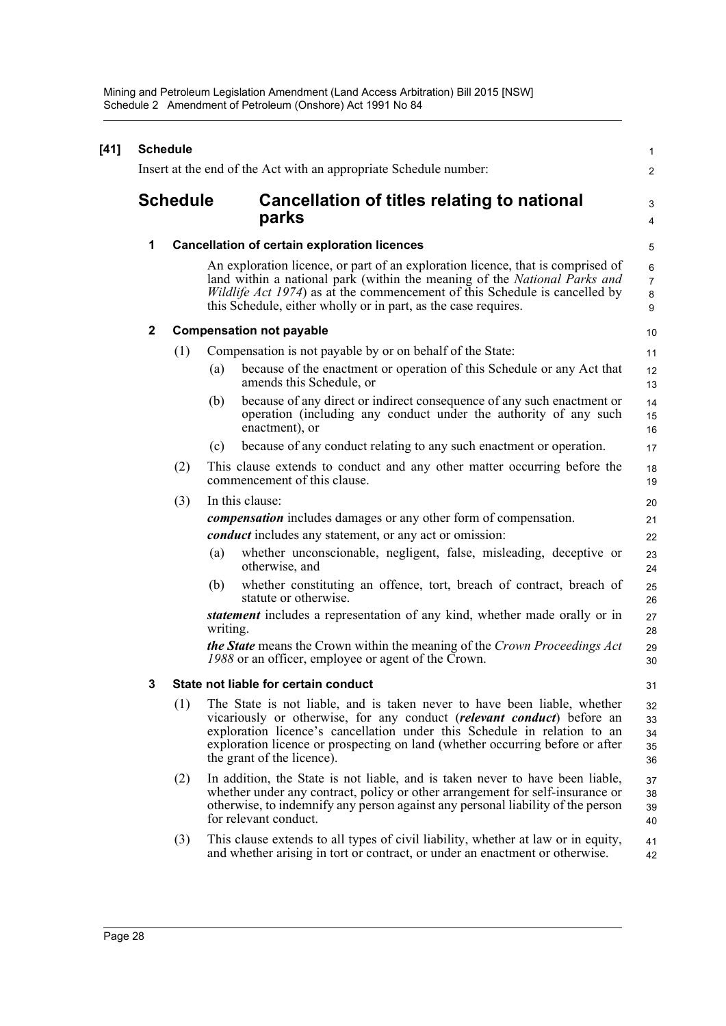| $[41]$ | <b>Schedule</b><br>Insert at the end of the Act with an appropriate Schedule number: |                 |                                                                                                                                                                                                                                                                                                                                               |                               |  |
|--------|--------------------------------------------------------------------------------------|-----------------|-----------------------------------------------------------------------------------------------------------------------------------------------------------------------------------------------------------------------------------------------------------------------------------------------------------------------------------------------|-------------------------------|--|
|        |                                                                                      |                 |                                                                                                                                                                                                                                                                                                                                               | $\overline{2}$                |  |
|        |                                                                                      | <b>Schedule</b> | Cancellation of titles relating to national<br>parks                                                                                                                                                                                                                                                                                          | 3                             |  |
|        |                                                                                      |                 |                                                                                                                                                                                                                                                                                                                                               | 4                             |  |
|        | 1                                                                                    |                 | <b>Cancellation of certain exploration licences</b>                                                                                                                                                                                                                                                                                           | 5                             |  |
|        |                                                                                      |                 | An exploration licence, or part of an exploration licence, that is comprised of<br>land within a national park (within the meaning of the <i>National Parks and</i><br><i>Wildlife Act 1974</i> ) as at the commencement of this Schedule is cancelled by<br>this Schedule, either wholly or in part, as the case requires.                   | 6<br>$\overline{7}$<br>8<br>9 |  |
|        | 2                                                                                    |                 | <b>Compensation not payable</b>                                                                                                                                                                                                                                                                                                               | 10                            |  |
|        |                                                                                      | (1)             | Compensation is not payable by or on behalf of the State:                                                                                                                                                                                                                                                                                     | 11                            |  |
|        |                                                                                      |                 | because of the enactment or operation of this Schedule or any Act that<br>(a)<br>amends this Schedule, or                                                                                                                                                                                                                                     | 12<br>13                      |  |
|        |                                                                                      |                 | because of any direct or indirect consequence of any such enactment or<br>(b)<br>operation (including any conduct under the authority of any such<br>enactment), or                                                                                                                                                                           | 14<br>15<br>16                |  |
|        |                                                                                      |                 | because of any conduct relating to any such enactment or operation.<br>(c)                                                                                                                                                                                                                                                                    | 17                            |  |
|        |                                                                                      | (2)             | This clause extends to conduct and any other matter occurring before the<br>commencement of this clause.                                                                                                                                                                                                                                      | 18<br>19                      |  |
|        |                                                                                      | (3)             | In this clause:                                                                                                                                                                                                                                                                                                                               | 20                            |  |
|        |                                                                                      |                 | <i>compensation</i> includes damages or any other form of compensation.                                                                                                                                                                                                                                                                       | 21                            |  |
|        |                                                                                      |                 | <i>conduct</i> includes any statement, or any act or omission:                                                                                                                                                                                                                                                                                | 22                            |  |
|        |                                                                                      |                 | whether unconscionable, negligent, false, misleading, deceptive or<br>(a)<br>otherwise, and                                                                                                                                                                                                                                                   | 23<br>24                      |  |
|        |                                                                                      |                 | whether constituting an offence, tort, breach of contract, breach of<br>(b)<br>statute or otherwise.                                                                                                                                                                                                                                          | 25<br>26                      |  |
|        |                                                                                      |                 | <i>statement</i> includes a representation of any kind, whether made orally or in<br>writing.                                                                                                                                                                                                                                                 | 27<br>28                      |  |
|        |                                                                                      |                 | <b>the State</b> means the Crown within the meaning of the Crown Proceedings Act<br>1988 or an officer, employee or agent of the Crown.                                                                                                                                                                                                       | 29<br>30                      |  |
|        | 3                                                                                    |                 | State not liable for certain conduct                                                                                                                                                                                                                                                                                                          | 31                            |  |
|        |                                                                                      | (1)             | The State is not liable, and is taken never to have been liable, whether<br>vicariously or otherwise, for any conduct (relevant conduct) before an<br>exploration licence's cancellation under this Schedule in relation to an<br>exploration licence or prospecting on land (whether occurring before or after<br>the grant of the licence). | 32<br>33<br>34<br>35<br>36    |  |
|        |                                                                                      | (2)             | In addition, the State is not liable, and is taken never to have been liable,<br>whether under any contract, policy or other arrangement for self-insurance or<br>otherwise, to indemnify any person against any personal liability of the person<br>for relevant conduct.                                                                    | 37<br>38<br>39<br>40          |  |
|        |                                                                                      | (3)             | This clause extends to all types of civil liability, whether at law or in equity,<br>and whether arising in tort or contract, or under an enactment or otherwise.                                                                                                                                                                             | 41<br>42                      |  |
|        |                                                                                      |                 |                                                                                                                                                                                                                                                                                                                                               |                               |  |